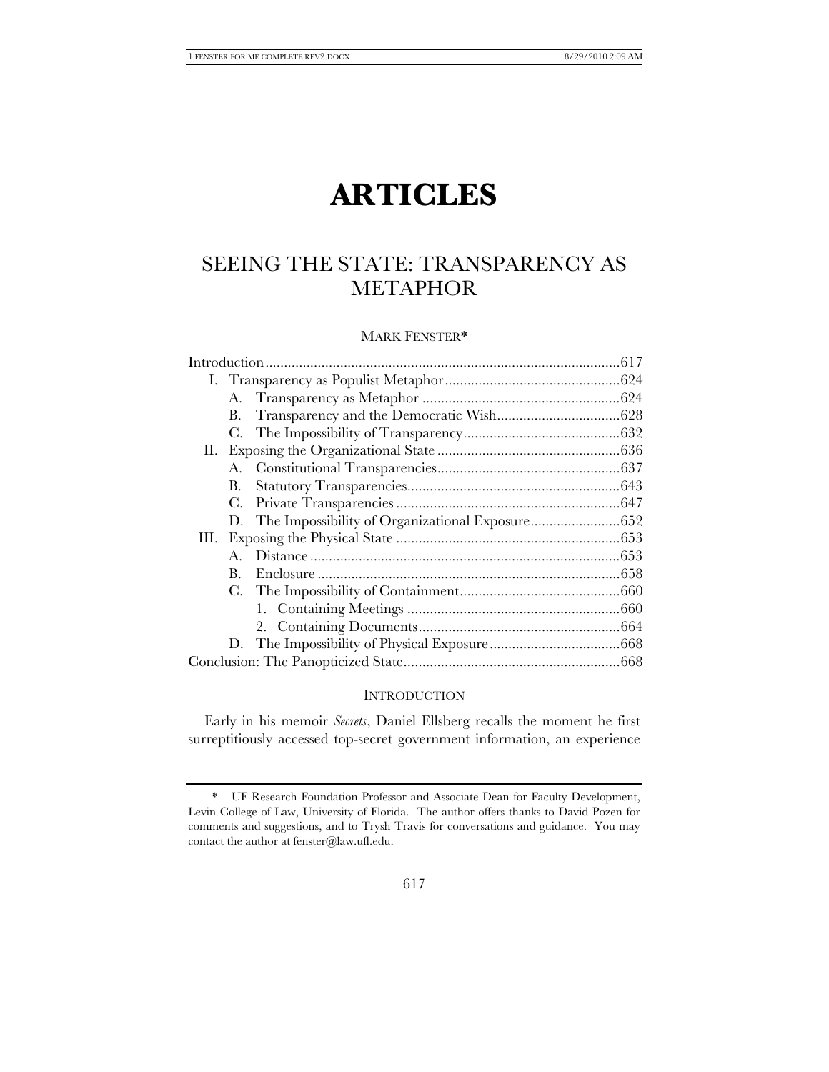# **ARTICLES**

# SEEING THE STATE: TRANSPARENCY AS METAPHOR

# MARK FENSTER\*

|    | В. |  |  |
|----|----|--|--|
|    | C. |  |  |
|    |    |  |  |
|    |    |  |  |
|    | B. |  |  |
|    | C. |  |  |
|    |    |  |  |
| Ш. |    |  |  |
|    |    |  |  |
|    | В. |  |  |
|    | С. |  |  |
|    |    |  |  |
|    |    |  |  |
|    |    |  |  |
|    |    |  |  |
|    |    |  |  |

# **INTRODUCTION**

Early in his memoir *Secrets*, Daniel Ellsberg recalls the moment he first surreptitiously accessed top-secret government information, an experience

 <sup>\*</sup> UF Research Foundation Professor and Associate Dean for Faculty Development, Levin College of Law, University of Florida. The author offers thanks to David Pozen for comments and suggestions, and to Trysh Travis for conversations and guidance. You may contact the author at fenster@law.ufl.edu.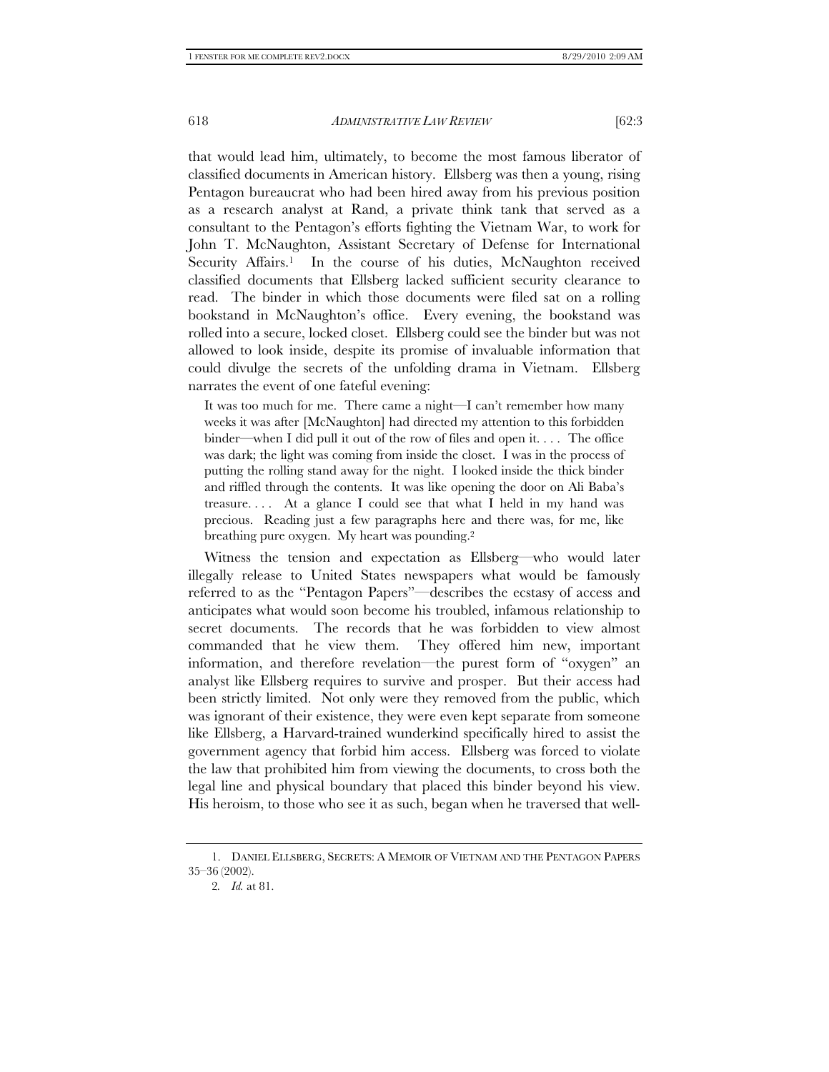that would lead him, ultimately, to become the most famous liberator of classified documents in American history. Ellsberg was then a young, rising Pentagon bureaucrat who had been hired away from his previous position as a research analyst at Rand, a private think tank that served as a consultant to the Pentagon's efforts fighting the Vietnam War, to work for John T. McNaughton, Assistant Secretary of Defense for International Security Affairs.<sup>1</sup> In the course of his duties, McNaughton received classified documents that Ellsberg lacked sufficient security clearance to read. The binder in which those documents were filed sat on a rolling bookstand in McNaughton's office. Every evening, the bookstand was rolled into a secure, locked closet. Ellsberg could see the binder but was not allowed to look inside, despite its promise of invaluable information that could divulge the secrets of the unfolding drama in Vietnam. Ellsberg narrates the event of one fateful evening:

It was too much for me. There came a night—I can't remember how many weeks it was after [McNaughton] had directed my attention to this forbidden binder—when I did pull it out of the row of files and open it. . . . The office was dark; the light was coming from inside the closet. I was in the process of putting the rolling stand away for the night. I looked inside the thick binder and riffled through the contents. It was like opening the door on Ali Baba's treasure. . . . At a glance I could see that what I held in my hand was precious. Reading just a few paragraphs here and there was, for me, like breathing pure oxygen. My heart was pounding.2

Witness the tension and expectation as Ellsberg—who would later illegally release to United States newspapers what would be famously referred to as the "Pentagon Papers"—describes the ecstasy of access and anticipates what would soon become his troubled, infamous relationship to secret documents. The records that he was forbidden to view almost commanded that he view them. They offered him new, important information, and therefore revelation—the purest form of "oxygen" an analyst like Ellsberg requires to survive and prosper. But their access had been strictly limited. Not only were they removed from the public, which was ignorant of their existence, they were even kept separate from someone like Ellsberg, a Harvard-trained wunderkind specifically hired to assist the government agency that forbid him access. Ellsberg was forced to violate the law that prohibited him from viewing the documents, to cross both the legal line and physical boundary that placed this binder beyond his view. His heroism, to those who see it as such, began when he traversed that well-

 <sup>1.</sup> DANIEL ELLSBERG, SECRETS: A MEMOIR OF VIETNAM AND THE PENTAGON PAPERS 35–36 (2002).

<sup>2</sup>*. Id.* at 81.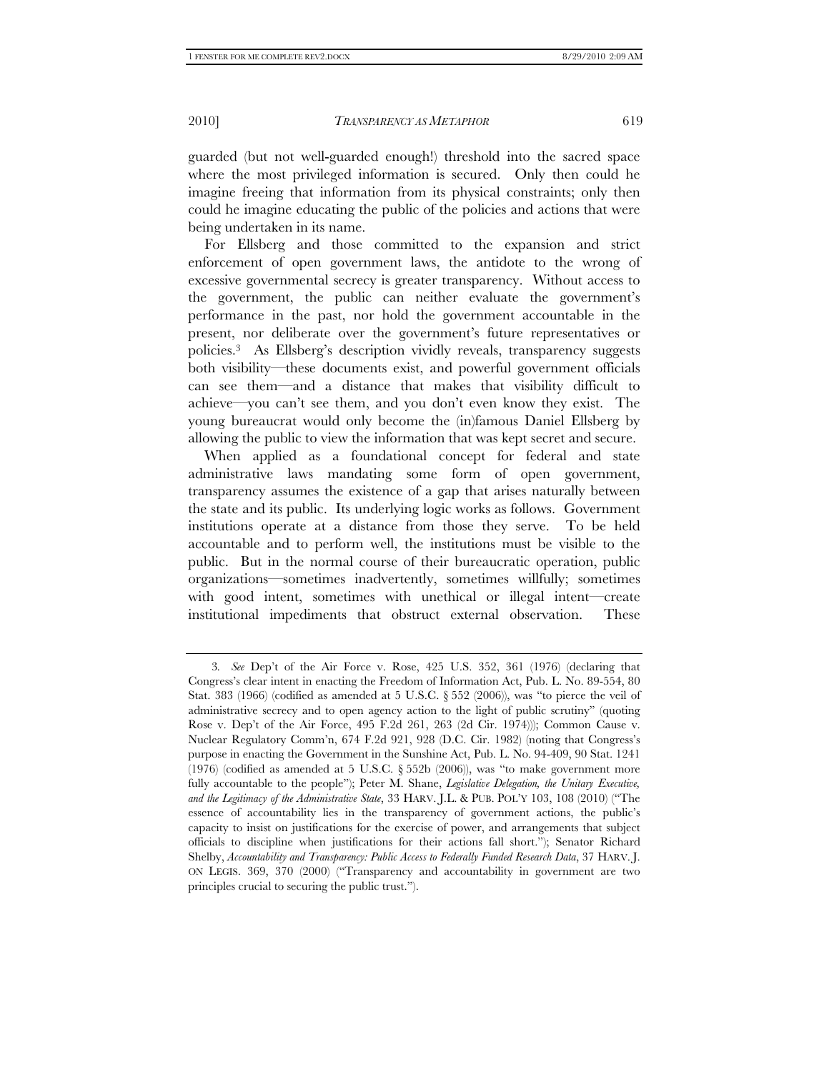guarded (but not well-guarded enough!) threshold into the sacred space where the most privileged information is secured. Only then could he imagine freeing that information from its physical constraints; only then could he imagine educating the public of the policies and actions that were being undertaken in its name.

For Ellsberg and those committed to the expansion and strict enforcement of open government laws, the antidote to the wrong of excessive governmental secrecy is greater transparency. Without access to the government, the public can neither evaluate the government's performance in the past, nor hold the government accountable in the present, nor deliberate over the government's future representatives or policies.3 As Ellsberg's description vividly reveals, transparency suggests both visibility—these documents exist, and powerful government officials can see them—and a distance that makes that visibility difficult to achieve—you can't see them, and you don't even know they exist. The young bureaucrat would only become the (in)famous Daniel Ellsberg by allowing the public to view the information that was kept secret and secure.

When applied as a foundational concept for federal and state administrative laws mandating some form of open government, transparency assumes the existence of a gap that arises naturally between the state and its public. Its underlying logic works as follows. Government institutions operate at a distance from those they serve. To be held accountable and to perform well, the institutions must be visible to the public. But in the normal course of their bureaucratic operation, public organizations—sometimes inadvertently, sometimes willfully; sometimes with good intent, sometimes with unethical or illegal intent—create institutional impediments that obstruct external observation. These

<sup>3</sup>*. See* Dep't of the Air Force v. Rose, 425 U.S. 352, 361 (1976) (declaring that Congress's clear intent in enacting the Freedom of Information Act, Pub. L. No. 89-554, 80 Stat. 383 (1966) (codified as amended at 5 U.S.C.  $\S 552$  (2006)), was "to pierce the veil of administrative secrecy and to open agency action to the light of public scrutiny" (quoting Rose v. Dep't of the Air Force, 495 F.2d 261, 263 (2d Cir. 1974))); Common Cause v. Nuclear Regulatory Comm'n, 674 F.2d 921, 928 (D.C. Cir. 1982) (noting that Congress's purpose in enacting the Government in the Sunshine Act, Pub. L. No. 94-409, 90 Stat. 1241  $(1976)$  (codified as amended at 5 U.S.C. § 552b  $(2006)$ ), was "to make government more fully accountable to the people"); Peter M. Shane, *Legislative Delegation*, the Unitary Executive, *and the Legitimacy of the Administrative State*, 33 HARV. J.L. & PUB. POL'Y 103, 108 (2010) ("The essence of accountability lies in the transparency of government actions, the public's capacity to insist on justifications for the exercise of power, and arrangements that subject officials to discipline when justifications for their actions fall short."); Senator Richard Shelby, *Accountability and Transparency: Public Access to Federally Funded Research Data*, 37 HARV. J. ON LEGIS. 369, 370 (2000) ("Transparency and accountability in government are two principles crucial to securing the public trust.").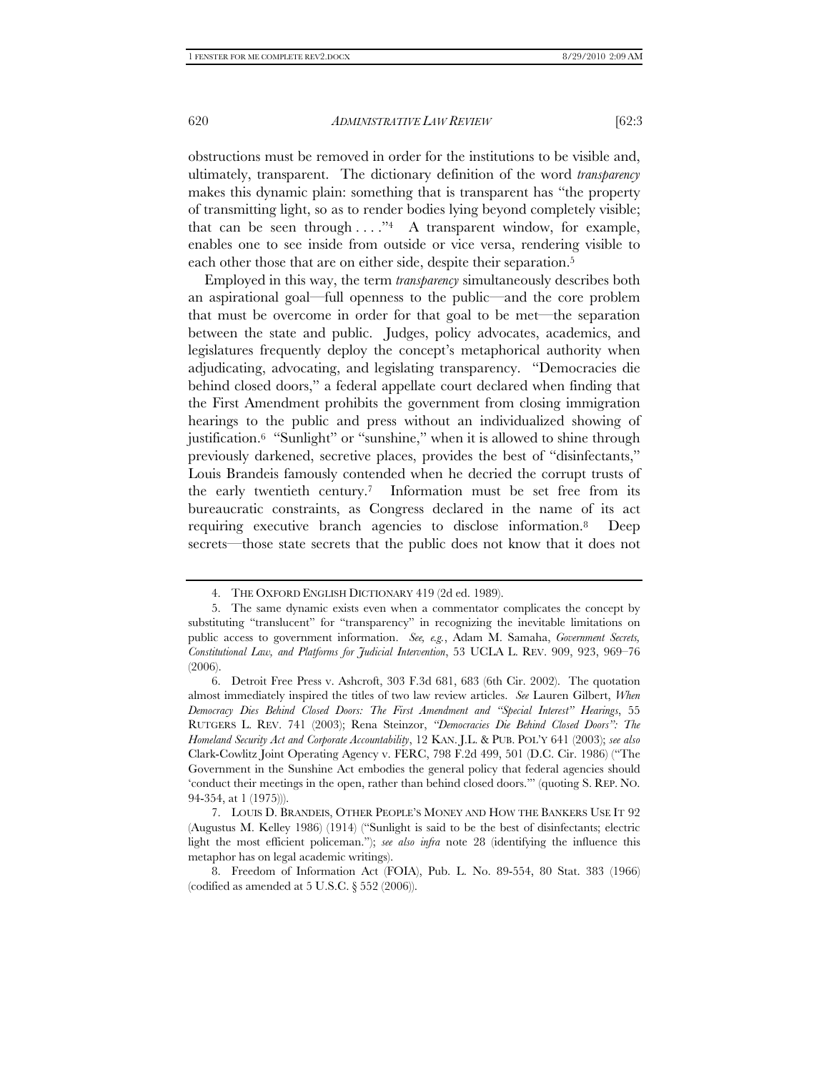obstructions must be removed in order for the institutions to be visible and, ultimately, transparent. The dictionary definition of the word *transparency* makes this dynamic plain: something that is transparent has "the property of transmitting light, so as to render bodies lying beyond completely visible; that can be seen through  $\dots$ ."<sup>4</sup> A transparent window, for example, enables one to see inside from outside or vice versa, rendering visible to each other those that are on either side, despite their separation.<sup>5</sup>

Employed in this way, the term *transparency* simultaneously describes both an aspirational goal—full openness to the public—and the core problem that must be overcome in order for that goal to be met—the separation between the state and public. Judges, policy advocates, academics, and legislatures frequently deploy the concept's metaphorical authority when adjudicating, advocating, and legislating transparency. "Democracies die behind closed doors," a federal appellate court declared when finding that the First Amendment prohibits the government from closing immigration hearings to the public and press without an individualized showing of justification.6 "Sunlight" or "sunshine," when it is allowed to shine through previously darkened, secretive places, provides the best of "disinfectants," Louis Brandeis famously contended when he decried the corrupt trusts of the early twentieth century.7 Information must be set free from its bureaucratic constraints, as Congress declared in the name of its act requiring executive branch agencies to disclose information.8 Deep secrets—those state secrets that the public does not know that it does not

 <sup>4.</sup> THE OXFORD ENGLISH DICTIONARY 419 (2d ed. 1989).

 <sup>5.</sup> The same dynamic exists even when a commentator complicates the concept by substituting "translucent" for "transparency" in recognizing the inevitable limitations on public access to government information. *See, e.g.*, Adam M. Samaha, *Government Secrets, Constitutional Law, and Platforms for Judicial Intervention*, 53 UCLA L. REV. 909, 923, 969–76 (2006).

 <sup>6.</sup> Detroit Free Press v. Ashcroft, 303 F.3d 681, 683 (6th Cir. 2002). The quotation almost immediately inspired the titles of two law review articles. *See* Lauren Gilbert, *When Democracy Dies Behind Closed Doors: The First Amendment and "Special Interest" Hearings*, 55 RUTGERS L. REV. 741 (2003); Rena Steinzor, *"Democracies Die Behind Closed Doors": The Homeland Security Act and Corporate Accountability*, 12 KAN. J.L. & PUB. POL'Y 641 (2003); *see also* Clark-Cowlitz Joint Operating Agency v. FERC, 798 F.2d 499, 501 (D.C. Cir. 1986) ("The Government in the Sunshine Act embodies the general policy that federal agencies should 'conduct their meetings in the open, rather than behind closed doors.'" (quoting S. REP. NO. 94-354, at 1 (1975))).

 <sup>7.</sup> LOUIS D. BRANDEIS, OTHER PEOPLE'S MONEY AND HOW THE BANKERS USE IT 92 (Augustus M. Kelley 1986) (1914) ("Sunlight is said to be the best of disinfectants; electric light the most efficient policeman."); *see also infra* note 28 (identifying the influence this metaphor has on legal academic writings).

 <sup>8.</sup> Freedom of Information Act (FOIA), Pub. L. No. 89-554, 80 Stat. 383 (1966) (codified as amended at 5 U.S.C. § 552 (2006)).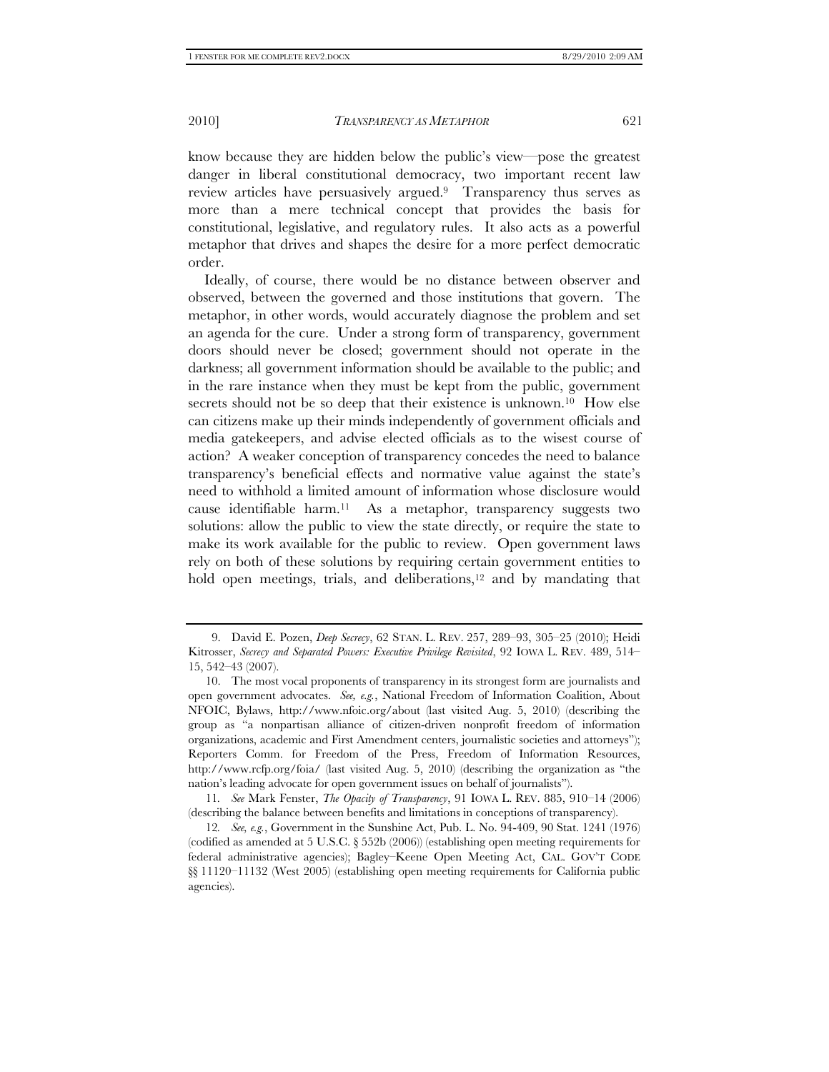know because they are hidden below the public's view—pose the greatest danger in liberal constitutional democracy, two important recent law review articles have persuasively argued.9 Transparency thus serves as more than a mere technical concept that provides the basis for constitutional, legislative, and regulatory rules. It also acts as a powerful metaphor that drives and shapes the desire for a more perfect democratic order.

Ideally, of course, there would be no distance between observer and observed, between the governed and those institutions that govern. The metaphor, in other words, would accurately diagnose the problem and set an agenda for the cure. Under a strong form of transparency, government doors should never be closed; government should not operate in the darkness; all government information should be available to the public; and in the rare instance when they must be kept from the public, government secrets should not be so deep that their existence is unknown.10 How else can citizens make up their minds independently of government officials and media gatekeepers, and advise elected officials as to the wisest course of action? A weaker conception of transparency concedes the need to balance transparency's beneficial effects and normative value against the state's need to withhold a limited amount of information whose disclosure would cause identifiable harm.11 As a metaphor, transparency suggests two solutions: allow the public to view the state directly, or require the state to make its work available for the public to review. Open government laws rely on both of these solutions by requiring certain government entities to hold open meetings, trials, and deliberations,<sup>12</sup> and by mandating that

 <sup>9.</sup> David E. Pozen, *Deep Secrecy*, 62 STAN. L. REV. 257, 289–93, 305–25 (2010); Heidi Kitrosser, *Secrecy and Separated Powers: Executive Privilege Revisited*, 92 IOWA L. REV. 489, 514– 15, 542–43 (2007).

 <sup>10.</sup> The most vocal proponents of transparency in its strongest form are journalists and open government advocates. *See, e.g.*, National Freedom of Information Coalition, About NFOIC, Bylaws, http://www.nfoic.org/about (last visited Aug. 5, 2010) (describing the group as "a nonpartisan alliance of citizen-driven nonprofit freedom of information organizations, academic and First Amendment centers, journalistic societies and attorneys"); Reporters Comm. for Freedom of the Press, Freedom of Information Resources, http://www.rcfp.org/foia/ (last visited Aug. 5, 2010) (describing the organization as "the nation's leading advocate for open government issues on behalf of journalists").

<sup>11</sup>*. See* Mark Fenster, *The Opacity of Transparency*, 91 IOWA L. REV. 885, 910–14 (2006) (describing the balance between benefits and limitations in conceptions of transparency).

<sup>12</sup>*. See, e.g.*, Government in the Sunshine Act, Pub. L. No. 94-409, 90 Stat. 1241 (1976) (codified as amended at 5 U.S.C. § 552b (2006)) (establishing open meeting requirements for federal administrative agencies); Bagley–Keene Open Meeting Act, CAL. GOV'T CODE §§ 11120–11132 (West 2005) (establishing open meeting requirements for California public agencies).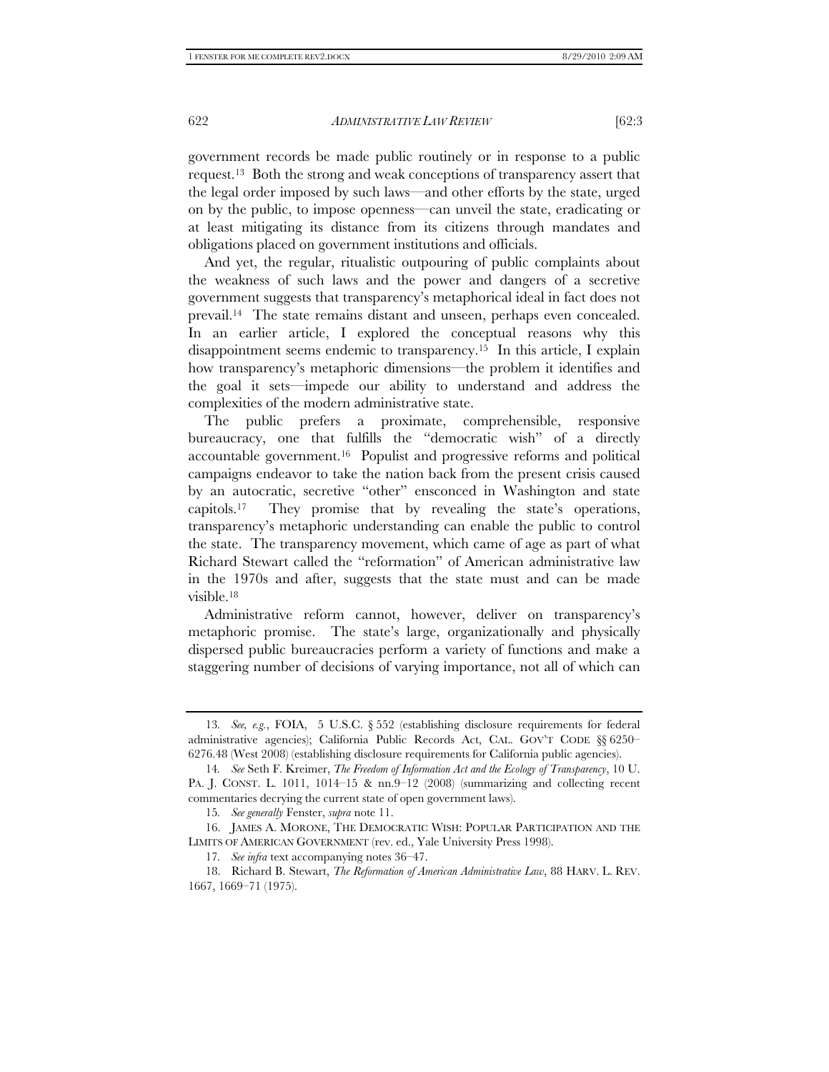government records be made public routinely or in response to a public request.13 Both the strong and weak conceptions of transparency assert that the legal order imposed by such laws—and other efforts by the state, urged on by the public, to impose openness—can unveil the state, eradicating or at least mitigating its distance from its citizens through mandates and obligations placed on government institutions and officials.

And yet, the regular, ritualistic outpouring of public complaints about the weakness of such laws and the power and dangers of a secretive government suggests that transparency's metaphorical ideal in fact does not prevail.14 The state remains distant and unseen, perhaps even concealed. In an earlier article, I explored the conceptual reasons why this disappointment seems endemic to transparency.15 In this article, I explain how transparency's metaphoric dimensions—the problem it identifies and the goal it sets—impede our ability to understand and address the complexities of the modern administrative state.

The public prefers a proximate, comprehensible, responsive bureaucracy, one that fulfills the "democratic wish" of a directly accountable government.16 Populist and progressive reforms and political campaigns endeavor to take the nation back from the present crisis caused by an autocratic, secretive "other" ensconced in Washington and state capitols.17 They promise that by revealing the state's operations, transparency's metaphoric understanding can enable the public to control the state. The transparency movement, which came of age as part of what Richard Stewart called the "reformation" of American administrative law in the 1970s and after, suggests that the state must and can be made visible.18

Administrative reform cannot, however, deliver on transparency's metaphoric promise. The state's large, organizationally and physically dispersed public bureaucracies perform a variety of functions and make a staggering number of decisions of varying importance, not all of which can

<sup>13</sup>*. See, e.g.*, FOIA, 5 U.S.C. § 552 (establishing disclosure requirements for federal administrative agencies); California Public Records Act, CAL. GOV'T CODE §§ 6250– 6276.48 (West 2008) (establishing disclosure requirements for California public agencies).

<sup>14</sup>*. See* Seth F. Kreimer, *The Freedom of Information Act and the Ecology of Transparency*, 10 U. PA. J. CONST. L. 1011, 1014–15 & nn.9–12 (2008) (summarizing and collecting recent commentaries decrying the current state of open government laws).

<sup>15</sup>*. See generally* Fenster, *supra* note 11.

 <sup>16.</sup> JAMES A. MORONE, THE DEMOCRATIC WISH: POPULAR PARTICIPATION AND THE LIMITS OF AMERICAN GOVERNMENT (rev. ed., Yale University Press 1998).

<sup>17</sup>*. See infra* text accompanying notes 36–47.

 <sup>18.</sup> Richard B. Stewart, *The Reformation of American Administrative Law*, 88 HARV. L. REV. 1667, 1669–71 (1975).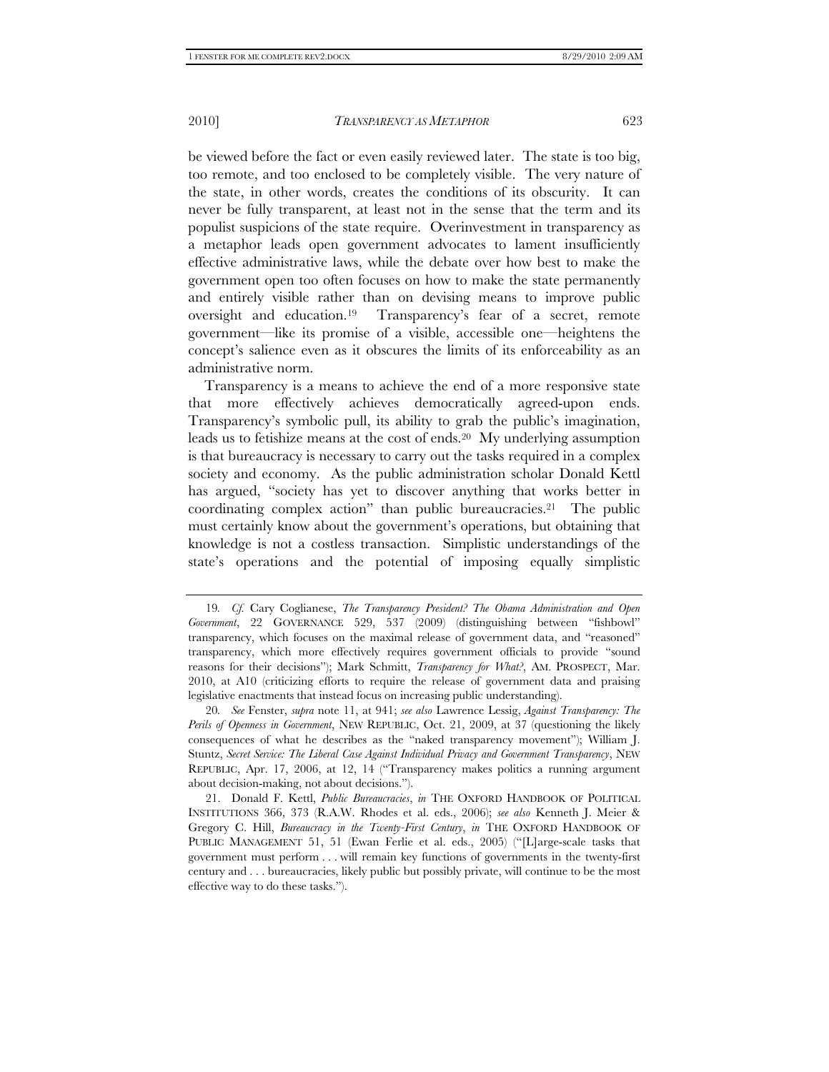be viewed before the fact or even easily reviewed later. The state is too big, too remote, and too enclosed to be completely visible. The very nature of the state, in other words, creates the conditions of its obscurity. It can never be fully transparent, at least not in the sense that the term and its populist suspicions of the state require. Overinvestment in transparency as a metaphor leads open government advocates to lament insufficiently effective administrative laws, while the debate over how best to make the government open too often focuses on how to make the state permanently and entirely visible rather than on devising means to improve public oversight and education.19 Transparency's fear of a secret, remote government—like its promise of a visible, accessible one—heightens the concept's salience even as it obscures the limits of its enforceability as an administrative norm.

Transparency is a means to achieve the end of a more responsive state that more effectively achieves democratically agreed-upon ends. Transparency's symbolic pull, its ability to grab the public's imagination, leads us to fetishize means at the cost of ends.20 My underlying assumption is that bureaucracy is necessary to carry out the tasks required in a complex society and economy. As the public administration scholar Donald Kettl has argued, "society has yet to discover anything that works better in coordinating complex action" than public bureaucracies.21 The public must certainly know about the government's operations, but obtaining that knowledge is not a costless transaction. Simplistic understandings of the state's operations and the potential of imposing equally simplistic

<sup>19</sup>*. Cf.* Cary Coglianese, *The Transparency President? The Obama Administration and Open Government*, 22 GOVERNANCE 529, 537 (2009) (distinguishing between "fishbowl" transparency, which focuses on the maximal release of government data, and "reasoned" transparency, which more effectively requires government officials to provide "sound reasons for their decisions"); Mark Schmitt, *Transparency for What?*, AM. PROSPECT, Mar. 2010, at A10 (criticizing efforts to require the release of government data and praising legislative enactments that instead focus on increasing public understanding).

<sup>20</sup>*. See* Fenster, *supra* note 11, at 941; *see also* Lawrence Lessig, *Against Transparency: The Perils of Openness in Government*, NEW REPUBLIC, Oct. 21, 2009, at 37 (questioning the likely consequences of what he describes as the "naked transparency movement"); William J. Stuntz, *Secret Service: The Liberal Case Against Individual Privacy and Government Transparency*, NEW REPUBLIC, Apr. 17, 2006, at 12, 14 ("Transparency makes politics a running argument about decision-making, not about decisions.").

 <sup>21.</sup> Donald F. Kettl, *Public Bureaucracies*, *in* THE OXFORD HANDBOOK OF POLITICAL INSTITUTIONS 366, 373 (R.A.W. Rhodes et al. eds., 2006); *see also* Kenneth J. Meier & Gregory C. Hill, *Bureaucracy in the Twenty-First Century*, *in* THE OXFORD HANDBOOK OF PUBLIC MANAGEMENT 51, 51 (Ewan Ferlie et al. eds., 2005) ("[L]arge-scale tasks that government must perform . . . will remain key functions of governments in the twenty-first century and . . . bureaucracies, likely public but possibly private, will continue to be the most effective way to do these tasks.").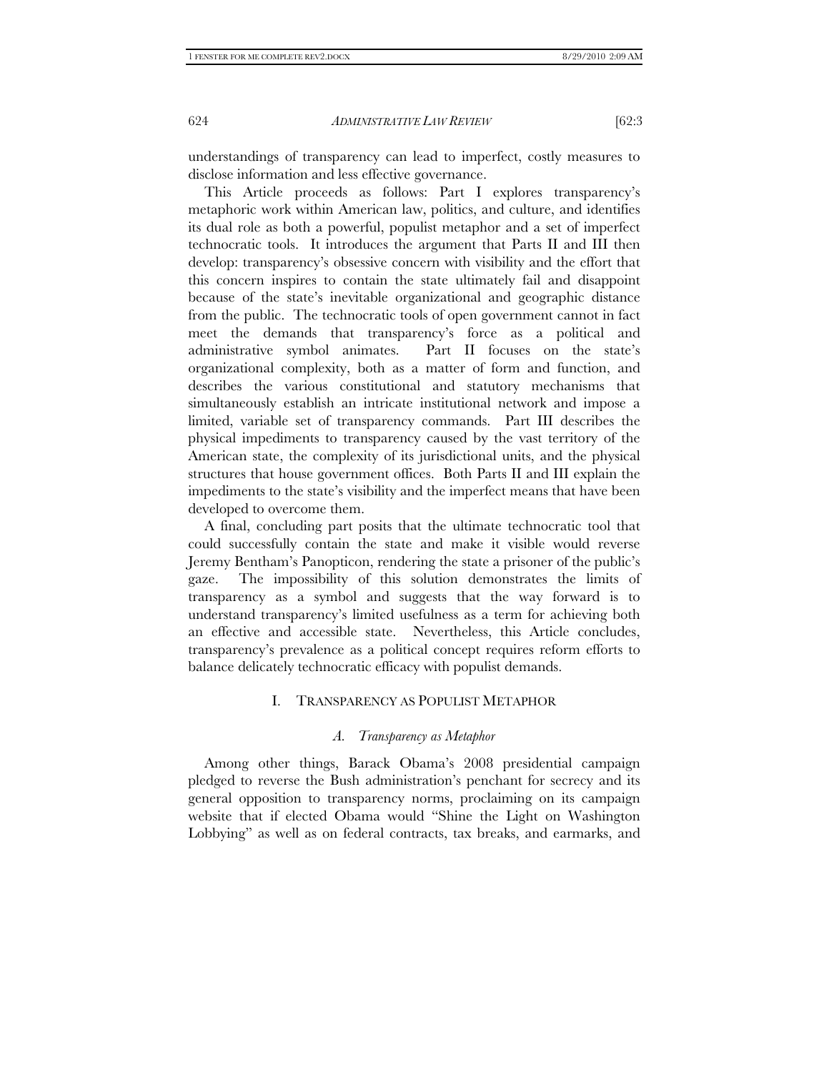understandings of transparency can lead to imperfect, costly measures to disclose information and less effective governance.

This Article proceeds as follows: Part I explores transparency's metaphoric work within American law, politics, and culture, and identifies its dual role as both a powerful, populist metaphor and a set of imperfect technocratic tools. It introduces the argument that Parts II and III then develop: transparency's obsessive concern with visibility and the effort that this concern inspires to contain the state ultimately fail and disappoint because of the state's inevitable organizational and geographic distance from the public. The technocratic tools of open government cannot in fact meet the demands that transparency's force as a political and administrative symbol animates. Part II focuses on the state's organizational complexity, both as a matter of form and function, and describes the various constitutional and statutory mechanisms that simultaneously establish an intricate institutional network and impose a limited, variable set of transparency commands. Part III describes the physical impediments to transparency caused by the vast territory of the American state, the complexity of its jurisdictional units, and the physical structures that house government offices. Both Parts II and III explain the impediments to the state's visibility and the imperfect means that have been developed to overcome them.

A final, concluding part posits that the ultimate technocratic tool that could successfully contain the state and make it visible would reverse Jeremy Bentham's Panopticon, rendering the state a prisoner of the public's gaze. The impossibility of this solution demonstrates the limits of transparency as a symbol and suggests that the way forward is to understand transparency's limited usefulness as a term for achieving both an effective and accessible state. Nevertheless, this Article concludes, transparency's prevalence as a political concept requires reform efforts to balance delicately technocratic efficacy with populist demands.

# I. TRANSPARENCY AS POPULIST METAPHOR

#### *A. Transparency as Metaphor*

Among other things, Barack Obama's 2008 presidential campaign pledged to reverse the Bush administration's penchant for secrecy and its general opposition to transparency norms, proclaiming on its campaign website that if elected Obama would "Shine the Light on Washington Lobbying" as well as on federal contracts, tax breaks, and earmarks, and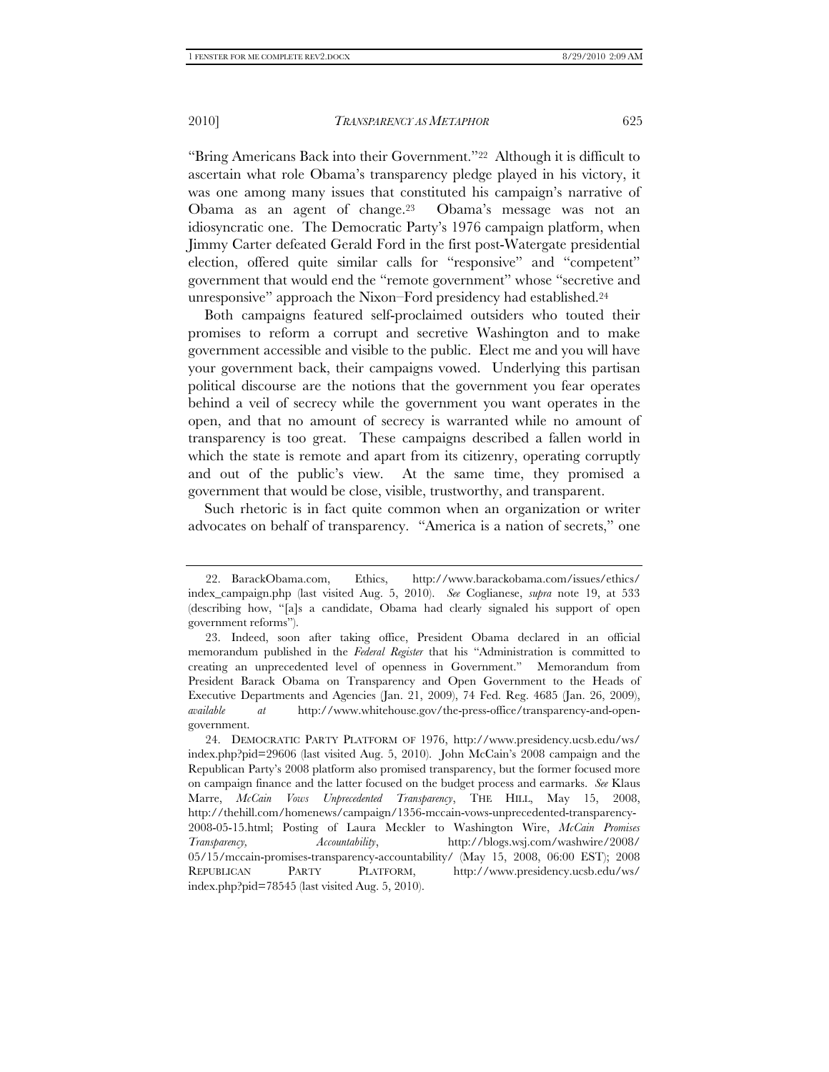"Bring Americans Back into their Government."22 Although it is difficult to ascertain what role Obama's transparency pledge played in his victory, it was one among many issues that constituted his campaign's narrative of Obama as an agent of change.23 Obama's message was not an idiosyncratic one. The Democratic Party's 1976 campaign platform, when Jimmy Carter defeated Gerald Ford in the first post-Watergate presidential election, offered quite similar calls for "responsive" and "competent" government that would end the "remote government" whose "secretive and unresponsive" approach the Nixon–Ford presidency had established.24

Both campaigns featured self-proclaimed outsiders who touted their promises to reform a corrupt and secretive Washington and to make government accessible and visible to the public. Elect me and you will have your government back, their campaigns vowed. Underlying this partisan political discourse are the notions that the government you fear operates behind a veil of secrecy while the government you want operates in the open, and that no amount of secrecy is warranted while no amount of transparency is too great. These campaigns described a fallen world in which the state is remote and apart from its citizenry, operating corruptly and out of the public's view. At the same time, they promised a government that would be close, visible, trustworthy, and transparent.

Such rhetoric is in fact quite common when an organization or writer advocates on behalf of transparency. "America is a nation of secrets," one

 <sup>22.</sup> BarackObama.com, Ethics, http://www.barackobama.com/issues/ethics/ index\_campaign.php (last visited Aug. 5, 2010). *See* Coglianese, *supra* note 19, at 533 (describing how, "[a]s a candidate, Obama had clearly signaled his support of open government reforms").

 <sup>23.</sup> Indeed, soon after taking office, President Obama declared in an official memorandum published in the *Federal Register* that his "Administration is committed to creating an unprecedented level of openness in Government." Memorandum from President Barack Obama on Transparency and Open Government to the Heads of Executive Departments and Agencies (Jan. 21, 2009), 74 Fed. Reg. 4685 (Jan. 26, 2009), *available at* http://www.whitehouse.gov/the-press-office/transparency-and-opengovernment.

 <sup>24.</sup> DEMOCRATIC PARTY PLATFORM OF 1976, http://www.presidency.ucsb.edu/ws/ index.php?pid=29606 (last visited Aug. 5, 2010). John McCain's 2008 campaign and the Republican Party's 2008 platform also promised transparency, but the former focused more on campaign finance and the latter focused on the budget process and earmarks. *See* Klaus Marre, *McCain Vows Unprecedented Transparency*, THE HILL, May 15, 2008, http://thehill.com/homenews/campaign/1356-mccain-vows-unprecedented-transparency-2008-05-15.html; Posting of Laura Meckler to Washington Wire, *McCain Promises Transparency, Accountability*, http://blogs.wsj.com/washwire/2008/ 05/15/mccain-promises-transparency-accountability/ (May 15, 2008, 06:00 EST); 2008 REPUBLICAN PARTY PLATFORM, http://www.presidency.ucsb.edu/ws/ index.php?pid=78545 (last visited Aug. 5, 2010).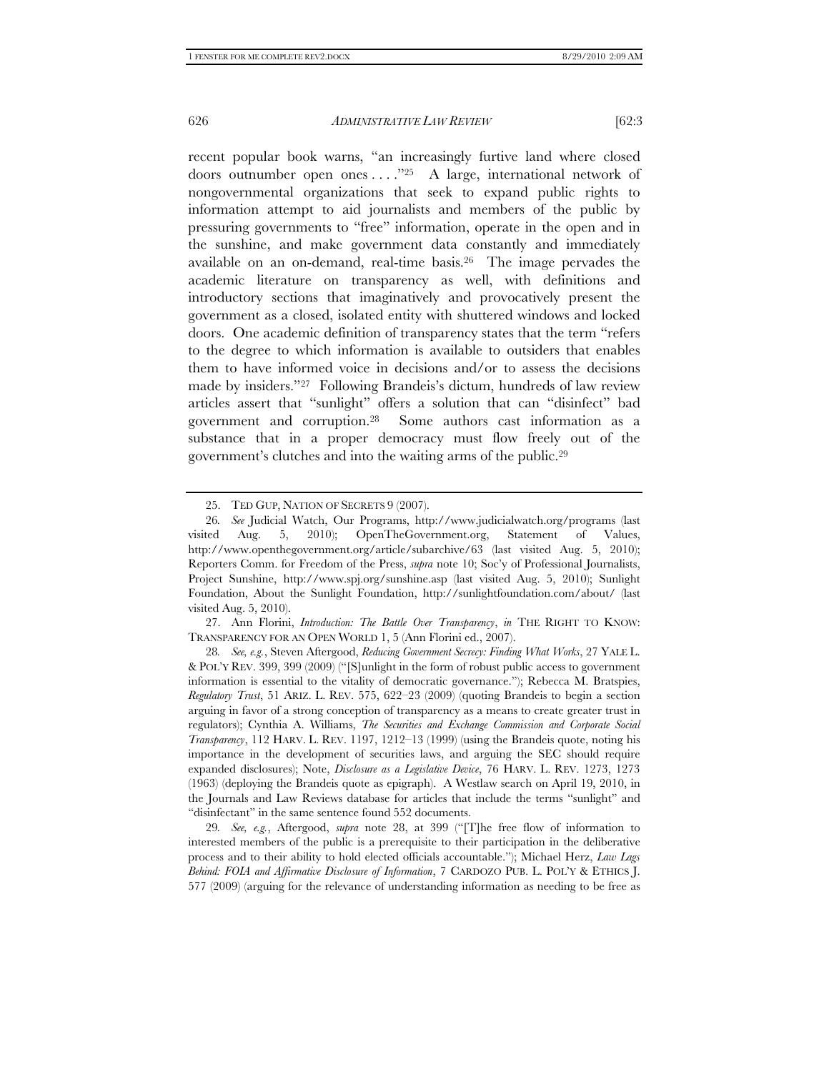recent popular book warns, "an increasingly furtive land where closed doors outnumber open ones  $\dots$ ."<sup>25</sup> A large, international network of nongovernmental organizations that seek to expand public rights to information attempt to aid journalists and members of the public by pressuring governments to "free" information, operate in the open and in the sunshine, and make government data constantly and immediately available on an on-demand, real-time basis.26 The image pervades the academic literature on transparency as well, with definitions and introductory sections that imaginatively and provocatively present the government as a closed, isolated entity with shuttered windows and locked doors. One academic definition of transparency states that the term "refers to the degree to which information is available to outsiders that enables them to have informed voice in decisions and/or to assess the decisions made by insiders."27 Following Brandeis's dictum, hundreds of law review articles assert that "sunlight" offers a solution that can "disinfect" bad government and corruption.28 Some authors cast information as a substance that in a proper democracy must flow freely out of the government's clutches and into the waiting arms of the public.29

 <sup>25.</sup> TED GUP, NATION OF SECRETS 9 (2007).

<sup>26</sup>*. See* Judicial Watch, Our Programs, http://www.judicialwatch.org/programs (last visited Aug. 5, 2010); OpenTheGovernment.org, Statement of Values, http://www.openthegovernment.org/article/subarchive/63 (last visited Aug. 5, 2010); Reporters Comm. for Freedom of the Press, *supra* note 10; Soc'y of Professional Journalists, Project Sunshine, http://www.spj.org/sunshine.asp (last visited Aug. 5, 2010); Sunlight Foundation, About the Sunlight Foundation, http://sunlightfoundation.com/about/ (last visited Aug. 5, 2010).

 <sup>27.</sup> Ann Florini, *Introduction: The Battle Over Transparency*, *in* THE RIGHT TO KNOW: TRANSPARENCY FOR AN OPEN WORLD 1, 5 (Ann Florini ed., 2007).

<sup>28</sup>*. See, e.g.*, Steven Aftergood, *Reducing Government Secrecy: Finding What Works*, 27 YALE L. & POL'Y REV. 399, 399 (2009) ("[S]unlight in the form of robust public access to government information is essential to the vitality of democratic governance."); Rebecca M. Bratspies, *Regulatory Trust*, 51 ARIZ. L. REV. 575, 622–23 (2009) (quoting Brandeis to begin a section arguing in favor of a strong conception of transparency as a means to create greater trust in regulators); Cynthia A. Williams, *The Securities and Exchange Commission and Corporate Social Transparency*, 112 HARV. L. REV. 1197, 1212–13 (1999) (using the Brandeis quote, noting his importance in the development of securities laws, and arguing the SEC should require expanded disclosures); Note, *Disclosure as a Legislative Device*, 76 HARV. L. REV. 1273, 1273 (1963) (deploying the Brandeis quote as epigraph). A Westlaw search on April 19, 2010, in the Journals and Law Reviews database for articles that include the terms "sunlight" and "disinfectant" in the same sentence found 552 documents.

<sup>29</sup>*. See, e.g.*, Aftergood, *supra* note 28, at 399 ("[T]he free flow of information to interested members of the public is a prerequisite to their participation in the deliberative process and to their ability to hold elected officials accountable."); Michael Herz, *Law Lags Behind: FOIA and Affirmative Disclosure of Information*, 7 CARDOZO PUB. L. POL'Y & ETHICS J. 577 (2009) (arguing for the relevance of understanding information as needing to be free as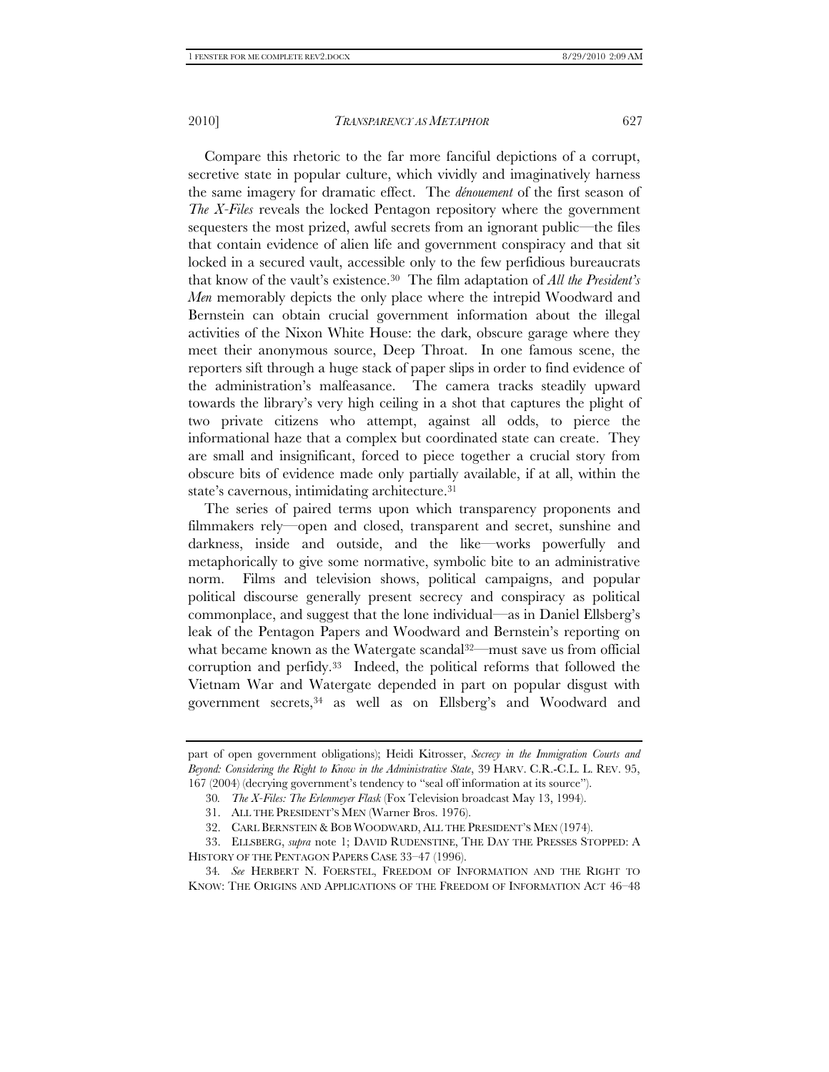Compare this rhetoric to the far more fanciful depictions of a corrupt, secretive state in popular culture, which vividly and imaginatively harness the same imagery for dramatic effect. The *dénouement* of the first season of *The X-Files* reveals the locked Pentagon repository where the government sequesters the most prized, awful secrets from an ignorant public—the files that contain evidence of alien life and government conspiracy and that sit locked in a secured vault, accessible only to the few perfidious bureaucrats that know of the vault's existence.30 The film adaptation of *All the President's Men* memorably depicts the only place where the intrepid Woodward and Bernstein can obtain crucial government information about the illegal activities of the Nixon White House: the dark, obscure garage where they meet their anonymous source, Deep Throat. In one famous scene, the reporters sift through a huge stack of paper slips in order to find evidence of the administration's malfeasance. The camera tracks steadily upward towards the library's very high ceiling in a shot that captures the plight of two private citizens who attempt, against all odds, to pierce the informational haze that a complex but coordinated state can create. They are small and insignificant, forced to piece together a crucial story from obscure bits of evidence made only partially available, if at all, within the state's cavernous, intimidating architecture.31

The series of paired terms upon which transparency proponents and filmmakers rely—open and closed, transparent and secret, sunshine and darkness, inside and outside, and the like—works powerfully and metaphorically to give some normative, symbolic bite to an administrative norm. Films and television shows, political campaigns, and popular political discourse generally present secrecy and conspiracy as political commonplace, and suggest that the lone individual—as in Daniel Ellsberg's leak of the Pentagon Papers and Woodward and Bernstein's reporting on what became known as the Watergate scandal<sup>32—</sup>must save us from official corruption and perfidy.33 Indeed, the political reforms that followed the Vietnam War and Watergate depended in part on popular disgust with government secrets,34 as well as on Ellsberg's and Woodward and

part of open government obligations); Heidi Kitrosser, *Secrecy in the Immigration Courts and Beyond: Considering the Right to Know in the Administrative State*, 39 HARV. C.R.-C.L. L. REV. 95, 167 (2004) (decrying government's tendency to "seal off information at its source").

<sup>30</sup>*. The X-Files: The Erlenmeyer Flask* (Fox Television broadcast May 13, 1994).

 <sup>31.</sup> ALL THE PRESIDENT'S MEN (Warner Bros. 1976).

 <sup>32.</sup> CARL BERNSTEIN & BOB WOODWARD, ALL THE PRESIDENT'S MEN (1974).

 <sup>33.</sup> ELLSBERG, *supra* note 1; DAVID RUDENSTINE, THE DAY THE PRESSES STOPPED: A HISTORY OF THE PENTAGON PAPERS CASE 33–47 (1996).

<sup>34</sup>*. See* HERBERT N. FOERSTEL, FREEDOM OF INFORMATION AND THE RIGHT TO KNOW: THE ORIGINS AND APPLICATIONS OF THE FREEDOM OF INFORMATION ACT 46–48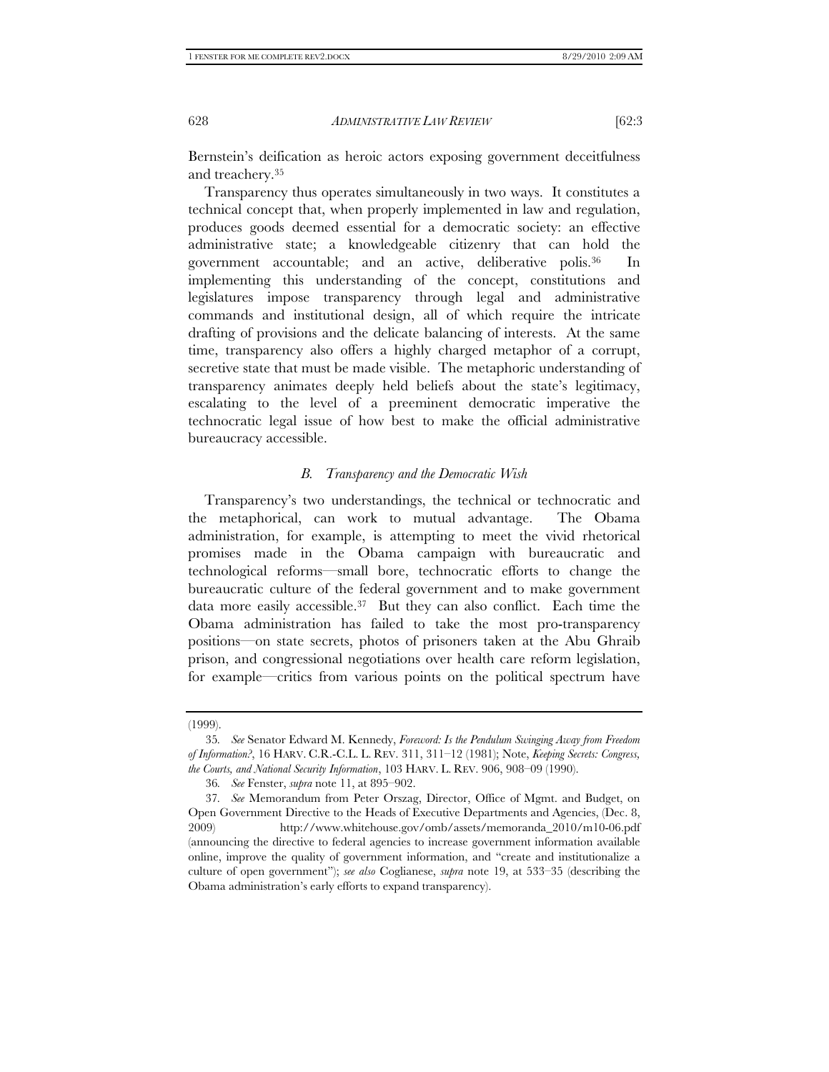Bernstein's deification as heroic actors exposing government deceitfulness and treachery.35

Transparency thus operates simultaneously in two ways. It constitutes a technical concept that, when properly implemented in law and regulation, produces goods deemed essential for a democratic society: an effective administrative state; a knowledgeable citizenry that can hold the government accountable; and an active, deliberative polis.36 In implementing this understanding of the concept, constitutions and legislatures impose transparency through legal and administrative commands and institutional design, all of which require the intricate drafting of provisions and the delicate balancing of interests. At the same time, transparency also offers a highly charged metaphor of a corrupt, secretive state that must be made visible. The metaphoric understanding of transparency animates deeply held beliefs about the state's legitimacy, escalating to the level of a preeminent democratic imperative the technocratic legal issue of how best to make the official administrative bureaucracy accessible.

#### *B. Transparency and the Democratic Wish*

Transparency's two understandings, the technical or technocratic and the metaphorical, can work to mutual advantage. The Obama administration, for example, is attempting to meet the vivid rhetorical promises made in the Obama campaign with bureaucratic and technological reforms—small bore, technocratic efforts to change the bureaucratic culture of the federal government and to make government data more easily accessible.37 But they can also conflict. Each time the Obama administration has failed to take the most pro-transparency positions—on state secrets, photos of prisoners taken at the Abu Ghraib prison, and congressional negotiations over health care reform legislation, for example—critics from various points on the political spectrum have

<sup>(1999).</sup> 

<sup>35</sup>*. See* Senator Edward M. Kennedy, *Foreword: Is the Pendulum Swinging Away from Freedom of Information?*, 16 HARV. C.R.-C.L. L. REV. 311, 311–12 (1981); Note, *Keeping Secrets: Congress, the Courts, and National Security Information*, 103 HARV. L. REV. 906, 908–09 (1990).

<sup>36</sup>*. See* Fenster, *supra* note 11, at 895–902.

<sup>37</sup>*. See* Memorandum from Peter Orszag, Director, Office of Mgmt. and Budget, on Open Government Directive to the Heads of Executive Departments and Agencies, (Dec. 8, 2009) http://www.whitehouse.gov/omb/assets/memoranda\_2010/m10-06.pdf (announcing the directive to federal agencies to increase government information available online, improve the quality of government information, and "create and institutionalize a culture of open government"); *see also* Coglianese, *supra* note 19, at 533–35 (describing the Obama administration's early efforts to expand transparency).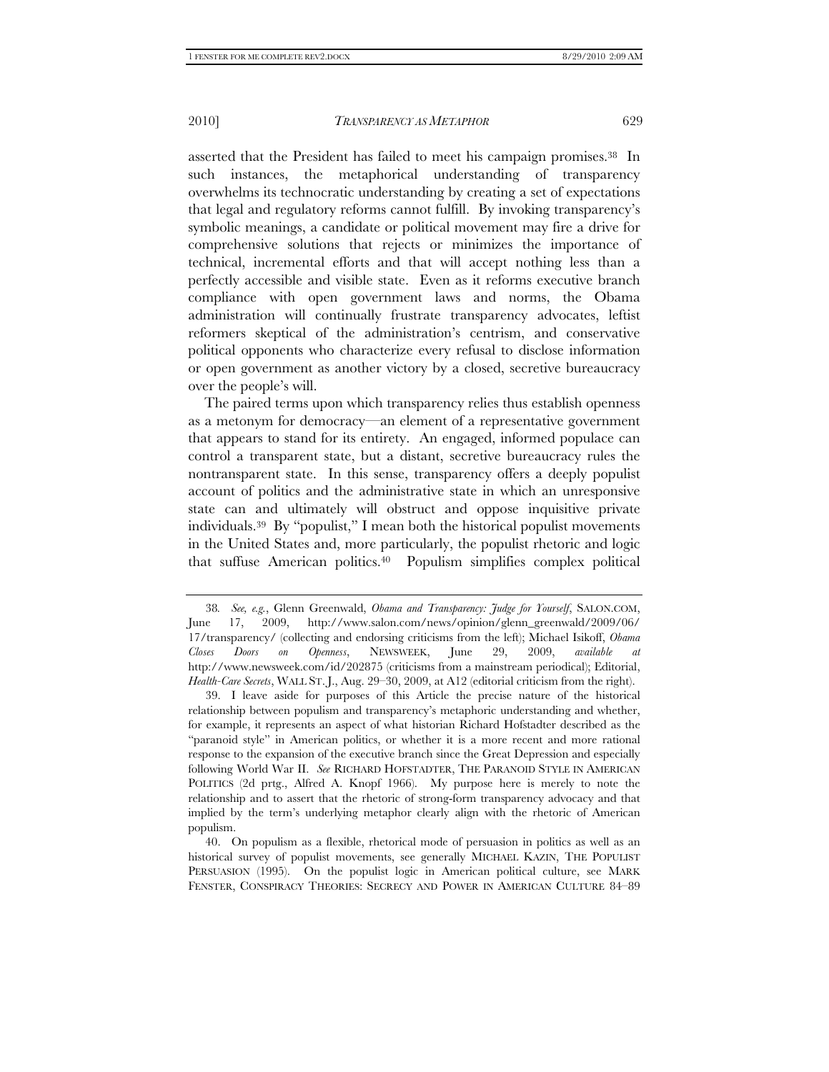asserted that the President has failed to meet his campaign promises.38 In such instances, the metaphorical understanding of transparency overwhelms its technocratic understanding by creating a set of expectations that legal and regulatory reforms cannot fulfill. By invoking transparency's symbolic meanings, a candidate or political movement may fire a drive for comprehensive solutions that rejects or minimizes the importance of technical, incremental efforts and that will accept nothing less than a perfectly accessible and visible state. Even as it reforms executive branch compliance with open government laws and norms, the Obama administration will continually frustrate transparency advocates, leftist reformers skeptical of the administration's centrism, and conservative political opponents who characterize every refusal to disclose information or open government as another victory by a closed, secretive bureaucracy over the people's will.

The paired terms upon which transparency relies thus establish openness as a metonym for democracy—an element of a representative government that appears to stand for its entirety. An engaged, informed populace can control a transparent state, but a distant, secretive bureaucracy rules the nontransparent state. In this sense, transparency offers a deeply populist account of politics and the administrative state in which an unresponsive state can and ultimately will obstruct and oppose inquisitive private individuals.39 By "populist," I mean both the historical populist movements in the United States and, more particularly, the populist rhetoric and logic that suffuse American politics.40 Populism simplifies complex political

<sup>38</sup>*. See, e.g.*, Glenn Greenwald, *Obama and Transparency: Judge for Yourself*, SALON.COM, June 17, 2009, http://www.salon.com/news/opinion/glenn\_greenwald/2009/06/ 17/transparency/ (collecting and endorsing criticisms from the left); Michael Isikoff, *Obama Closes Doors on Openness*, NEWSWEEK, June 29, 2009, *available at* http://www.newsweek.com/id/202875 (criticisms from a mainstream periodical); Editorial, *Health-Care Secrets*, WALL ST. J., Aug. 29–30, 2009, at A12 (editorial criticism from the right).

 <sup>39.</sup> I leave aside for purposes of this Article the precise nature of the historical relationship between populism and transparency's metaphoric understanding and whether, for example, it represents an aspect of what historian Richard Hofstadter described as the "paranoid style" in American politics, or whether it is a more recent and more rational response to the expansion of the executive branch since the Great Depression and especially following World War II. *See* RICHARD HOFSTADTER, THE PARANOID STYLE IN AMERICAN POLITICS (2d prtg., Alfred A. Knopf 1966). My purpose here is merely to note the relationship and to assert that the rhetoric of strong-form transparency advocacy and that implied by the term's underlying metaphor clearly align with the rhetoric of American populism.

 <sup>40.</sup> On populism as a flexible, rhetorical mode of persuasion in politics as well as an historical survey of populist movements, see generally MICHAEL KAZIN, THE POPULIST PERSUASION (1995). On the populist logic in American political culture, see MARK FENSTER, CONSPIRACY THEORIES: SECRECY AND POWER IN AMERICAN CULTURE 84–89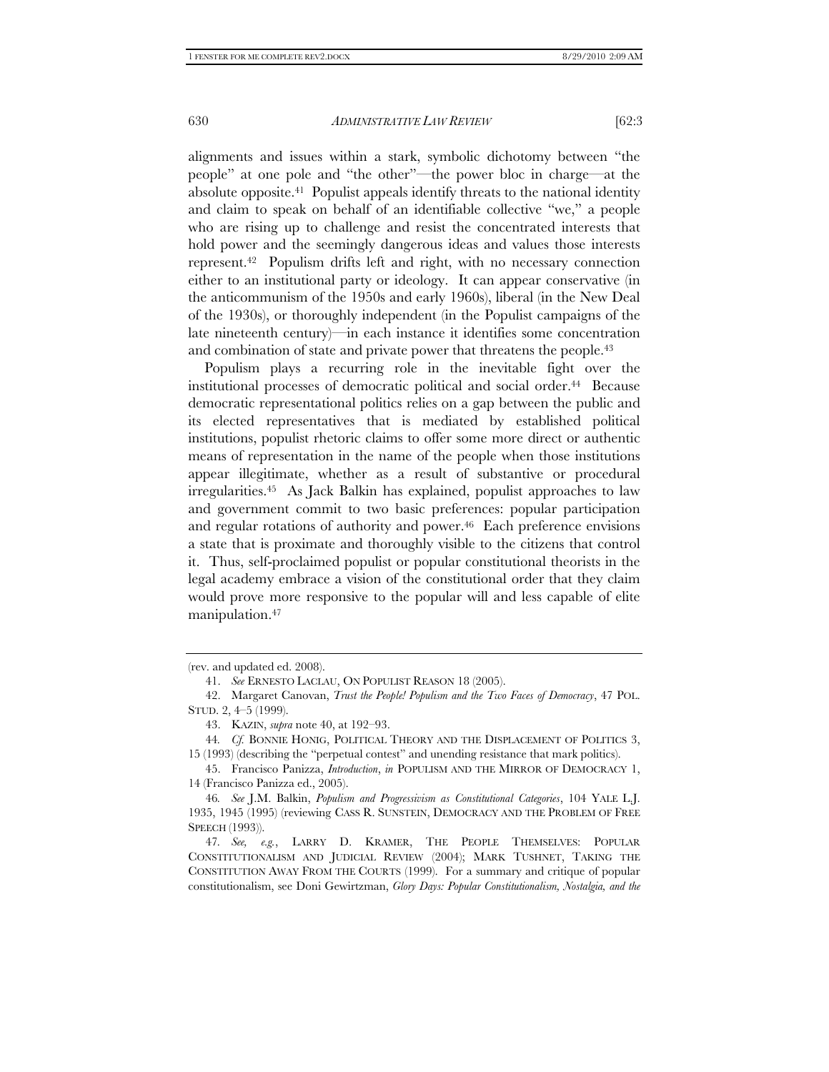alignments and issues within a stark, symbolic dichotomy between "the people" at one pole and "the other"—the power bloc in charge—at the absolute opposite.41 Populist appeals identify threats to the national identity and claim to speak on behalf of an identifiable collective "we," a people who are rising up to challenge and resist the concentrated interests that hold power and the seemingly dangerous ideas and values those interests represent.42 Populism drifts left and right, with no necessary connection either to an institutional party or ideology. It can appear conservative (in the anticommunism of the 1950s and early 1960s), liberal (in the New Deal of the 1930s), or thoroughly independent (in the Populist campaigns of the late nineteenth century)—in each instance it identifies some concentration and combination of state and private power that threatens the people.43

Populism plays a recurring role in the inevitable fight over the institutional processes of democratic political and social order.<sup>44</sup> Because democratic representational politics relies on a gap between the public and its elected representatives that is mediated by established political institutions, populist rhetoric claims to offer some more direct or authentic means of representation in the name of the people when those institutions appear illegitimate, whether as a result of substantive or procedural irregularities.45 As Jack Balkin has explained, populist approaches to law and government commit to two basic preferences: popular participation and regular rotations of authority and power.<sup>46</sup> Each preference envisions a state that is proximate and thoroughly visible to the citizens that control it. Thus, self-proclaimed populist or popular constitutional theorists in the legal academy embrace a vision of the constitutional order that they claim would prove more responsive to the popular will and less capable of elite manipulation.47

<sup>(</sup>rev. and updated ed. 2008).

 <sup>41.</sup> *See* ERNESTO LACLAU, ON POPULIST REASON 18 (2005).

 <sup>42.</sup> Margaret Canovan, *Trust the People! Populism and the Two Faces of Democracy*, 47 POL. STUD. 2, 4–5 (1999).

 <sup>43.</sup> KAZIN, *supra* note 40, at 192–93.

<sup>44</sup>*. Cf.* BONNIE HONIG, POLITICAL THEORY AND THE DISPLACEMENT OF POLITICS 3, 15 (1993) (describing the "perpetual contest" and unending resistance that mark politics).

 <sup>45.</sup> Francisco Panizza, *Introduction*, *in* POPULISM AND THE MIRROR OF DEMOCRACY 1, 14 (Francisco Panizza ed., 2005).

<sup>46</sup>*. See* J.M. Balkin, *Populism and Progressivism as Constitutional Categories*, 104 YALE L.J. 1935, 1945 (1995) (reviewing CASS R. SUNSTEIN, DEMOCRACY AND THE PROBLEM OF FREE SPEECH (1993)).

<sup>47</sup>*. See, e.g.*, LARRY D. KRAMER, THE PEOPLE THEMSELVES: POPULAR CONSTITUTIONALISM AND JUDICIAL REVIEW (2004); MARK TUSHNET, TAKING THE CONSTITUTION AWAY FROM THE COURTS (1999). For a summary and critique of popular constitutionalism, see Doni Gewirtzman, *Glory Days: Popular Constitutionalism, Nostalgia, and the*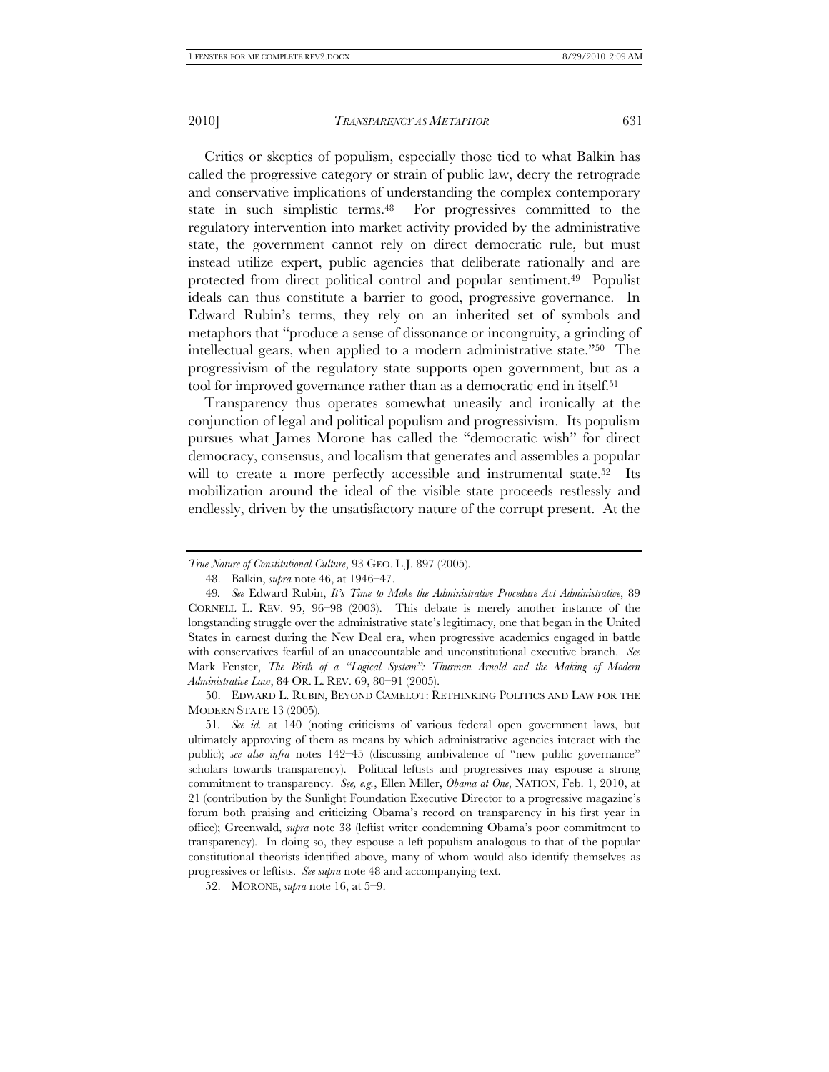Critics or skeptics of populism, especially those tied to what Balkin has called the progressive category or strain of public law, decry the retrograde and conservative implications of understanding the complex contemporary state in such simplistic terms.48 For progressives committed to the regulatory intervention into market activity provided by the administrative state, the government cannot rely on direct democratic rule, but must instead utilize expert, public agencies that deliberate rationally and are protected from direct political control and popular sentiment.49 Populist ideals can thus constitute a barrier to good, progressive governance. In Edward Rubin's terms, they rely on an inherited set of symbols and metaphors that "produce a sense of dissonance or incongruity, a grinding of intellectual gears, when applied to a modern administrative state."50 The progressivism of the regulatory state supports open government, but as a tool for improved governance rather than as a democratic end in itself.51

Transparency thus operates somewhat uneasily and ironically at the conjunction of legal and political populism and progressivism. Its populism pursues what James Morone has called the "democratic wish" for direct democracy, consensus, and localism that generates and assembles a popular will to create a more perfectly accessible and instrumental state.<sup>52</sup> Its mobilization around the ideal of the visible state proceeds restlessly and endlessly, driven by the unsatisfactory nature of the corrupt present. At the

*True Nature of Constitutional Culture*, 93 GEO. L.J. 897 (2005).

 <sup>48.</sup> Balkin, *supra* note 46, at 1946–47.

<sup>49</sup>*. See* Edward Rubin, *It's Time to Make the Administrative Procedure Act Administrative*, 89 CORNELL L. REV. 95, 96–98 (2003). This debate is merely another instance of the longstanding struggle over the administrative state's legitimacy, one that began in the United States in earnest during the New Deal era, when progressive academics engaged in battle with conservatives fearful of an unaccountable and unconstitutional executive branch. *See* Mark Fenster, *The Birth of a "Logical System": Thurman Arnold and the Making of Modern Administrative Law*, 84 OR. L. REV. 69, 80–91 (2005).

 <sup>50.</sup> EDWARD L. RUBIN, BEYOND CAMELOT: RETHINKING POLITICS AND LAW FOR THE MODERN STATE 13 (2005).

<sup>51</sup>*. See id.* at 140 (noting criticisms of various federal open government laws, but ultimately approving of them as means by which administrative agencies interact with the public); *see also infra* notes 142–45 (discussing ambivalence of "new public governance" scholars towards transparency). Political leftists and progressives may espouse a strong commitment to transparency. *See, e.g.*, Ellen Miller, *Obama at One*, NATION, Feb. 1, 2010, at 21 (contribution by the Sunlight Foundation Executive Director to a progressive magazine's forum both praising and criticizing Obama's record on transparency in his first year in office); Greenwald, *supra* note 38 (leftist writer condemning Obama's poor commitment to transparency). In doing so, they espouse a left populism analogous to that of the popular constitutional theorists identified above, many of whom would also identify themselves as progressives or leftists. *See supra* note 48 and accompanying text.

 <sup>52.</sup> MORONE, *supra* note 16, at 5–9.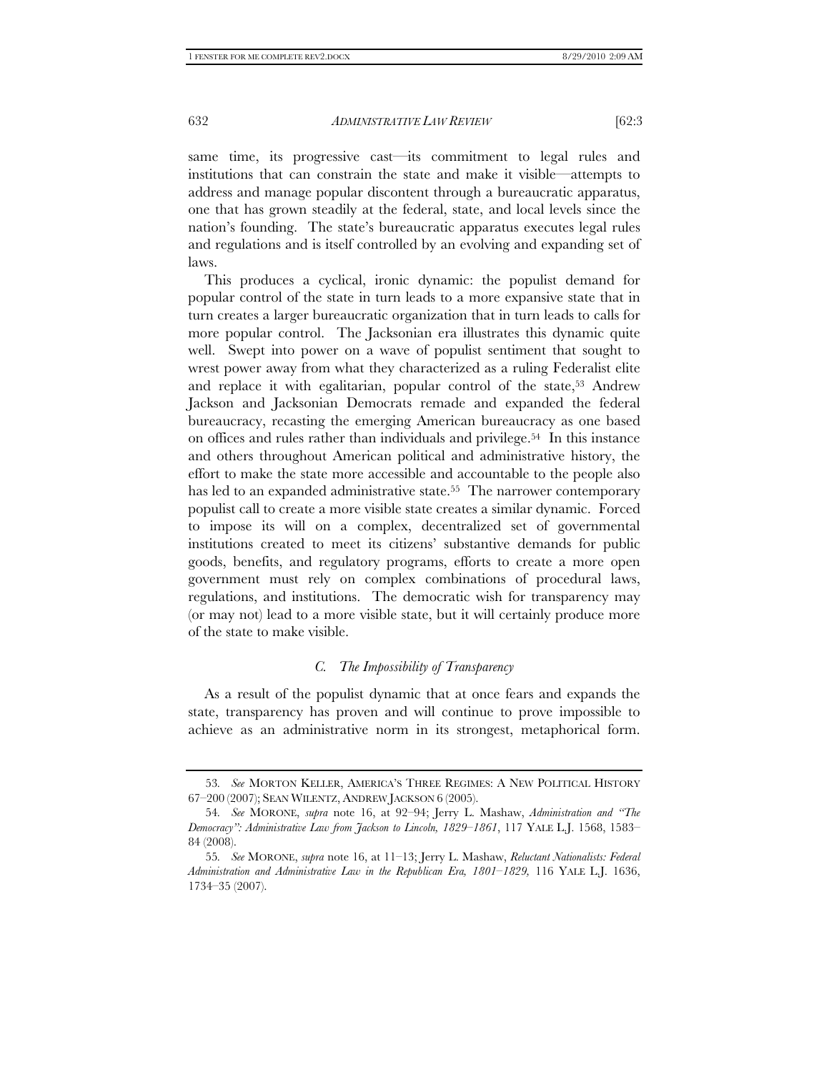same time, its progressive cast—its commitment to legal rules and institutions that can constrain the state and make it visible—attempts to address and manage popular discontent through a bureaucratic apparatus, one that has grown steadily at the federal, state, and local levels since the nation's founding. The state's bureaucratic apparatus executes legal rules and regulations and is itself controlled by an evolving and expanding set of laws.

This produces a cyclical, ironic dynamic: the populist demand for popular control of the state in turn leads to a more expansive state that in turn creates a larger bureaucratic organization that in turn leads to calls for more popular control. The Jacksonian era illustrates this dynamic quite well. Swept into power on a wave of populist sentiment that sought to wrest power away from what they characterized as a ruling Federalist elite and replace it with egalitarian, popular control of the state,<sup>53</sup> Andrew Jackson and Jacksonian Democrats remade and expanded the federal bureaucracy, recasting the emerging American bureaucracy as one based on offices and rules rather than individuals and privilege.54 In this instance and others throughout American political and administrative history, the effort to make the state more accessible and accountable to the people also has led to an expanded administrative state.<sup>55</sup> The narrower contemporary populist call to create a more visible state creates a similar dynamic. Forced to impose its will on a complex, decentralized set of governmental institutions created to meet its citizens' substantive demands for public goods, benefits, and regulatory programs, efforts to create a more open government must rely on complex combinations of procedural laws, regulations, and institutions. The democratic wish for transparency may (or may not) lead to a more visible state, but it will certainly produce more of the state to make visible.

#### *C. The Impossibility of Transparency*

As a result of the populist dynamic that at once fears and expands the state, transparency has proven and will continue to prove impossible to achieve as an administrative norm in its strongest, metaphorical form.

<sup>53</sup>*. See* MORTON KELLER, AMERICA'S THREE REGIMES: A NEW POLITICAL HISTORY 67–200 (2007); SEAN WILENTZ, ANDREW JACKSON 6 (2005).

<sup>54</sup>*. See* MORONE, *supra* note 16, at 92–94; Jerry L. Mashaw, *Administration and "The Democracy": Administrative Law from Jackson to Lincoln, 1829–1861*, 117 YALE L.J. 1568, 1583– 84 (2008).

<sup>55</sup>*. See* MORONE, *supra* note 16, at 11–13; Jerry L. Mashaw, *Reluctant Nationalists: Federal Administration and Administrative Law in the Republican Era, 1801–1829,* 116 YALE L.J. 1636, 1734–35 (2007).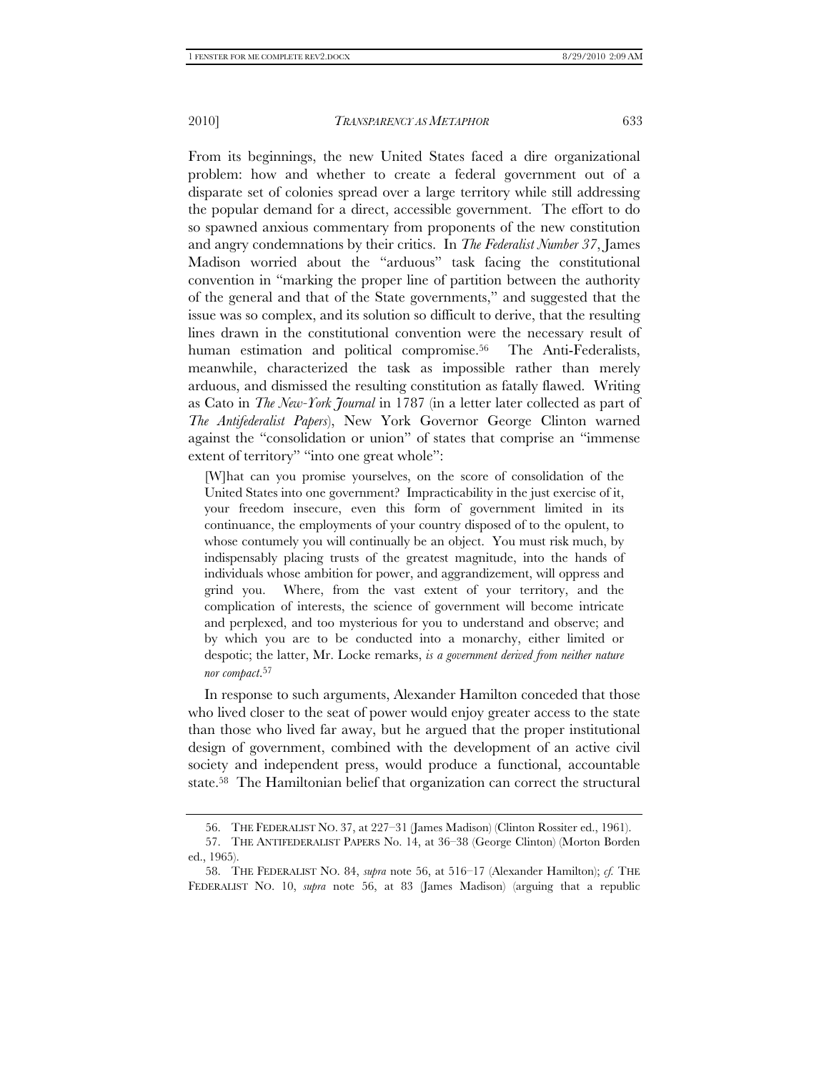From its beginnings, the new United States faced a dire organizational problem: how and whether to create a federal government out of a disparate set of colonies spread over a large territory while still addressing the popular demand for a direct, accessible government. The effort to do so spawned anxious commentary from proponents of the new constitution and angry condemnations by their critics. In *The Federalist Number 37*, James Madison worried about the "arduous" task facing the constitutional convention in "marking the proper line of partition between the authority of the general and that of the State governments," and suggested that the issue was so complex, and its solution so difficult to derive, that the resulting lines drawn in the constitutional convention were the necessary result of human estimation and political compromise.<sup>56</sup> The Anti-Federalists, meanwhile, characterized the task as impossible rather than merely arduous, and dismissed the resulting constitution as fatally flawed. Writing as Cato in *The New-York Journal* in 1787 (in a letter later collected as part of *The Antifederalist Papers*), New York Governor George Clinton warned against the "consolidation or union" of states that comprise an "immense extent of territory" "into one great whole":

[W]hat can you promise yourselves, on the score of consolidation of the United States into one government? Impracticability in the just exercise of it, your freedom insecure, even this form of government limited in its continuance, the employments of your country disposed of to the opulent, to whose contumely you will continually be an object. You must risk much, by indispensably placing trusts of the greatest magnitude, into the hands of individuals whose ambition for power, and aggrandizement, will oppress and grind you. Where, from the vast extent of your territory, and the complication of interests, the science of government will become intricate and perplexed, and too mysterious for you to understand and observe; and by which you are to be conducted into a monarchy, either limited or despotic; the latter, Mr. Locke remarks, *is a government derived from neither nature nor compact*. 57

In response to such arguments, Alexander Hamilton conceded that those who lived closer to the seat of power would enjoy greater access to the state than those who lived far away, but he argued that the proper institutional design of government, combined with the development of an active civil society and independent press, would produce a functional, accountable state.58 The Hamiltonian belief that organization can correct the structural

 <sup>56.</sup> THE FEDERALIST NO. 37, at 227–31 (James Madison) (Clinton Rossiter ed., 1961).

 <sup>57.</sup> THE ANTIFEDERALIST PAPERS No. 14, at 36–38 (George Clinton) (Morton Borden ed., 1965).

 <sup>58.</sup> THE FEDERALIST NO. 84, *supra* note 56, at 516–17 (Alexander Hamilton); *cf.* THE FEDERALIST NO. 10, *supra* note 56, at 83 (James Madison) (arguing that a republic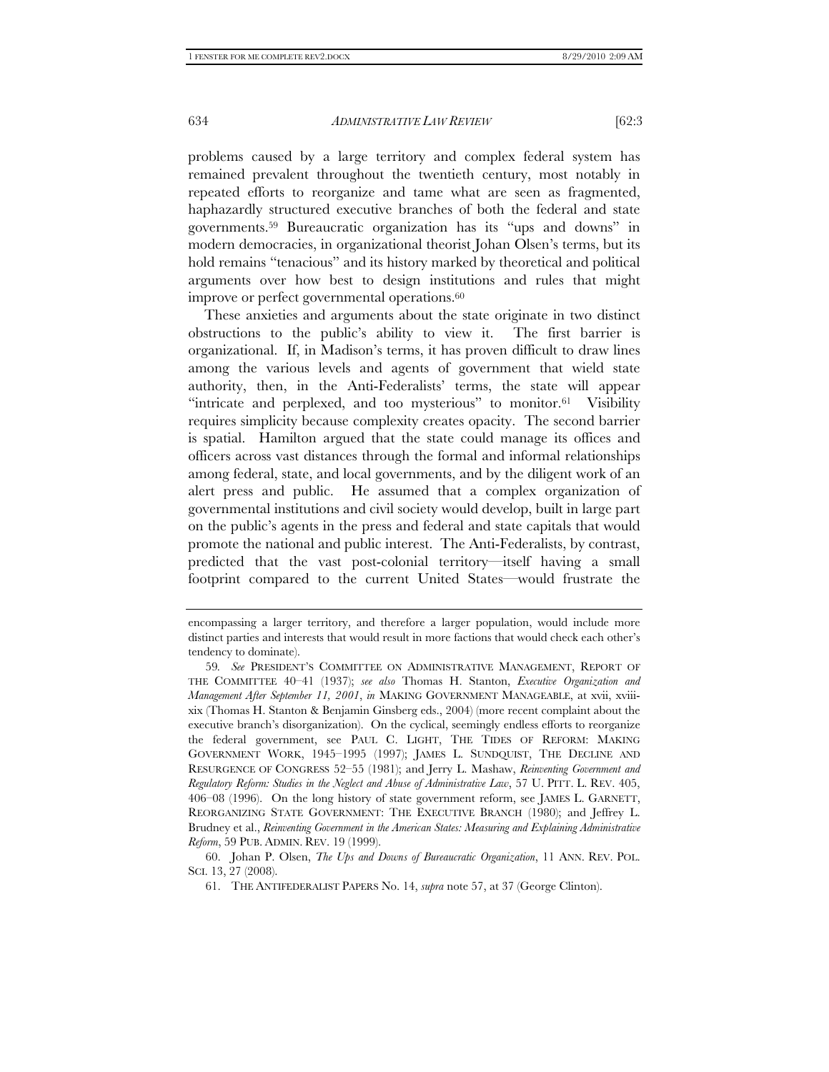problems caused by a large territory and complex federal system has remained prevalent throughout the twentieth century, most notably in repeated efforts to reorganize and tame what are seen as fragmented, haphazardly structured executive branches of both the federal and state governments.59 Bureaucratic organization has its "ups and downs" in modern democracies, in organizational theorist Johan Olsen's terms, but its hold remains "tenacious" and its history marked by theoretical and political arguments over how best to design institutions and rules that might improve or perfect governmental operations.<sup>60</sup>

These anxieties and arguments about the state originate in two distinct obstructions to the public's ability to view it. The first barrier is organizational. If, in Madison's terms, it has proven difficult to draw lines among the various levels and agents of government that wield state authority, then, in the Anti-Federalists' terms, the state will appear "intricate and perplexed, and too mysterious" to monitor.61 Visibility requires simplicity because complexity creates opacity. The second barrier is spatial. Hamilton argued that the state could manage its offices and officers across vast distances through the formal and informal relationships among federal, state, and local governments, and by the diligent work of an alert press and public. He assumed that a complex organization of governmental institutions and civil society would develop, built in large part on the public's agents in the press and federal and state capitals that would promote the national and public interest. The Anti-Federalists, by contrast, predicted that the vast post-colonial territory—itself having a small footprint compared to the current United States—would frustrate the

encompassing a larger territory, and therefore a larger population, would include more distinct parties and interests that would result in more factions that would check each other's tendency to dominate).

<sup>59</sup>*. See* PRESIDENT'S COMMITTEE ON ADMINISTRATIVE MANAGEMENT, REPORT OF THE COMMITTEE 40–41 (1937); *see also* Thomas H. Stanton, *Executive Organization and Management After September 11, 2001*, *in* MAKING GOVERNMENT MANAGEABLE, at xvii, xviiixix (Thomas H. Stanton & Benjamin Ginsberg eds., 2004) (more recent complaint about the executive branch's disorganization). On the cyclical, seemingly endless efforts to reorganize the federal government, see PAUL C. LIGHT, THE TIDES OF REFORM: MAKING GOVERNMENT WORK, 1945–1995 (1997); JAMES L. SUNDQUIST, THE DECLINE AND RESURGENCE OF CONGRESS 52–55 (1981); and Jerry L. Mashaw, *Reinventing Government and Regulatory Reform: Studies in the Neglect and Abuse of Administrative Law*, 57 U. PITT. L. REV. 405, 406–08 (1996). On the long history of state government reform, see JAMES L. GARNETT, REORGANIZING STATE GOVERNMENT: THE EXECUTIVE BRANCH (1980); and Jeffrey L. Brudney et al., *Reinventing Government in the American States: Measuring and Explaining Administrative Reform*, 59 PUB. ADMIN. REV. 19 (1999).

 <sup>60.</sup> Johan P. Olsen, *The Ups and Downs of Bureaucratic Organization*, 11 ANN. REV. POL. SCI. 13, 27 (2008).

 <sup>61.</sup> THE ANTIFEDERALIST PAPERS No. 14, *supra* note 57, at 37 (George Clinton).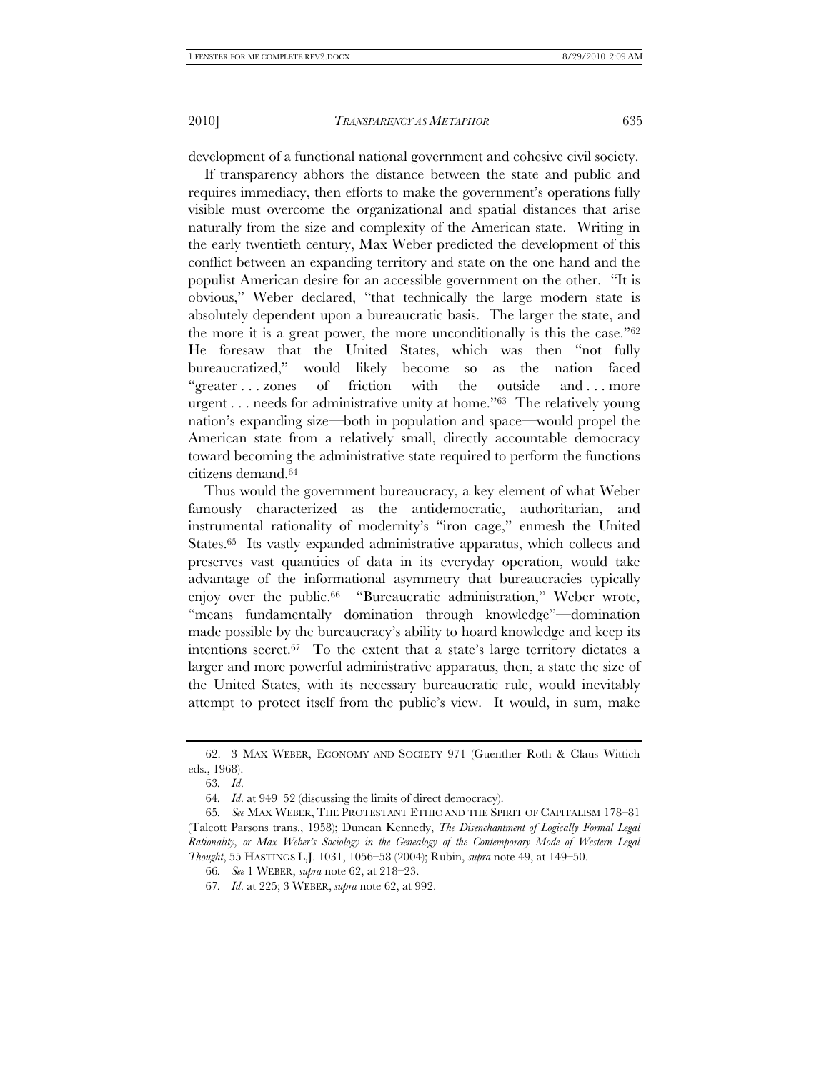development of a functional national government and cohesive civil society.

If transparency abhors the distance between the state and public and requires immediacy, then efforts to make the government's operations fully visible must overcome the organizational and spatial distances that arise naturally from the size and complexity of the American state. Writing in the early twentieth century, Max Weber predicted the development of this conflict between an expanding territory and state on the one hand and the populist American desire for an accessible government on the other. "It is obvious," Weber declared, "that technically the large modern state is absolutely dependent upon a bureaucratic basis. The larger the state, and the more it is a great power, the more unconditionally is this the case."62 He foresaw that the United States, which was then "not fully bureaucratized," would likely become so as the nation faced "greater . . . zones of friction with the outside and . . . more urgent . . . needs for administrative unity at home."63 The relatively young nation's expanding size—both in population and space—would propel the American state from a relatively small, directly accountable democracy toward becoming the administrative state required to perform the functions citizens demand.64

Thus would the government bureaucracy, a key element of what Weber famously characterized as the antidemocratic, authoritarian, and instrumental rationality of modernity's "iron cage," enmesh the United States.<sup>65</sup> Its vastly expanded administrative apparatus, which collects and preserves vast quantities of data in its everyday operation, would take advantage of the informational asymmetry that bureaucracies typically enjoy over the public.66 "Bureaucratic administration," Weber wrote, "means fundamentally domination through knowledge"—domination made possible by the bureaucracy's ability to hoard knowledge and keep its intentions secret.67 To the extent that a state's large territory dictates a larger and more powerful administrative apparatus, then, a state the size of the United States, with its necessary bureaucratic rule, would inevitably attempt to protect itself from the public's view. It would, in sum, make

 <sup>62. 3</sup> MAX WEBER, ECONOMY AND SOCIETY 971 (Guenther Roth & Claus Wittich eds., 1968).

<sup>63</sup>*. Id*.

<sup>64</sup>*. Id*. at 949–52 (discussing the limits of direct democracy).

<sup>65</sup>*. See* MAX WEBER, THE PROTESTANT ETHIC AND THE SPIRIT OF CAPITALISM 178–81 (Talcott Parsons trans., 1958); Duncan Kennedy, *The Disenchantment of Logically Formal Legal Rationality, or Max Weber's Sociology in the Genealogy of the Contemporary Mode of Western Legal Thought*, 55 HASTINGS L.J. 1031, 1056–58 (2004); Rubin, *supra* note 49, at 149–50.

<sup>66</sup>*. See* 1 WEBER, *supra* note 62, at 218–23.

<sup>67</sup>*. Id*. at 225; 3 WEBER, *supra* note 62, at 992.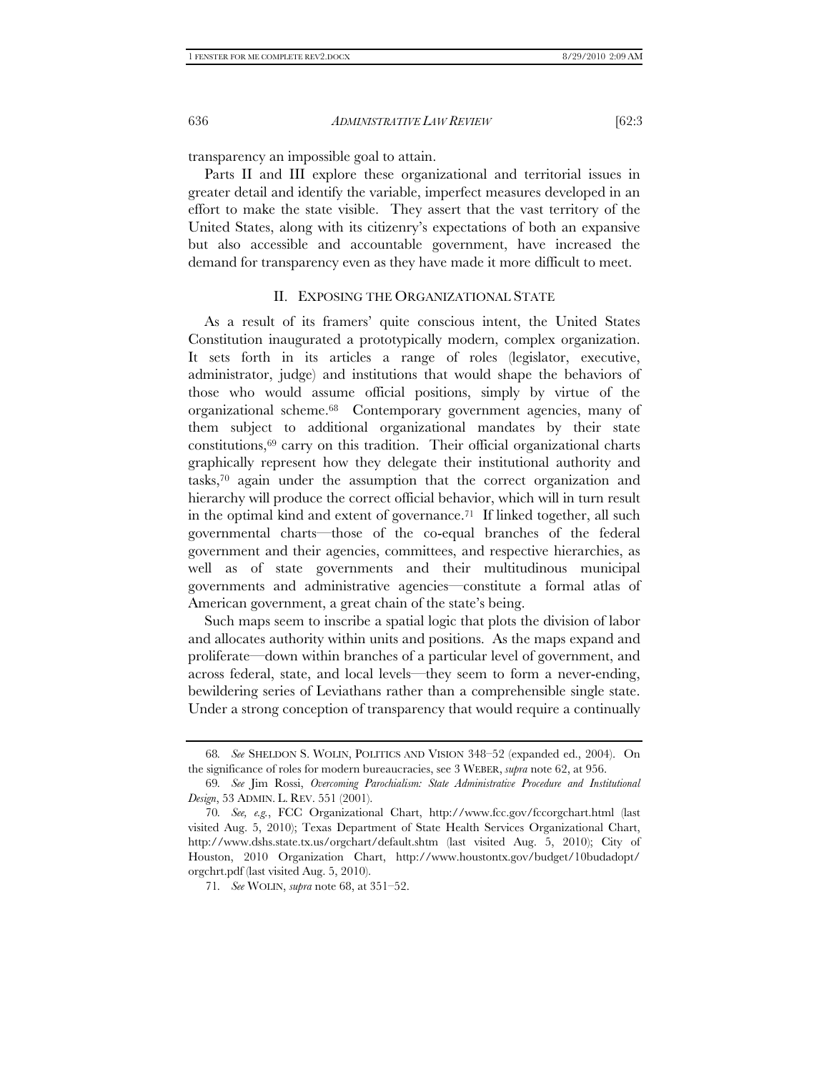transparency an impossible goal to attain.

Parts II and III explore these organizational and territorial issues in greater detail and identify the variable, imperfect measures developed in an effort to make the state visible. They assert that the vast territory of the United States, along with its citizenry's expectations of both an expansive but also accessible and accountable government, have increased the demand for transparency even as they have made it more difficult to meet.

#### II. EXPOSING THE ORGANIZATIONAL STATE

As a result of its framers' quite conscious intent, the United States Constitution inaugurated a prototypically modern, complex organization. It sets forth in its articles a range of roles (legislator, executive, administrator, judge) and institutions that would shape the behaviors of those who would assume official positions, simply by virtue of the organizational scheme.68 Contemporary government agencies, many of them subject to additional organizational mandates by their state constitutions,69 carry on this tradition. Their official organizational charts graphically represent how they delegate their institutional authority and tasks,70 again under the assumption that the correct organization and hierarchy will produce the correct official behavior, which will in turn result in the optimal kind and extent of governance.<sup>71</sup> If linked together, all such governmental charts—those of the co-equal branches of the federal government and their agencies, committees, and respective hierarchies, as well as of state governments and their multitudinous municipal governments and administrative agencies—constitute a formal atlas of American government, a great chain of the state's being.

Such maps seem to inscribe a spatial logic that plots the division of labor and allocates authority within units and positions. As the maps expand and proliferate—down within branches of a particular level of government, and across federal, state, and local levels—they seem to form a never-ending, bewildering series of Leviathans rather than a comprehensible single state. Under a strong conception of transparency that would require a continually

<sup>68</sup>*. See* SHELDON S. WOLIN, POLITICS AND VISION 348–52 (expanded ed., 2004). On the significance of roles for modern bureaucracies, see 3 WEBER, *supra* note 62, at 956.

<sup>69</sup>*. See* Jim Rossi, *Overcoming Parochialism: State Administrative Procedure and Institutional Design*, 53 ADMIN. L. REV. 551 (2001).

<sup>70</sup>*. See, e.g.*, FCC Organizational Chart, http://www.fcc.gov/fccorgchart.html (last visited Aug. 5, 2010); Texas Department of State Health Services Organizational Chart, http://www.dshs.state.tx.us/orgchart/default.shtm (last visited Aug. 5, 2010); City of Houston, 2010 Organization Chart, http://www.houstontx.gov/budget/10budadopt/ orgchrt.pdf (last visited Aug. 5, 2010).

<sup>71</sup>*. See* WOLIN, *supra* note 68, at 351–52.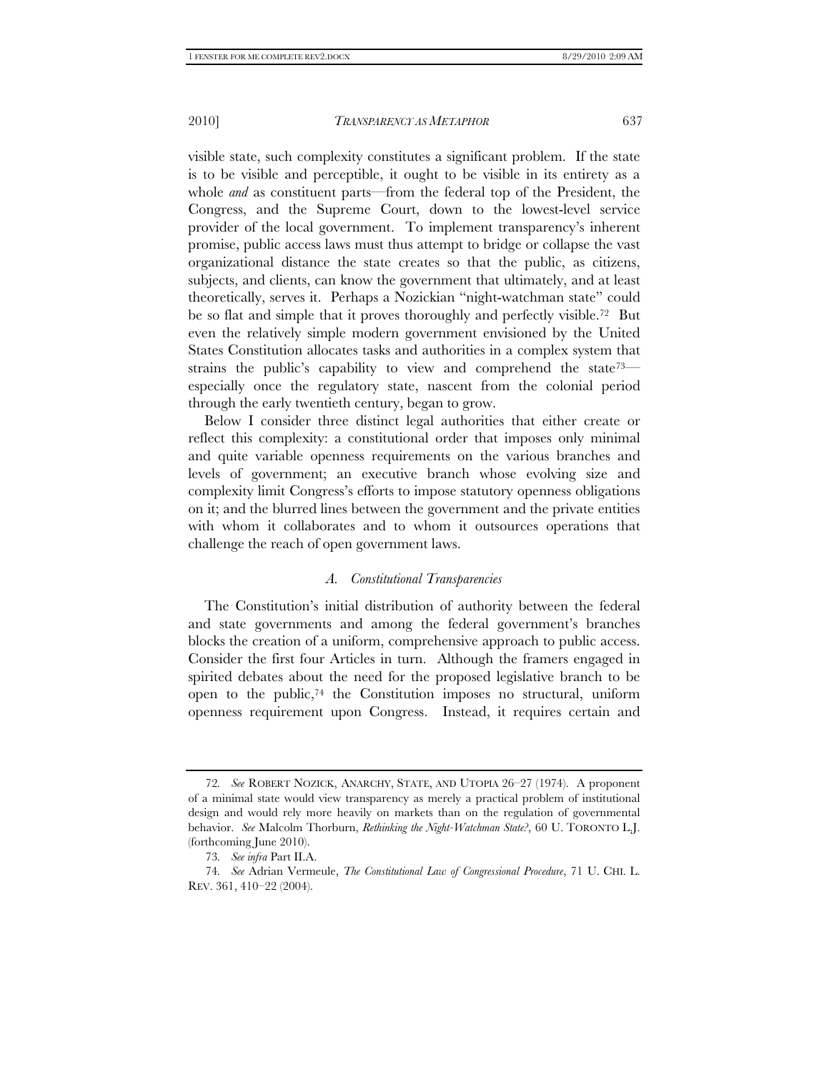visible state, such complexity constitutes a significant problem. If the state is to be visible and perceptible, it ought to be visible in its entirety as a whole *and* as constituent parts—from the federal top of the President, the Congress, and the Supreme Court, down to the lowest-level service provider of the local government. To implement transparency's inherent promise, public access laws must thus attempt to bridge or collapse the vast organizational distance the state creates so that the public, as citizens, subjects, and clients, can know the government that ultimately, and at least theoretically, serves it. Perhaps a Nozickian "night-watchman state" could be so flat and simple that it proves thoroughly and perfectly visible.72 But even the relatively simple modern government envisioned by the United States Constitution allocates tasks and authorities in a complex system that strains the public's capability to view and comprehend the state<sup>73—</sup> especially once the regulatory state, nascent from the colonial period through the early twentieth century, began to grow.

Below I consider three distinct legal authorities that either create or reflect this complexity: a constitutional order that imposes only minimal and quite variable openness requirements on the various branches and levels of government; an executive branch whose evolving size and complexity limit Congress's efforts to impose statutory openness obligations on it; and the blurred lines between the government and the private entities with whom it collaborates and to whom it outsources operations that challenge the reach of open government laws.

#### *A. Constitutional Transparencies*

The Constitution's initial distribution of authority between the federal and state governments and among the federal government's branches blocks the creation of a uniform, comprehensive approach to public access. Consider the first four Articles in turn. Although the framers engaged in spirited debates about the need for the proposed legislative branch to be open to the public,74 the Constitution imposes no structural, uniform openness requirement upon Congress. Instead, it requires certain and

<sup>72</sup>*. See* ROBERT NOZICK, ANARCHY, STATE, AND UTOPIA 26–27 (1974). A proponent of a minimal state would view transparency as merely a practical problem of institutional design and would rely more heavily on markets than on the regulation of governmental behavior. *See* Malcolm Thorburn, *Rethinking the Night-Watchman State?*, 60 U. TORONTO L.J. (forthcoming June 2010).

<sup>73</sup>*. See infra* Part II.A.

<sup>74</sup>*. See* Adrian Vermeule, *The Constitutional Law of Congressional Procedure*, 71 U. CHI. L. REV. 361, 410–22 (2004).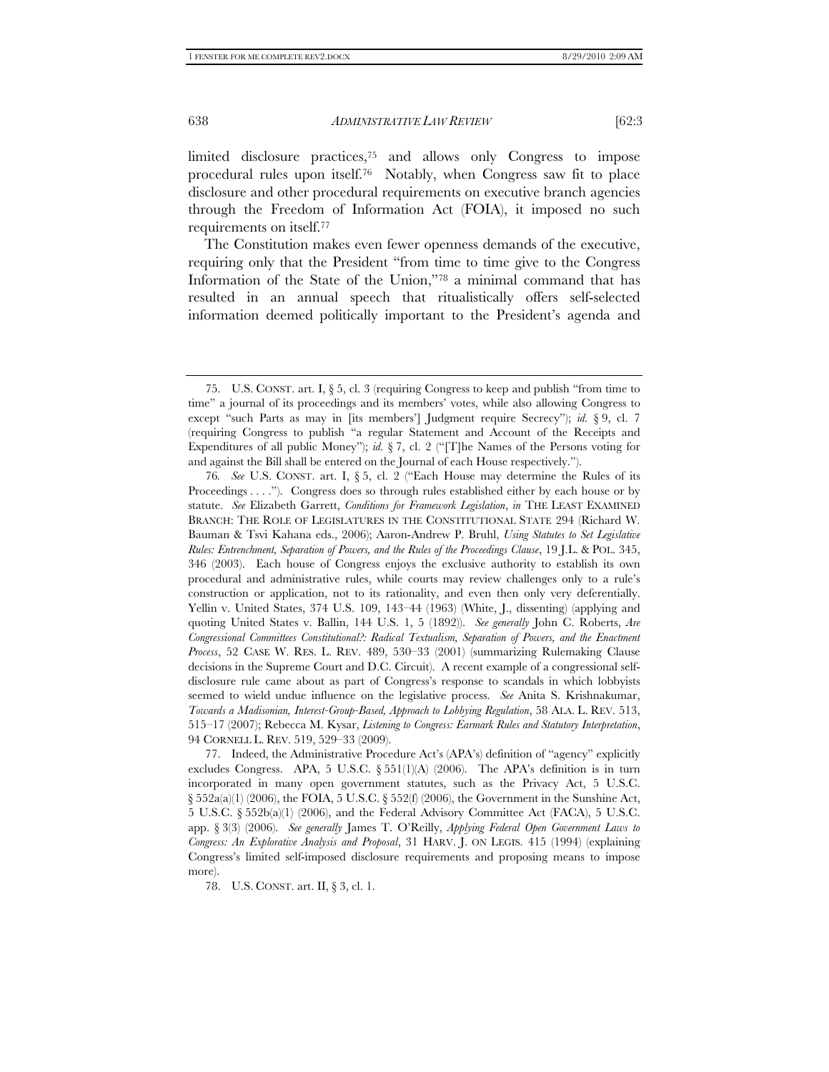limited disclosure practices,75 and allows only Congress to impose procedural rules upon itself.76 Notably, when Congress saw fit to place disclosure and other procedural requirements on executive branch agencies through the Freedom of Information Act (FOIA), it imposed no such requirements on itself.77

The Constitution makes even fewer openness demands of the executive, requiring only that the President "from time to time give to the Congress Information of the State of the Union,"78 a minimal command that has resulted in an annual speech that ritualistically offers self-selected information deemed politically important to the President's agenda and

78. U.S. CONST. art. II, § 3, cl. 1.

 <sup>75.</sup> U.S. CONST. art. I, § 5, cl. 3 (requiring Congress to keep and publish "from time to time" a journal of its proceedings and its members' votes, while also allowing Congress to except "such Parts as may in [its members'] Judgment require Secrecy"); *id.* § 9, cl. 7 (requiring Congress to publish "a regular Statement and Account of the Receipts and Expenditures of all public Money"); *id.* § 7, cl. 2 ("[T]he Names of the Persons voting for and against the Bill shall be entered on the Journal of each House respectively.").

<sup>76</sup>*. See* U.S. CONST. art. I, § 5, cl. 2 ("Each House may determine the Rules of its Proceedings . . . ."). Congress does so through rules established either by each house or by statute. *See* Elizabeth Garrett, *Conditions for Framework Legislation*, *in* THE LEAST EXAMINED BRANCH: THE ROLE OF LEGISLATURES IN THE CONSTITUTIONAL STATE 294 (Richard W. Bauman & Tsvi Kahana eds., 2006); Aaron-Andrew P. Bruhl, *Using Statutes to Set Legislative Rules: Entrenchment, Separation of Powers, and the Rules of the Proceedings Clause*, 19 J.L. & POL. 345, 346 (2003). Each house of Congress enjoys the exclusive authority to establish its own procedural and administrative rules, while courts may review challenges only to a rule's construction or application, not to its rationality, and even then only very deferentially. Yellin v. United States, 374 U.S. 109, 143–44 (1963) (White, J., dissenting) (applying and quoting United States v. Ballin, 144 U.S. 1, 5 (1892)). *See generally* John C. Roberts, *Are Congressional Committees Constitutional?: Radical Textualism, Separation of Powers, and the Enactment Process*, 52 CASE W. RES. L. REV. 489, 530–33 (2001) (summarizing Rulemaking Clause decisions in the Supreme Court and D.C. Circuit). A recent example of a congressional selfdisclosure rule came about as part of Congress's response to scandals in which lobbyists seemed to wield undue influence on the legislative process. *See* Anita S. Krishnakumar, *Towards a Madisonian, Interest-Group-Based, Approach to Lobbying Regulation*, 58 ALA. L. REV. 513, 515–17 (2007); Rebecca M. Kysar, *Listening to Congress: Earmark Rules and Statutory Interpretation*, 94 CORNELL L. REV. 519, 529–33 (2009).

 <sup>77.</sup> Indeed, the Administrative Procedure Act's (APA's) definition of "agency" explicitly excludes Congress. APA, 5 U.S.C. § 551(1)(A) (2006). The APA's definition is in turn incorporated in many open government statutes, such as the Privacy Act, 5 U.S.C.  $\S$  552a(a)(1) (2006), the FOIA, 5 U.S.C.  $\S$  552(f) (2006), the Government in the Sunshine Act, 5 U.S.C. § 552b(a)(1) (2006), and the Federal Advisory Committee Act (FACA), 5 U.S.C. app. § 3(3) (2006). *See generally* James T. O'Reilly, *Applying Federal Open Government Laws to Congress: An Explorative Analysis and Proposal*, 31 HARV. J. ON LEGIS. 415 (1994) (explaining Congress's limited self-imposed disclosure requirements and proposing means to impose more).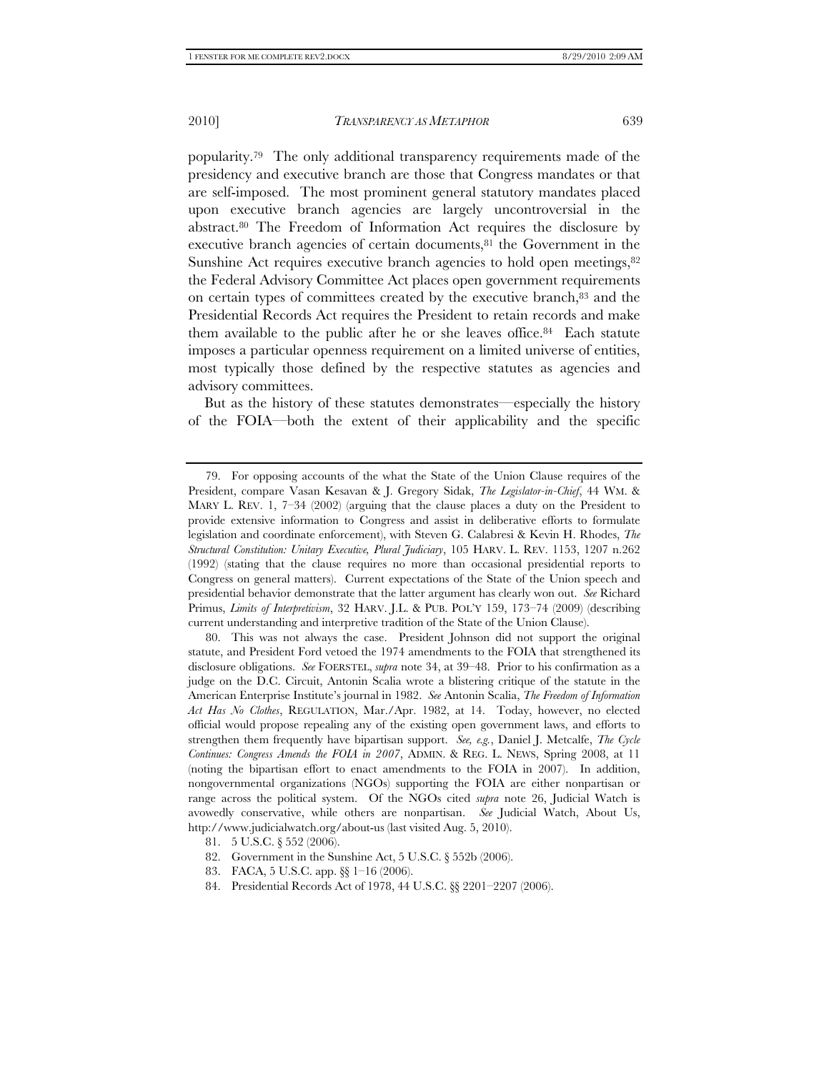popularity.79 The only additional transparency requirements made of the presidency and executive branch are those that Congress mandates or that are self-imposed. The most prominent general statutory mandates placed upon executive branch agencies are largely uncontroversial in the abstract.80 The Freedom of Information Act requires the disclosure by executive branch agencies of certain documents,<sup>81</sup> the Government in the Sunshine Act requires executive branch agencies to hold open meetings, <sup>82</sup> the Federal Advisory Committee Act places open government requirements on certain types of committees created by the executive branch,83 and the Presidential Records Act requires the President to retain records and make them available to the public after he or she leaves office.<sup>84</sup> Each statute imposes a particular openness requirement on a limited universe of entities, most typically those defined by the respective statutes as agencies and advisory committees.

But as the history of these statutes demonstrates—especially the history of the FOIA—both the extent of their applicability and the specific

 <sup>79.</sup> For opposing accounts of the what the State of the Union Clause requires of the President, compare Vasan Kesavan & J. Gregory Sidak, *The Legislator-in-Chief*, 44 WM. & MARY L. REV. 1, 7–34 (2002) (arguing that the clause places a duty on the President to provide extensive information to Congress and assist in deliberative efforts to formulate legislation and coordinate enforcement), with Steven G. Calabresi & Kevin H. Rhodes, *The Structural Constitution: Unitary Executive, Plural Judiciary*, 105 HARV. L. REV. 1153, 1207 n.262 (1992) (stating that the clause requires no more than occasional presidential reports to Congress on general matters). Current expectations of the State of the Union speech and presidential behavior demonstrate that the latter argument has clearly won out. *See* Richard Primus, *Limits of Interpretivism*, 32 HARV. J.L. & PUB. POL'Y 159, 173–74 (2009) (describing current understanding and interpretive tradition of the State of the Union Clause).

 <sup>80.</sup> This was not always the case. President Johnson did not support the original statute, and President Ford vetoed the 1974 amendments to the FOIA that strengthened its disclosure obligations. *See* FOERSTEL, *supra* note 34, at 39–48. Prior to his confirmation as a judge on the D.C. Circuit, Antonin Scalia wrote a blistering critique of the statute in the American Enterprise Institute's journal in 1982. *See* Antonin Scalia, *The Freedom of Information Act Has No Clothes*, REGULATION, Mar./Apr. 1982, at 14. Today, however, no elected official would propose repealing any of the existing open government laws, and efforts to strengthen them frequently have bipartisan support. *See, e.g.*, Daniel J. Metcalfe, *The Cycle Continues: Congress Amends the FOIA in 2007*, ADMIN. & REG. L. NEWS, Spring 2008, at 11 (noting the bipartisan effort to enact amendments to the FOIA in 2007). In addition, nongovernmental organizations (NGOs) supporting the FOIA are either nonpartisan or range across the political system. Of the NGOs cited *supra* note 26, Judicial Watch is avowedly conservative, while others are nonpartisan. *See* Judicial Watch, About Us, http://www.judicialwatch.org/about-us (last visited Aug. 5, 2010).

 <sup>81. 5</sup> U.S.C. § 552 (2006).

 <sup>82.</sup> Government in the Sunshine Act, 5 U.S.C. § 552b (2006).

 <sup>83.</sup> FACA, 5 U.S.C. app. §§ 1–16 (2006).

 <sup>84.</sup> Presidential Records Act of 1978, 44 U.S.C. §§ 2201–2207 (2006).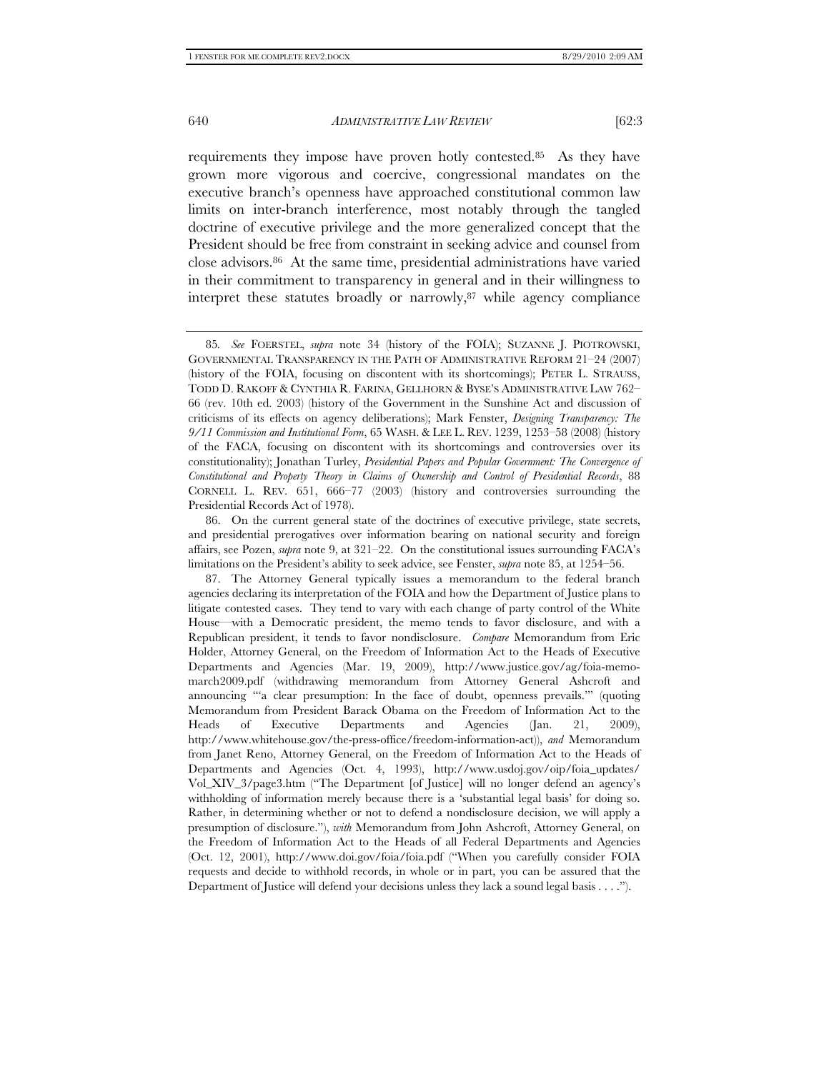requirements they impose have proven hotly contested.85 As they have grown more vigorous and coercive, congressional mandates on the executive branch's openness have approached constitutional common law limits on inter-branch interference, most notably through the tangled doctrine of executive privilege and the more generalized concept that the President should be free from constraint in seeking advice and counsel from close advisors.86 At the same time, presidential administrations have varied in their commitment to transparency in general and in their willingness to interpret these statutes broadly or narrowly,87 while agency compliance

<sup>85</sup>*. See* FOERSTEL, *supra* note 34 (history of the FOIA); SUZANNE J. PIOTROWSKI, GOVERNMENTAL TRANSPARENCY IN THE PATH OF ADMINISTRATIVE REFORM 21–24 (2007) (history of the FOIA, focusing on discontent with its shortcomings); PETER L. STRAUSS, TODD D. RAKOFF & CYNTHIA R. FARINA, GELLHORN & BYSE'S ADMINISTRATIVE LAW 762– 66 (rev. 10th ed. 2003) (history of the Government in the Sunshine Act and discussion of criticisms of its effects on agency deliberations); Mark Fenster, *Designing Transparency: The 9/11 Commission and Institutional Form*, 65 WASH. & LEE L. REV. 1239, 1253–58 (2008) (history of the FACA, focusing on discontent with its shortcomings and controversies over its constitutionality); Jonathan Turley, *Presidential Papers and Popular Government: The Convergence of Constitutional and Property Theory in Claims of Ownership and Control of Presidential Records*, 88 CORNELL L. REV. 651, 666–77 (2003) (history and controversies surrounding the Presidential Records Act of 1978).

 <sup>86.</sup> On the current general state of the doctrines of executive privilege, state secrets, and presidential prerogatives over information bearing on national security and foreign affairs, see Pozen, *supra* note 9, at 321–22. On the constitutional issues surrounding FACA's limitations on the President's ability to seek advice, see Fenster, *supra* note 85, at 1254–56.

 <sup>87.</sup> The Attorney General typically issues a memorandum to the federal branch agencies declaring its interpretation of the FOIA and how the Department of Justice plans to litigate contested cases. They tend to vary with each change of party control of the White House—with a Democratic president, the memo tends to favor disclosure, and with a Republican president, it tends to favor nondisclosure. *Compare* Memorandum from Eric Holder, Attorney General, on the Freedom of Information Act to the Heads of Executive Departments and Agencies (Mar. 19, 2009), http://www.justice.gov/ag/foia-memomarch2009.pdf (withdrawing memorandum from Attorney General Ashcroft and announcing "'a clear presumption: In the face of doubt, openness prevails.'" (quoting Memorandum from President Barack Obama on the Freedom of Information Act to the Heads of Executive Departments and Agencies (Jan. 21, 2009), http://www.whitehouse.gov/the-press-office/freedom-information-act)), *and* Memorandum from Janet Reno, Attorney General, on the Freedom of Information Act to the Heads of Departments and Agencies (Oct. 4, 1993), http://www.usdoj.gov/oip/foia\_updates/ Vol\_XIV\_3/page3.htm ("The Department [of Justice] will no longer defend an agency's withholding of information merely because there is a 'substantial legal basis' for doing so. Rather, in determining whether or not to defend a nondisclosure decision, we will apply a presumption of disclosure."), *with* Memorandum from John Ashcroft, Attorney General, on the Freedom of Information Act to the Heads of all Federal Departments and Agencies (Oct. 12, 2001), http://www.doi.gov/foia/foia.pdf ("When you carefully consider FOIA requests and decide to withhold records, in whole or in part, you can be assured that the Department of Justice will defend your decisions unless they lack a sound legal basis . . . .").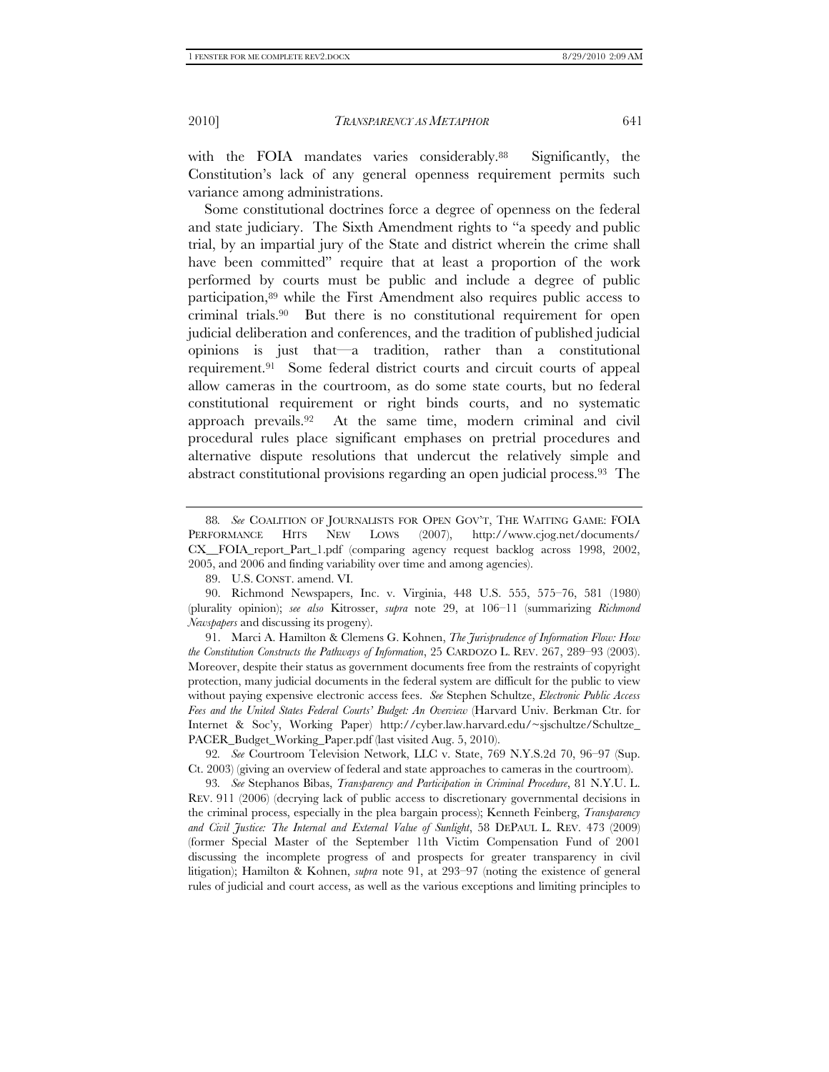with the FOIA mandates varies considerably.<sup>88</sup> Significantly, the Constitution's lack of any general openness requirement permits such variance among administrations.

Some constitutional doctrines force a degree of openness on the federal and state judiciary. The Sixth Amendment rights to "a speedy and public trial, by an impartial jury of the State and district wherein the crime shall have been committed" require that at least a proportion of the work performed by courts must be public and include a degree of public participation,89 while the First Amendment also requires public access to criminal trials.90 But there is no constitutional requirement for open judicial deliberation and conferences, and the tradition of published judicial opinions is just that—a tradition, rather than a constitutional requirement.91 Some federal district courts and circuit courts of appeal allow cameras in the courtroom, as do some state courts, but no federal constitutional requirement or right binds courts, and no systematic approach prevails.92 At the same time, modern criminal and civil procedural rules place significant emphases on pretrial procedures and alternative dispute resolutions that undercut the relatively simple and abstract constitutional provisions regarding an open judicial process.93 The

89. U.S. CONST. amend. VI.

 90. Richmond Newspapers, Inc. v. Virginia, 448 U.S. 555, 575–76, 581 (1980) (plurality opinion); *see also* Kitrosser, *supra* note 29, at 106–11 (summarizing *Richmond Newspapers* and discussing its progeny).

 91. Marci A. Hamilton & Clemens G. Kohnen, *The Jurisprudence of Information Flow: How the Constitution Constructs the Pathways of Information*, 25 CARDOZO L. REV. 267, 289–93 (2003). Moreover, despite their status as government documents free from the restraints of copyright protection, many judicial documents in the federal system are difficult for the public to view without paying expensive electronic access fees. *See* Stephen Schultze, *Electronic Public Access Fees and the United States Federal Courts' Budget: An Overview* (Harvard Univ. Berkman Ctr. for Internet & Soc'y, Working Paper) http://cyber.law.harvard.edu/~sjschultze/Schultze\_ PACER\_Budget\_Working\_Paper.pdf (last visited Aug. 5, 2010).

<sup>88</sup>*. See* COALITION OF JOURNALISTS FOR OPEN GOV'T, THE WAITING GAME: FOIA PERFORMANCE HITS NEW LOWS (2007), http://www.cjog.net/documents/ CX\_\_FOIA\_report\_Part\_1.pdf (comparing agency request backlog across 1998, 2002, 2005, and 2006 and finding variability over time and among agencies).

<sup>92</sup>*. See* Courtroom Television Network, LLC v. State, 769 N.Y.S.2d 70, 96–97 (Sup. Ct. 2003) (giving an overview of federal and state approaches to cameras in the courtroom).

<sup>93</sup>*. See* Stephanos Bibas, *Transparency and Participation in Criminal Procedure*, 81 N.Y.U. L. REV. 911 (2006) (decrying lack of public access to discretionary governmental decisions in the criminal process, especially in the plea bargain process); Kenneth Feinberg, *Transparency and Civil Justice: The Internal and External Value of Sunlight*, 58 DEPAUL L. REV. 473 (2009) (former Special Master of the September 11th Victim Compensation Fund of 2001 discussing the incomplete progress of and prospects for greater transparency in civil litigation); Hamilton & Kohnen, *supra* note 91, at 293–97 (noting the existence of general rules of judicial and court access, as well as the various exceptions and limiting principles to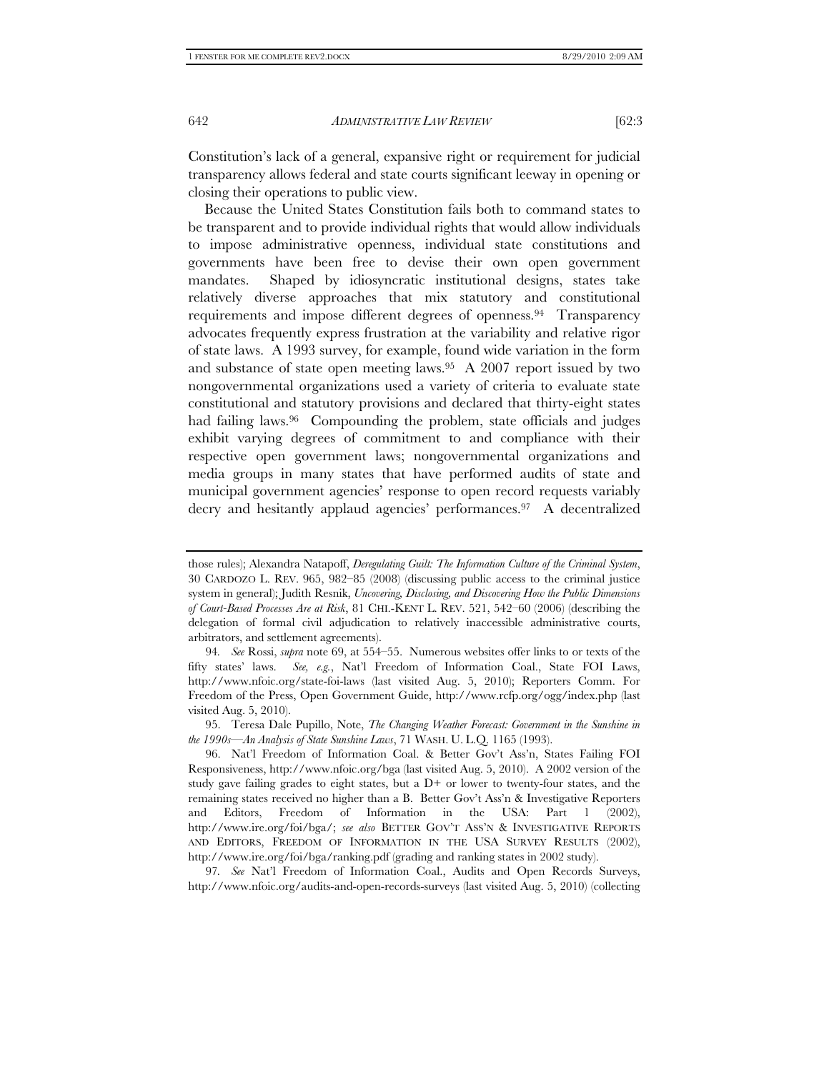Constitution's lack of a general, expansive right or requirement for judicial transparency allows federal and state courts significant leeway in opening or closing their operations to public view.

Because the United States Constitution fails both to command states to be transparent and to provide individual rights that would allow individuals to impose administrative openness, individual state constitutions and governments have been free to devise their own open government mandates. Shaped by idiosyncratic institutional designs, states take relatively diverse approaches that mix statutory and constitutional requirements and impose different degrees of openness.94 Transparency advocates frequently express frustration at the variability and relative rigor of state laws. A 1993 survey, for example, found wide variation in the form and substance of state open meeting laws.<sup>95</sup> A 2007 report issued by two nongovernmental organizations used a variety of criteria to evaluate state constitutional and statutory provisions and declared that thirty-eight states had failing laws.<sup>96</sup> Compounding the problem, state officials and judges exhibit varying degrees of commitment to and compliance with their respective open government laws; nongovernmental organizations and media groups in many states that have performed audits of state and municipal government agencies' response to open record requests variably decry and hesitantly applaud agencies' performances.97 A decentralized

those rules); Alexandra Natapoff, *Deregulating Guilt: The Information Culture of the Criminal System*, 30 CARDOZO L. REV. 965, 982–85 (2008) (discussing public access to the criminal justice system in general); Judith Resnik, *Uncovering, Disclosing, and Discovering How the Public Dimensions of Court-Based Processes Are at Risk*, 81 CHI.-KENT L. REV. 521, 542–60 (2006) (describing the delegation of formal civil adjudication to relatively inaccessible administrative courts, arbitrators, and settlement agreements).

<sup>94</sup>*. See* Rossi, *supra* note 69, at 554–55. Numerous websites offer links to or texts of the fifty states' laws. *See, e.g.*, Nat'l Freedom of Information Coal., State FOI Laws, http://www.nfoic.org/state-foi-laws (last visited Aug. 5, 2010); Reporters Comm. For Freedom of the Press, Open Government Guide, http://www.rcfp.org/ogg/index.php (last visited Aug. 5, 2010).

 <sup>95.</sup> Teresa Dale Pupillo, Note, *The Changing Weather Forecast: Government in the Sunshine in the 1990s—An Analysis of State Sunshine Laws*, 71 WASH. U. L.Q. 1165 (1993).

 <sup>96.</sup> Nat'l Freedom of Information Coal. & Better Gov't Ass'n, States Failing FOI Responsiveness, http://www.nfoic.org/bga (last visited Aug. 5, 2010). A 2002 version of the study gave failing grades to eight states, but a  $D+$  or lower to twenty-four states, and the remaining states received no higher than a B. Better Gov't Ass'n & Investigative Reporters and Editors, Freedom of Information in the USA: Part 1 (2002), http://www.ire.org/foi/bga/; *see also* BETTER GOV'T ASS'N & INVESTIGATIVE REPORTS AND EDITORS, FREEDOM OF INFORMATION IN THE USA SURVEY RESULTS (2002), http://www.ire.org/foi/bga/ranking.pdf (grading and ranking states in 2002 study).

<sup>97</sup>*. See* Nat'l Freedom of Information Coal., Audits and Open Records Surveys, http://www.nfoic.org/audits-and-open-records-surveys (last visited Aug. 5, 2010) (collecting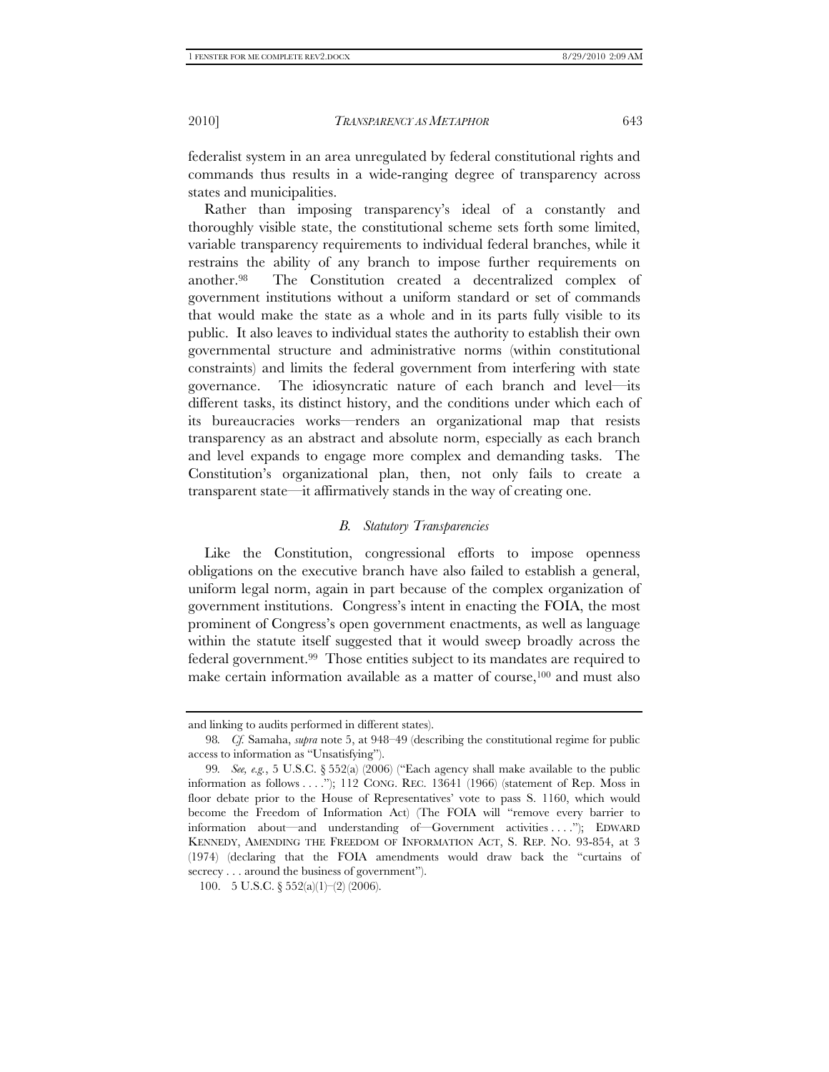federalist system in an area unregulated by federal constitutional rights and commands thus results in a wide-ranging degree of transparency across states and municipalities.

Rather than imposing transparency's ideal of a constantly and thoroughly visible state, the constitutional scheme sets forth some limited, variable transparency requirements to individual federal branches, while it restrains the ability of any branch to impose further requirements on another.98 The Constitution created a decentralized complex of government institutions without a uniform standard or set of commands that would make the state as a whole and in its parts fully visible to its public. It also leaves to individual states the authority to establish their own governmental structure and administrative norms (within constitutional constraints) and limits the federal government from interfering with state governance. The idiosyncratic nature of each branch and level—its different tasks, its distinct history, and the conditions under which each of its bureaucracies works—renders an organizational map that resists transparency as an abstract and absolute norm, especially as each branch and level expands to engage more complex and demanding tasks. The Constitution's organizational plan, then, not only fails to create a transparent state—it affirmatively stands in the way of creating one.

#### *B. Statutory Transparencies*

Like the Constitution, congressional efforts to impose openness obligations on the executive branch have also failed to establish a general, uniform legal norm, again in part because of the complex organization of government institutions. Congress's intent in enacting the FOIA, the most prominent of Congress's open government enactments, as well as language within the statute itself suggested that it would sweep broadly across the federal government.99 Those entities subject to its mandates are required to make certain information available as a matter of course,<sup>100</sup> and must also

and linking to audits performed in different states).

<sup>98</sup>*. Cf.* Samaha, *supra* note 5, at 948–49 (describing the constitutional regime for public access to information as "Unsatisfying").

<sup>99</sup>*. See, e.g.*, 5 U.S.C. § 552(a) (2006) ("Each agency shall make available to the public information as follows . . . ."); 112 CONG. REC. 13641 (1966) (statement of Rep. Moss in floor debate prior to the House of Representatives' vote to pass S. 1160, which would become the Freedom of Information Act) (The FOIA will "remove every barrier to information about—and understanding of—Government activities . . . ."); EDWARD KENNEDY, AMENDING THE FREEDOM OF INFORMATION ACT, S. REP. NO. 93-854, at 3 (1974) (declaring that the FOIA amendments would draw back the "curtains of secrecy . . . around the business of government").

<sup>100. 5</sup> U.S.C.  $\S 552(a)(1)$  (2006).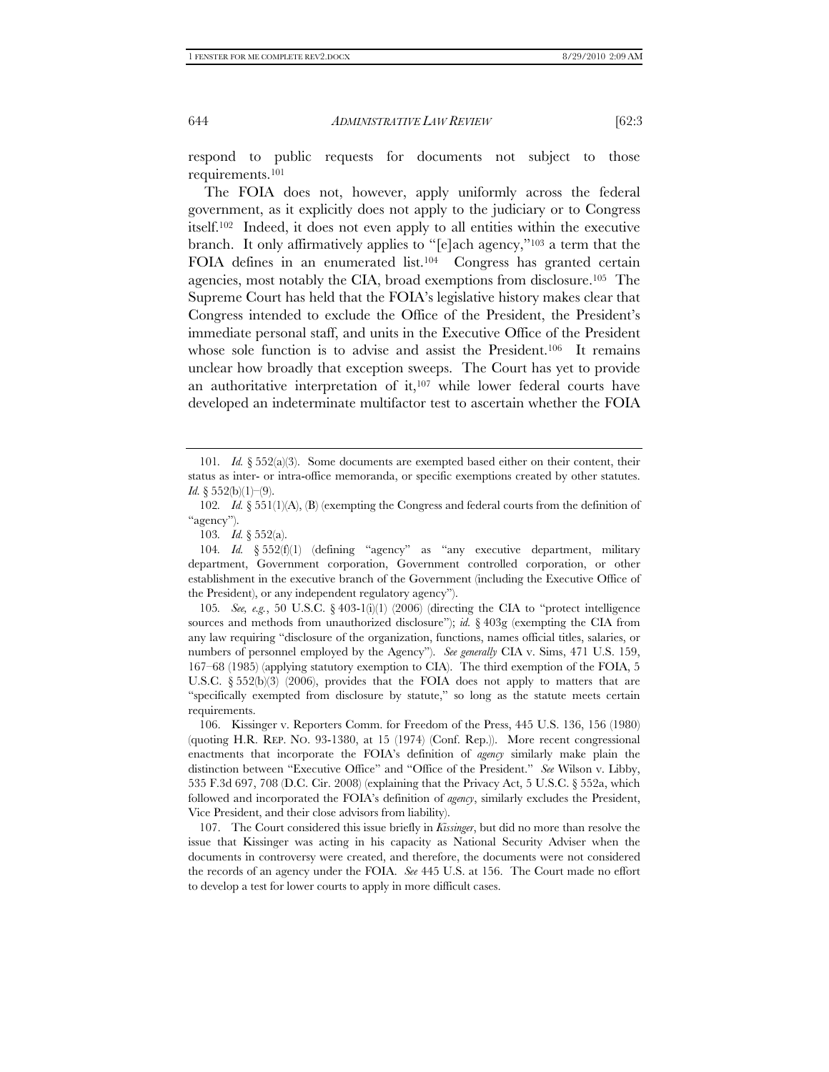respond to public requests for documents not subject to those requirements.101

The FOIA does not, however, apply uniformly across the federal government, as it explicitly does not apply to the judiciary or to Congress itself.102 Indeed, it does not even apply to all entities within the executive branch. It only affirmatively applies to "[e]ach agency,"103 a term that the FOIA defines in an enumerated list.<sup>104</sup> Congress has granted certain agencies, most notably the CIA, broad exemptions from disclosure.105 The Supreme Court has held that the FOIA's legislative history makes clear that Congress intended to exclude the Office of the President, the President's immediate personal staff, and units in the Executive Office of the President whose sole function is to advise and assist the President.<sup>106</sup> It remains unclear how broadly that exception sweeps. The Court has yet to provide an authoritative interpretation of it, $107$  while lower federal courts have developed an indeterminate multifactor test to ascertain whether the FOIA

<sup>101</sup>*. Id.* § 552(a)(3). Some documents are exempted based either on their content, their status as inter- or intra-office memoranda, or specific exemptions created by other statutes. *Id.* § 552(b)(1)–(9).

<sup>102</sup>*. Id.* § 551(1)(A), (B) (exempting the Congress and federal courts from the definition of "agency").

<sup>103</sup>*. Id.* § 552(a).

<sup>104</sup>*. Id.* § 552(f)(1) (defining "agency" as "any executive department, military department, Government corporation, Government controlled corporation, or other establishment in the executive branch of the Government (including the Executive Office of the President), or any independent regulatory agency").

<sup>105</sup>*. See, e.g.*, 50 U.S.C. § 403-1(i)(1) (2006) (directing the CIA to "protect intelligence sources and methods from unauthorized disclosure"); *id.* § 403g (exempting the CIA from any law requiring "disclosure of the organization, functions, names official titles, salaries, or numbers of personnel employed by the Agency"). *See generally* CIA v. Sims, 471 U.S. 159, 167–68 (1985) (applying statutory exemption to CIA). The third exemption of the FOIA, 5 U.S.C.  $\S 552(b)(3)$  (2006), provides that the FOIA does not apply to matters that are "specifically exempted from disclosure by statute," so long as the statute meets certain requirements.

 <sup>106.</sup> Kissinger v. Reporters Comm. for Freedom of the Press, 445 U.S. 136, 156 (1980) (quoting H.R. REP. NO. 93-1380, at 15 (1974) (Conf. Rep.)). More recent congressional enactments that incorporate the FOIA's definition of *agency* similarly make plain the distinction between "Executive Office" and "Office of the President." *See* Wilson v. Libby, 535 F.3d 697, 708 (D.C. Cir. 2008) (explaining that the Privacy Act, 5 U.S.C. § 552a, which followed and incorporated the FOIA's definition of *agency*, similarly excludes the President, Vice President, and their close advisors from liability).

 <sup>107.</sup> The Court considered this issue briefly in *Kissinger*, but did no more than resolve the issue that Kissinger was acting in his capacity as National Security Adviser when the documents in controversy were created, and therefore, the documents were not considered the records of an agency under the FOIA. *See* 445 U.S. at 156. The Court made no effort to develop a test for lower courts to apply in more difficult cases.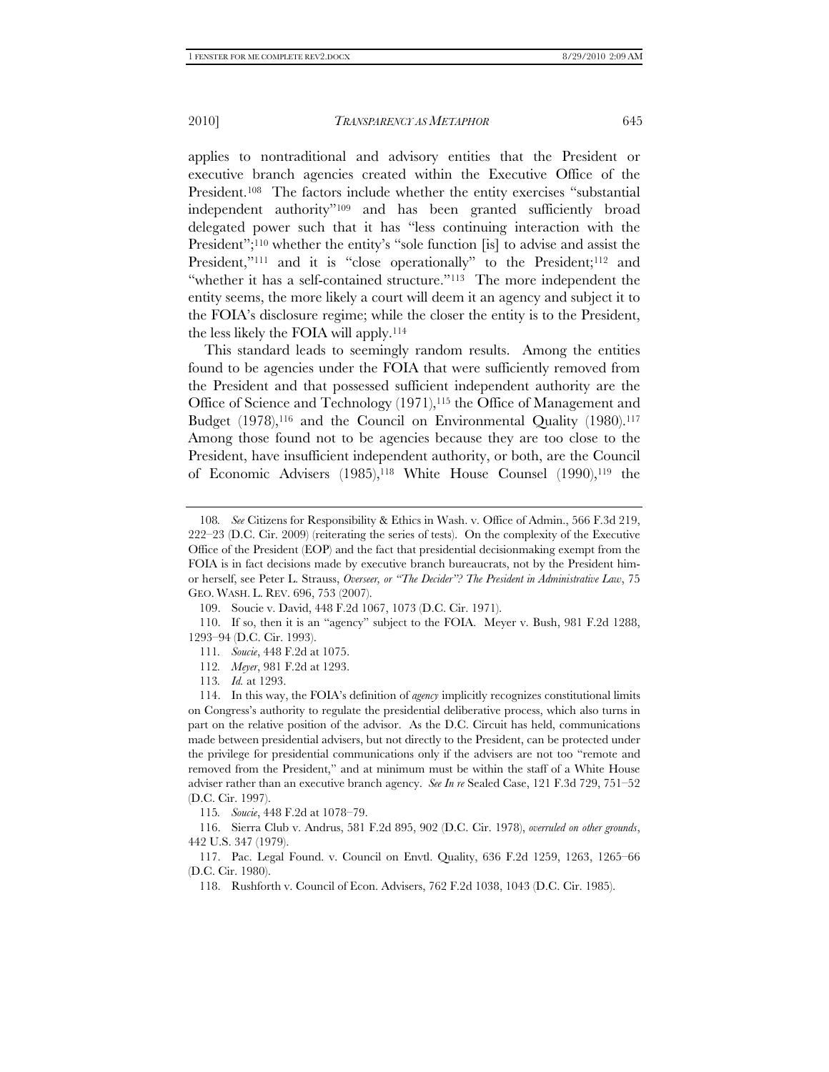applies to nontraditional and advisory entities that the President or executive branch agencies created within the Executive Office of the President.108 The factors include whether the entity exercises "substantial independent authority"109 and has been granted sufficiently broad delegated power such that it has "less continuing interaction with the President";<sup>110</sup> whether the entity's "sole function [is] to advise and assist the President,"<sup>111</sup> and it is "close operationally" to the President;<sup>112</sup> and "whether it has a self-contained structure."113 The more independent the entity seems, the more likely a court will deem it an agency and subject it to the FOIA's disclosure regime; while the closer the entity is to the President, the less likely the FOIA will apply.114

This standard leads to seemingly random results. Among the entities found to be agencies under the FOIA that were sufficiently removed from the President and that possessed sufficient independent authority are the Office of Science and Technology (1971),115 the Office of Management and Budget  $(1978),^{116}$  and the Council on Environmental Quality  $(1980).^{117}$ Among those found not to be agencies because they are too close to the President, have insufficient independent authority, or both, are the Council of Economic Advisers (1985),<sup>118</sup> White House Counsel (1990),<sup>119</sup> the

115*. Soucie*, 448 F.2d at 1078–79.

 116. Sierra Club v. Andrus, 581 F.2d 895, 902 (D.C. Cir. 1978), *overruled on other grounds*, 442 U.S. 347 (1979).

 117. Pac. Legal Found. v. Council on Envtl. Quality, 636 F.2d 1259, 1263, 1265–66 (D.C. Cir. 1980).

<sup>108</sup>*. See* Citizens for Responsibility & Ethics in Wash. v. Office of Admin., 566 F.3d 219, 222–23 (D.C. Cir. 2009) (reiterating the series of tests). On the complexity of the Executive Office of the President (EOP) and the fact that presidential decisionmaking exempt from the FOIA is in fact decisions made by executive branch bureaucrats, not by the President himor herself, see Peter L. Strauss, *Overseer, or "The Decider"? The President in Administrative Law*, 75 GEO. WASH. L. REV. 696, 753 (2007).

 <sup>109.</sup> Soucie v. David, 448 F.2d 1067, 1073 (D.C. Cir. 1971).

 <sup>110.</sup> If so, then it is an "agency" subject to the FOIA. Meyer v. Bush, 981 F.2d 1288, 1293–94 (D.C. Cir. 1993).

<sup>111</sup>*. Soucie*, 448 F.2d at 1075.

<sup>112</sup>*. Meyer*, 981 F.2d at 1293.

<sup>113</sup>*. Id.* at 1293.

 <sup>114.</sup> In this way, the FOIA's definition of *agency* implicitly recognizes constitutional limits on Congress's authority to regulate the presidential deliberative process, which also turns in part on the relative position of the advisor. As the D.C. Circuit has held, communications made between presidential advisers, but not directly to the President, can be protected under the privilege for presidential communications only if the advisers are not too "remote and removed from the President," and at minimum must be within the staff of a White House adviser rather than an executive branch agency. *See In re* Sealed Case, 121 F.3d 729, 751–52 (D.C. Cir. 1997).

 <sup>118.</sup> Rushforth v. Council of Econ. Advisers, 762 F.2d 1038, 1043 (D.C. Cir. 1985).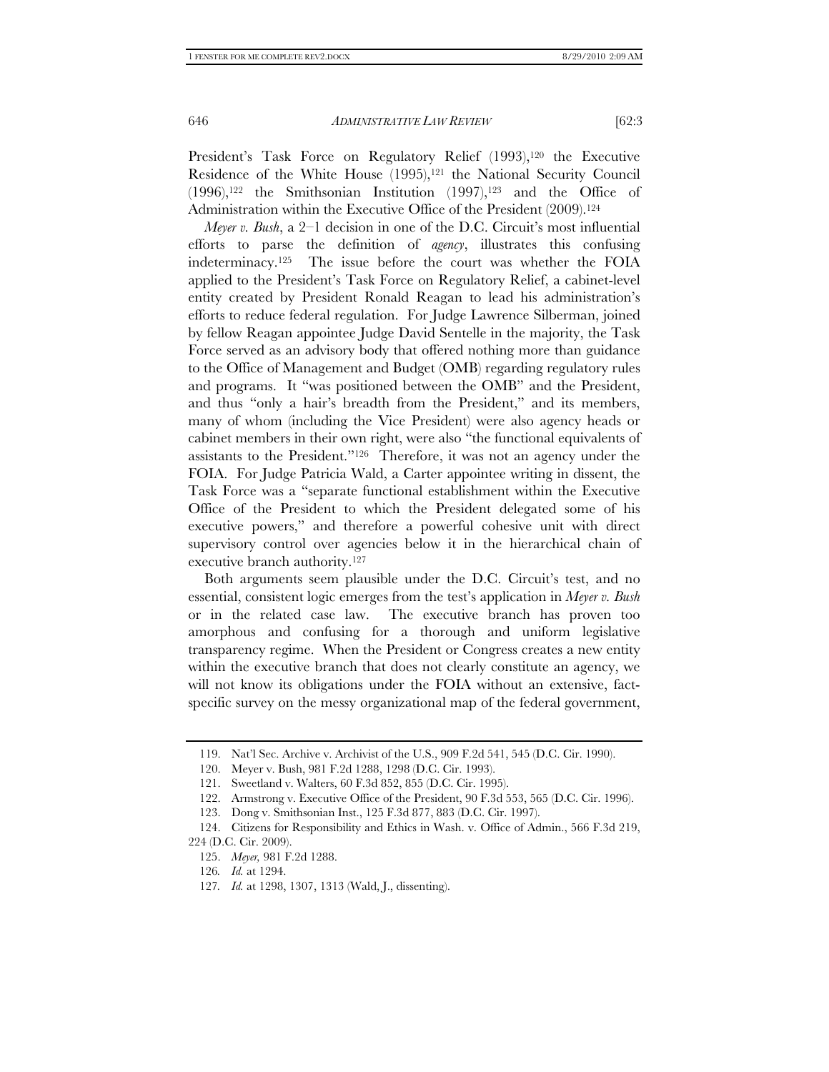President's Task Force on Regulatory Relief (1993),<sup>120</sup> the Executive Residence of the White House  $(1995)$ ,<sup>121</sup> the National Security Council  $(1996)$ ,<sup>122</sup> the Smithsonian Institution  $(1997)$ ,<sup>123</sup> and the Office of Administration within the Executive Office of the President (2009).<sup>124</sup>

*Meyer v. Bush*, a 2–1 decision in one of the D.C. Circuit's most influential efforts to parse the definition of *agency*, illustrates this confusing indeterminacy.125 The issue before the court was whether the FOIA applied to the President's Task Force on Regulatory Relief, a cabinet-level entity created by President Ronald Reagan to lead his administration's efforts to reduce federal regulation. For Judge Lawrence Silberman, joined by fellow Reagan appointee Judge David Sentelle in the majority, the Task Force served as an advisory body that offered nothing more than guidance to the Office of Management and Budget (OMB) regarding regulatory rules and programs. It "was positioned between the OMB" and the President, and thus "only a hair's breadth from the President," and its members, many of whom (including the Vice President) were also agency heads or cabinet members in their own right, were also "the functional equivalents of assistants to the President."126 Therefore, it was not an agency under the FOIA. For Judge Patricia Wald, a Carter appointee writing in dissent, the Task Force was a "separate functional establishment within the Executive Office of the President to which the President delegated some of his executive powers," and therefore a powerful cohesive unit with direct supervisory control over agencies below it in the hierarchical chain of executive branch authority.127

Both arguments seem plausible under the D.C. Circuit's test, and no essential, consistent logic emerges from the test's application in *Meyer v. Bush* or in the related case law. The executive branch has proven too amorphous and confusing for a thorough and uniform legislative transparency regime. When the President or Congress creates a new entity within the executive branch that does not clearly constitute an agency, we will not know its obligations under the FOIA without an extensive, factspecific survey on the messy organizational map of the federal government,

 <sup>119.</sup> Nat'l Sec. Archive v. Archivist of the U.S., 909 F.2d 541, 545 (D.C. Cir. 1990).

 <sup>120.</sup> Meyer v. Bush, 981 F.2d 1288, 1298 (D.C. Cir. 1993).

 <sup>121.</sup> Sweetland v. Walters, 60 F.3d 852, 855 (D.C. Cir. 1995).

 <sup>122.</sup> Armstrong v. Executive Office of the President, 90 F.3d 553, 565 (D.C. Cir. 1996).

 <sup>123.</sup> Dong v. Smithsonian Inst., 125 F.3d 877, 883 (D.C. Cir. 1997).

 <sup>124.</sup> Citizens for Responsibility and Ethics in Wash. v. Office of Admin., 566 F.3d 219, 224 (D.C. Cir. 2009).

 <sup>125.</sup> *Meyer,* 981 F.2d 1288.

<sup>126</sup>*. Id.* at 1294.

<sup>127</sup>*. Id.* at 1298, 1307, 1313 (Wald, J., dissenting).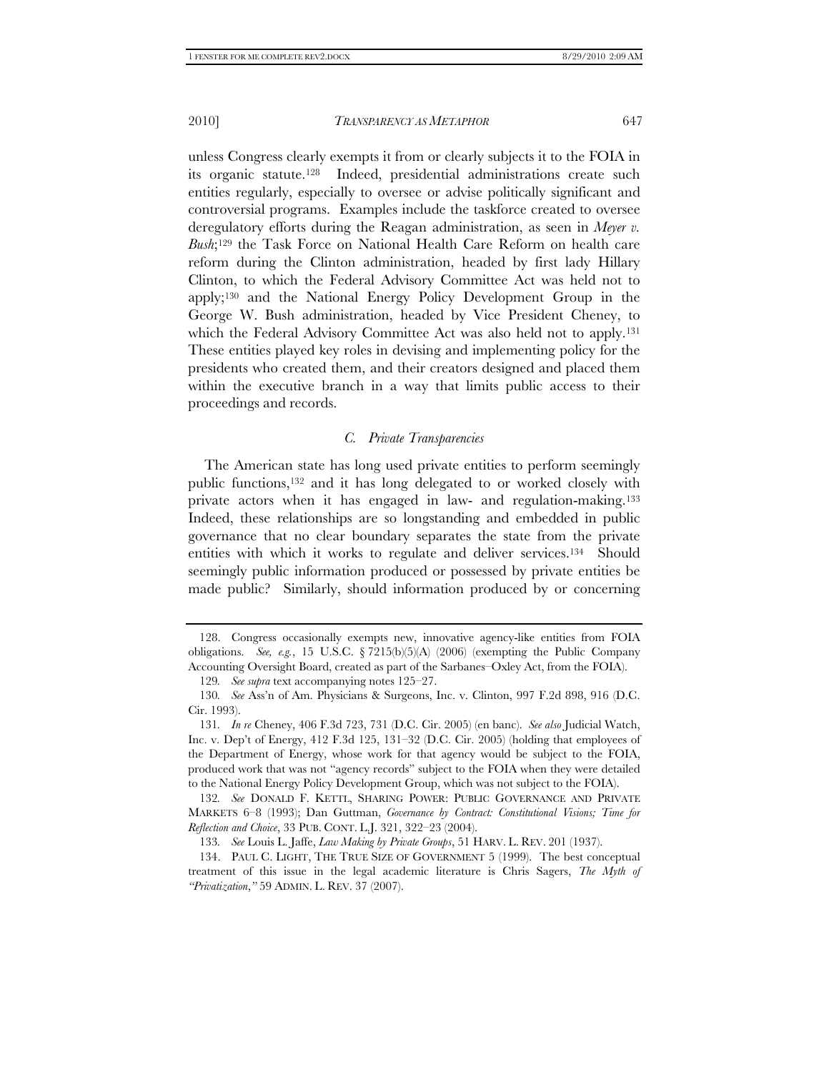unless Congress clearly exempts it from or clearly subjects it to the FOIA in its organic statute.<sup>128</sup> Indeed, presidential administrations create such entities regularly, especially to oversee or advise politically significant and controversial programs. Examples include the taskforce created to oversee deregulatory efforts during the Reagan administration, as seen in *Meyer v. Bush*;129 the Task Force on National Health Care Reform on health care reform during the Clinton administration, headed by first lady Hillary Clinton, to which the Federal Advisory Committee Act was held not to apply;130 and the National Energy Policy Development Group in the George W. Bush administration, headed by Vice President Cheney, to which the Federal Advisory Committee Act was also held not to apply.<sup>131</sup> These entities played key roles in devising and implementing policy for the presidents who created them, and their creators designed and placed them within the executive branch in a way that limits public access to their proceedings and records.

### *C. Private Transparencies*

The American state has long used private entities to perform seemingly public functions,132 and it has long delegated to or worked closely with private actors when it has engaged in law- and regulation-making.<sup>133</sup> Indeed, these relationships are so longstanding and embedded in public governance that no clear boundary separates the state from the private entities with which it works to regulate and deliver services.134 Should seemingly public information produced or possessed by private entities be made public? Similarly, should information produced by or concerning

 <sup>128.</sup> Congress occasionally exempts new, innovative agency-like entities from FOIA obligations. *See, e.g.*, 15 U.S.C. § 7215(b)(5)(A) (2006) (exempting the Public Company Accounting Oversight Board, created as part of the Sarbanes–Oxley Act, from the FOIA).

<sup>129</sup>*. See supra* text accompanying notes 125–27.

<sup>130</sup>*. See* Ass'n of Am. Physicians & Surgeons, Inc. v. Clinton, 997 F.2d 898, 916 (D.C. Cir. 1993).

<sup>131</sup>*. In re* Cheney, 406 F.3d 723, 731 (D.C. Cir. 2005) (en banc). *See also* Judicial Watch, Inc. v. Dep't of Energy, 412 F.3d 125, 131–32 (D.C. Cir. 2005) (holding that employees of the Department of Energy, whose work for that agency would be subject to the FOIA, produced work that was not "agency records" subject to the FOIA when they were detailed to the National Energy Policy Development Group, which was not subject to the FOIA).

<sup>132</sup>*. See* DONALD F. KETTL, SHARING POWER: PUBLIC GOVERNANCE AND PRIVATE MARKETS 6–8 (1993); Dan Guttman, *Governance by Contract: Constitutional Visions; Time for Reflection and Choice*, 33 PUB. CONT. L.J. 321, 322–23 (2004).

<sup>133</sup>*. See* Louis L. Jaffe, *Law Making by Private Groups*, 51 HARV. L. REV. 201 (1937).

 <sup>134.</sup> PAUL C. LIGHT, THE TRUE SIZE OF GOVERNMENT 5 (1999). The best conceptual treatment of this issue in the legal academic literature is Chris Sagers, *The Myth of "Privatization*,*"* 59 ADMIN. L. REV. 37 (2007).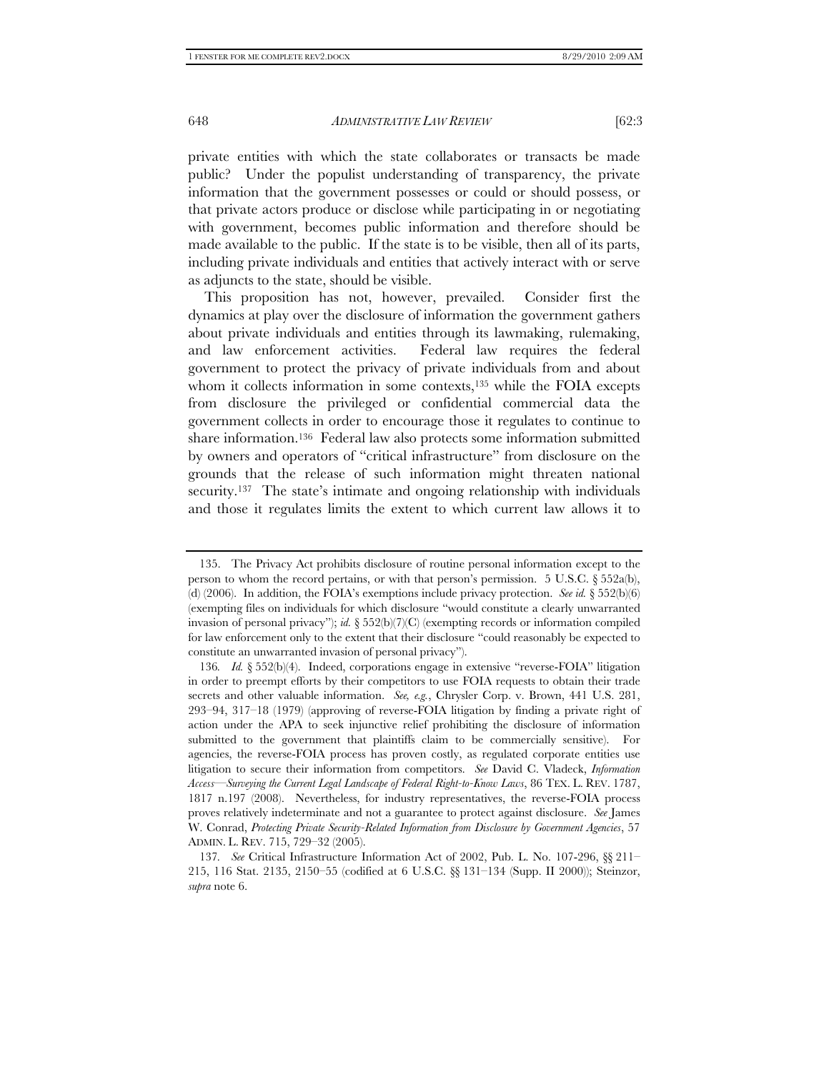as adjuncts to the state, should be visible.

648 *ADMINISTRATIVE LAW REVIEW* [62:3

private entities with which the state collaborates or transacts be made public? Under the populist understanding of transparency, the private information that the government possesses or could or should possess, or that private actors produce or disclose while participating in or negotiating with government, becomes public information and therefore should be made available to the public. If the state is to be visible, then all of its parts, including private individuals and entities that actively interact with or serve

This proposition has not, however, prevailed. Consider first the dynamics at play over the disclosure of information the government gathers about private individuals and entities through its lawmaking, rulemaking, and law enforcement activities. Federal law requires the federal government to protect the privacy of private individuals from and about whom it collects information in some contexts,<sup>135</sup> while the FOIA excepts from disclosure the privileged or confidential commercial data the government collects in order to encourage those it regulates to continue to share information.136 Federal law also protects some information submitted by owners and operators of "critical infrastructure" from disclosure on the grounds that the release of such information might threaten national security.<sup>137</sup> The state's intimate and ongoing relationship with individuals and those it regulates limits the extent to which current law allows it to

 <sup>135.</sup> The Privacy Act prohibits disclosure of routine personal information except to the person to whom the record pertains, or with that person's permission. 5 U.S.C. § 552a(b), (d) (2006). In addition, the FOIA's exemptions include privacy protection. *See id.*  $\S 52(b)(6)$ (exempting files on individuals for which disclosure "would constitute a clearly unwarranted invasion of personal privacy"); *id.* § 552(b)(7)(C) (exempting records or information compiled for law enforcement only to the extent that their disclosure "could reasonably be expected to constitute an unwarranted invasion of personal privacy").

<sup>136</sup>*. Id.* § 552(b)(4). Indeed, corporations engage in extensive "reverse-FOIA" litigation in order to preempt efforts by their competitors to use FOIA requests to obtain their trade secrets and other valuable information. *See, e.g.*, Chrysler Corp. v. Brown, 441 U.S. 281, 293–94, 317–18 (1979) (approving of reverse-FOIA litigation by finding a private right of action under the APA to seek injunctive relief prohibiting the disclosure of information submitted to the government that plaintiffs claim to be commercially sensitive). For agencies, the reverse-FOIA process has proven costly, as regulated corporate entities use litigation to secure their information from competitors. *See* David C. Vladeck, *Information Access—Surveying the Current Legal Landscape of Federal Right-to-Know Laws*, 86 TEX. L. REV. 1787, 1817 n.197 (2008). Nevertheless, for industry representatives, the reverse-FOIA process proves relatively indeterminate and not a guarantee to protect against disclosure. *See* James W. Conrad, *Protecting Private Security-Related Information from Disclosure by Government Agencies*, 57 ADMIN. L. REV. 715, 729–32 (2005).

<sup>137</sup>*. See* Critical Infrastructure Information Act of 2002, Pub. L. No. 107-296, §§ 211– 215, 116 Stat. 2135, 2150–55 (codified at 6 U.S.C. §§ 131–134 (Supp. II 2000)); Steinzor, *supra* note 6.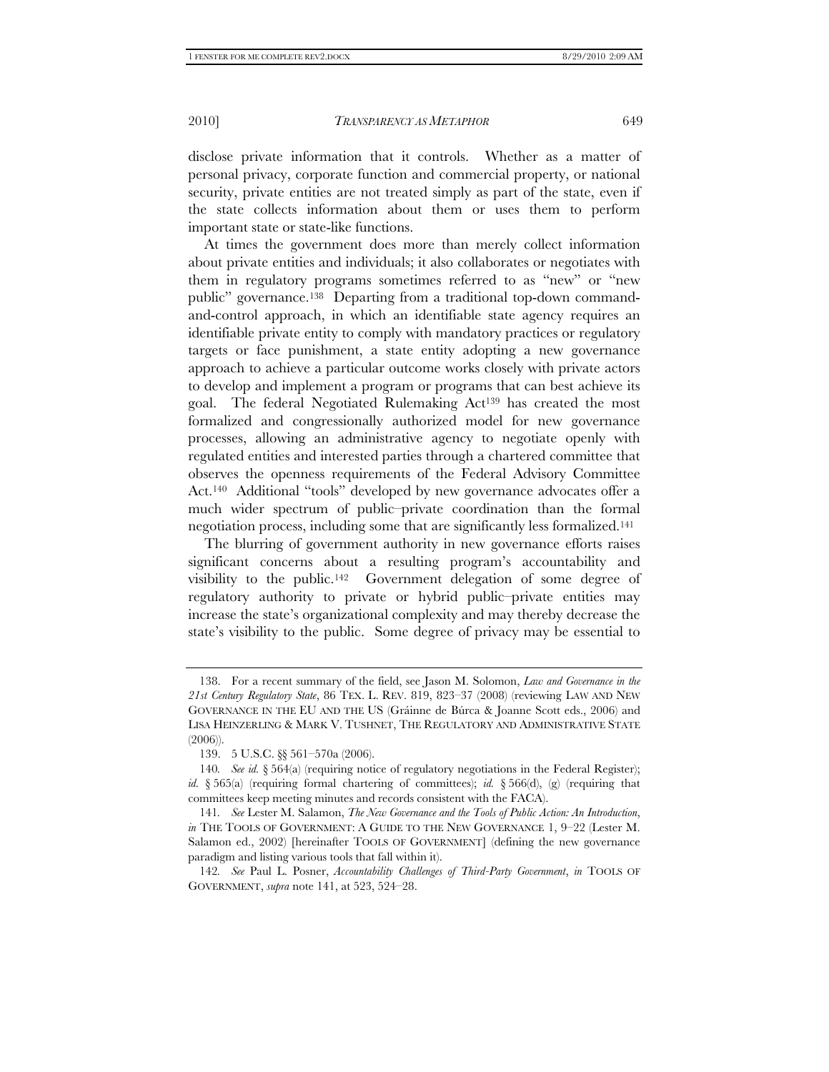disclose private information that it controls. Whether as a matter of personal privacy, corporate function and commercial property, or national security, private entities are not treated simply as part of the state, even if the state collects information about them or uses them to perform important state or state-like functions.

At times the government does more than merely collect information about private entities and individuals; it also collaborates or negotiates with them in regulatory programs sometimes referred to as "new" or "new public" governance.138 Departing from a traditional top-down commandand-control approach, in which an identifiable state agency requires an identifiable private entity to comply with mandatory practices or regulatory targets or face punishment, a state entity adopting a new governance approach to achieve a particular outcome works closely with private actors to develop and implement a program or programs that can best achieve its goal. The federal Negotiated Rulemaking Act139 has created the most formalized and congressionally authorized model for new governance processes, allowing an administrative agency to negotiate openly with regulated entities and interested parties through a chartered committee that observes the openness requirements of the Federal Advisory Committee Act.140 Additional "tools" developed by new governance advocates offer a much wider spectrum of public–private coordination than the formal negotiation process, including some that are significantly less formalized.141

The blurring of government authority in new governance efforts raises significant concerns about a resulting program's accountability and visibility to the public.142 Government delegation of some degree of regulatory authority to private or hybrid public–private entities may increase the state's organizational complexity and may thereby decrease the state's visibility to the public. Some degree of privacy may be essential to

 <sup>138.</sup> For a recent summary of the field, see Jason M. Solomon, *Law and Governance in the 21st Century Regulatory State*, 86 TEX. L. REV. 819, 823–37 (2008) (reviewing LAW AND NEW GOVERNANCE IN THE EU AND THE US (Gráinne de Búrca & Joanne Scott eds., 2006) and LISA HEINZERLING & MARK V. TUSHNET, THE REGULATORY AND ADMINISTRATIVE STATE (2006)).

 <sup>139. 5</sup> U.S.C. §§ 561–570a (2006).

<sup>140</sup>*. See id.* § 564(a) (requiring notice of regulatory negotiations in the Federal Register); *id.* § 565(a) (requiring formal chartering of committees); *id.* § 566(d), (g) (requiring that committees keep meeting minutes and records consistent with the FACA).

<sup>141</sup>*. See* Lester M. Salamon, *The New Governance and the Tools of Public Action: An Introduction*, *in* THE TOOLS OF GOVERNMENT: A GUIDE TO THE NEW GOVERNANCE 1, 9–22 (Lester M. Salamon ed., 2002) [hereinafter TOOLS OF GOVERNMENT] (defining the new governance paradigm and listing various tools that fall within it).

<sup>142</sup>*. See* Paul L. Posner, *Accountability Challenges of Third-Party Government*, *in* TOOLS OF GOVERNMENT, *supra* note 141, at 523, 524–28.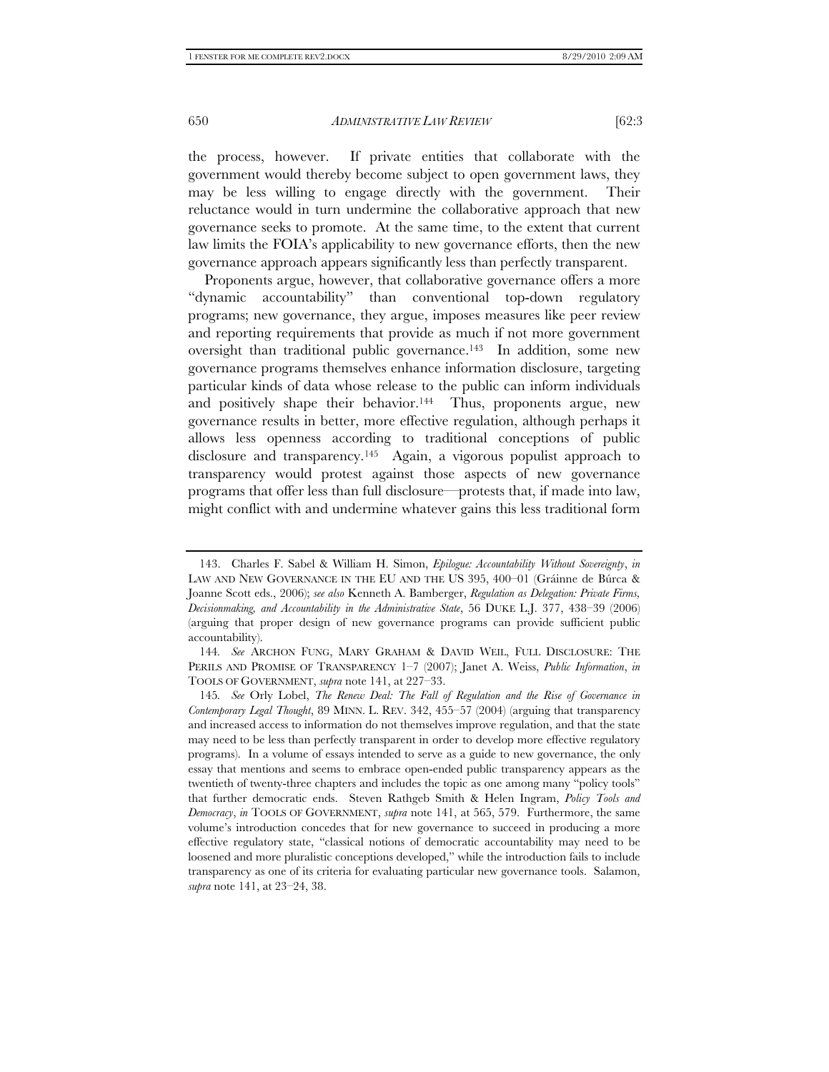the process, however. If private entities that collaborate with the government would thereby become subject to open government laws, they may be less willing to engage directly with the government. Their reluctance would in turn undermine the collaborative approach that new governance seeks to promote. At the same time, to the extent that current law limits the FOIA's applicability to new governance efforts, then the new governance approach appears significantly less than perfectly transparent.

Proponents argue, however, that collaborative governance offers a more "dynamic accountability" than conventional top-down regulatory programs; new governance, they argue, imposes measures like peer review and reporting requirements that provide as much if not more government oversight than traditional public governance.143 In addition, some new governance programs themselves enhance information disclosure, targeting particular kinds of data whose release to the public can inform individuals and positively shape their behavior.<sup>144</sup> Thus, proponents argue, new governance results in better, more effective regulation, although perhaps it allows less openness according to traditional conceptions of public disclosure and transparency.145 Again, a vigorous populist approach to transparency would protest against those aspects of new governance programs that offer less than full disclosure—protests that, if made into law, might conflict with and undermine whatever gains this less traditional form

 <sup>143.</sup> Charles F. Sabel & William H. Simon, *Epilogue: Accountability Without Sovereignty*, *in* LAW AND NEW GOVERNANCE IN THE EU AND THE US 395, 400–01 (Gráinne de Búrca & Joanne Scott eds., 2006); *see also* Kenneth A. Bamberger, *Regulation as Delegation: Private Firms, Decisionmaking, and Accountability in the Administrative State*, 56 DUKE L.J. 377, 438–39 (2006) (arguing that proper design of new governance programs can provide sufficient public accountability).

<sup>144</sup>*. See* ARCHON FUNG, MARY GRAHAM & DAVID WEIL, FULL DISCLOSURE: THE PERILS AND PROMISE OF TRANSPARENCY 1–7 (2007); Janet A. Weiss, *Public Information*, *in* TOOLS OF GOVERNMENT, *supra* note 141, at 227–33.

<sup>145</sup>*. See* Orly Lobel, *The Renew Deal: The Fall of Regulation and the Rise of Governance in Contemporary Legal Thought*, 89 MINN. L. REV. 342, 455–57 (2004) (arguing that transparency and increased access to information do not themselves improve regulation, and that the state may need to be less than perfectly transparent in order to develop more effective regulatory programs). In a volume of essays intended to serve as a guide to new governance, the only essay that mentions and seems to embrace open-ended public transparency appears as the twentieth of twenty-three chapters and includes the topic as one among many "policy tools" that further democratic ends. Steven Rathgeb Smith & Helen Ingram, *Policy Tools and Democracy*, *in* TOOLS OF GOVERNMENT, *supra* note 141, at 565, 579. Furthermore, the same volume's introduction concedes that for new governance to succeed in producing a more effective regulatory state, "classical notions of democratic accountability may need to be loosened and more pluralistic conceptions developed," while the introduction fails to include transparency as one of its criteria for evaluating particular new governance tools. Salamon, *supra* note 141, at 23–24, 38.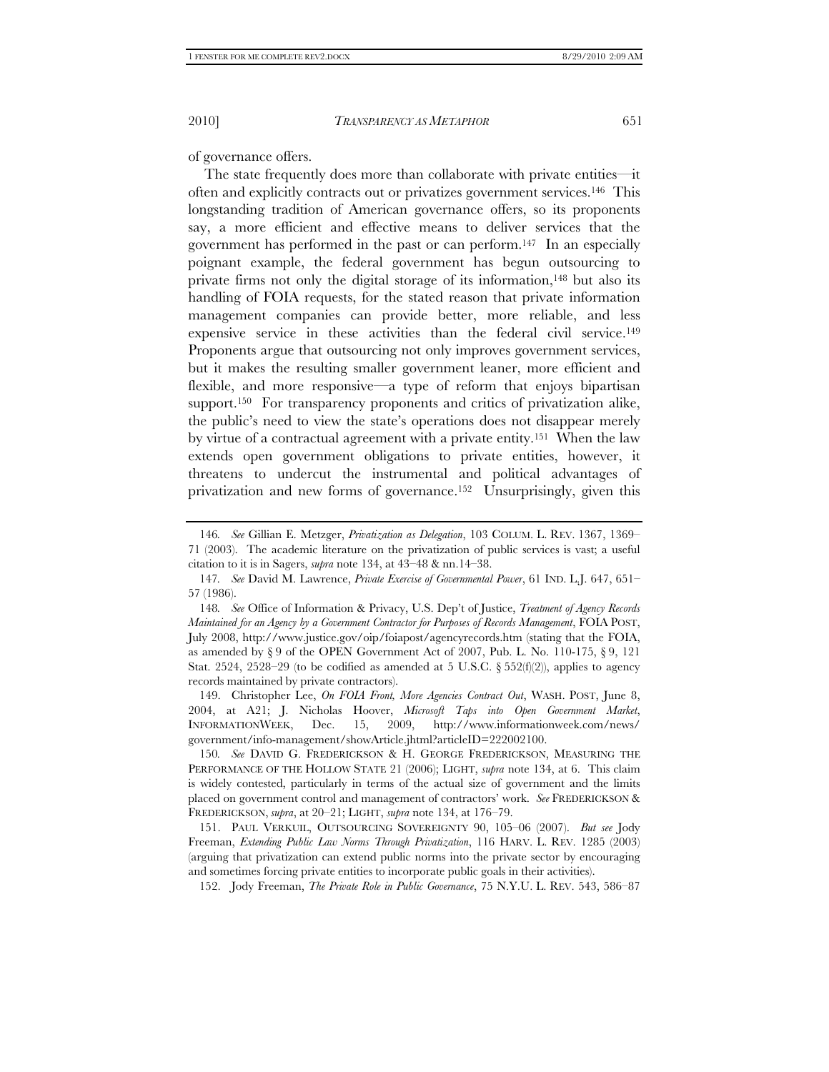of governance offers.

The state frequently does more than collaborate with private entities—it often and explicitly contracts out or privatizes government services.146 This longstanding tradition of American governance offers, so its proponents say, a more efficient and effective means to deliver services that the government has performed in the past or can perform.147 In an especially poignant example, the federal government has begun outsourcing to private firms not only the digital storage of its information,148 but also its handling of FOIA requests, for the stated reason that private information management companies can provide better, more reliable, and less expensive service in these activities than the federal civil service.149 Proponents argue that outsourcing not only improves government services, but it makes the resulting smaller government leaner, more efficient and flexible, and more responsive—a type of reform that enjoys bipartisan support.<sup>150</sup> For transparency proponents and critics of privatization alike, the public's need to view the state's operations does not disappear merely by virtue of a contractual agreement with a private entity.151 When the law extends open government obligations to private entities, however, it threatens to undercut the instrumental and political advantages of privatization and new forms of governance.152 Unsurprisingly, given this

<sup>146</sup>*. See* Gillian E. Metzger, *Privatization as Delegation*, 103 COLUM. L. REV. 1367, 1369– 71 (2003). The academic literature on the privatization of public services is vast; a useful citation to it is in Sagers, *supra* note 134, at 43–48 & nn.14–38.

<sup>147</sup>*. See* David M. Lawrence, *Private Exercise of Governmental Power*, 61 IND. L.J. 647, 651– 57 (1986).

<sup>148</sup>*. See* Office of Information & Privacy, U.S. Dep't of Justice, *Treatment of Agency Records Maintained for an Agency by a Government Contractor for Purposes of Records Management*, FOIA POST, July 2008, http://www.justice.gov/oip/foiapost/agencyrecords.htm (stating that the FOIA, as amended by  $\S 9$  of the OPEN Government Act of 2007, Pub. L. No. 110-175,  $\S 9$ , 121 Stat. 2524, 2528–29 (to be codified as amended at 5 U.S.C. § 552(f)(2)), applies to agency records maintained by private contractors).

 <sup>149.</sup> Christopher Lee, *On FOIA Front, More Agencies Contract Out*, WASH. POST, June 8, 2004, at A21; J. Nicholas Hoover, *Microsoft Taps into Open Government Market*, INFORMATIONWEEK, Dec. 15, 2009, http://www.informationweek.com/news/ government/info-management/showArticle.jhtml?articleID=222002100.

<sup>150</sup>*. See* DAVID G. FREDERICKSON & H. GEORGE FREDERICKSON, MEASURING THE PERFORMANCE OF THE HOLLOW STATE 21 (2006); LIGHT, *supra* note 134, at 6. This claim is widely contested, particularly in terms of the actual size of government and the limits placed on government control and management of contractors' work. *See* FREDERICKSON & FREDERICKSON, *supra*, at 20–21; LIGHT, *supra* note 134, at 176–79.

 <sup>151.</sup> PAUL VERKUIL, OUTSOURCING SOVEREIGNTY 90, 105–06 (2007). *But see* Jody Freeman, *Extending Public Law Norms Through Privatization*, 116 HARV. L. REV. 1285 (2003) (arguing that privatization can extend public norms into the private sector by encouraging and sometimes forcing private entities to incorporate public goals in their activities).

 <sup>152.</sup> Jody Freeman, *The Private Role in Public Governance*, 75 N.Y.U. L. REV. 543, 586–87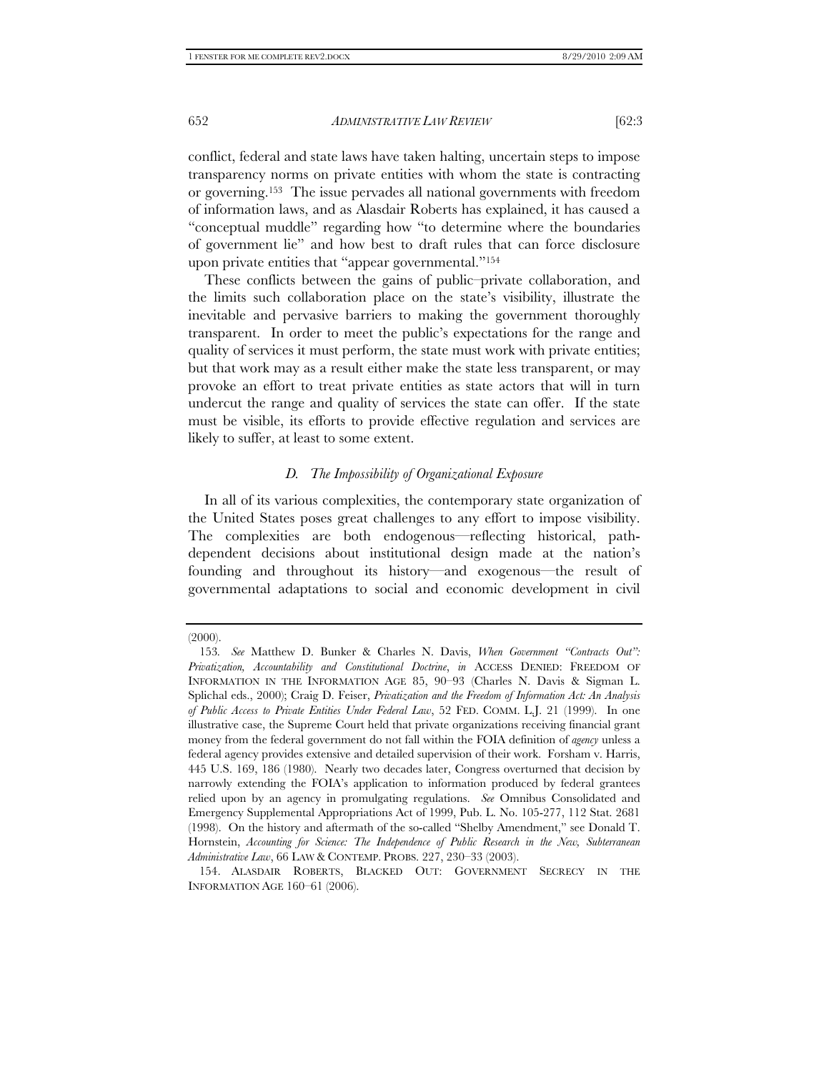conflict, federal and state laws have taken halting, uncertain steps to impose transparency norms on private entities with whom the state is contracting or governing.153 The issue pervades all national governments with freedom of information laws, and as Alasdair Roberts has explained, it has caused a "conceptual muddle" regarding how "to determine where the boundaries of government lie" and how best to draft rules that can force disclosure upon private entities that "appear governmental."154

These conflicts between the gains of public–private collaboration, and the limits such collaboration place on the state's visibility, illustrate the inevitable and pervasive barriers to making the government thoroughly transparent. In order to meet the public's expectations for the range and quality of services it must perform, the state must work with private entities; but that work may as a result either make the state less transparent, or may provoke an effort to treat private entities as state actors that will in turn undercut the range and quality of services the state can offer. If the state must be visible, its efforts to provide effective regulation and services are likely to suffer, at least to some extent.

#### *D. The Impossibility of Organizational Exposure*

In all of its various complexities, the contemporary state organization of the United States poses great challenges to any effort to impose visibility. The complexities are both endogenous—reflecting historical, pathdependent decisions about institutional design made at the nation's founding and throughout its history—and exogenous—the result of governmental adaptations to social and economic development in civil

<sup>(2000).</sup> 

<sup>153</sup>*. See* Matthew D. Bunker & Charles N. Davis, *When Government "Contracts Out": Privatization, Accountability and Constitutional Doctrine*, *in* ACCESS DENIED: FREEDOM OF INFORMATION IN THE INFORMATION AGE 85, 90–93 (Charles N. Davis & Sigman L. Splichal eds., 2000); Craig D. Feiser, *Privatization and the Freedom of Information Act: An Analysis of Public Access to Private Entities Under Federal Law*, 52 FED. COMM. L.J. 21 (1999). In one illustrative case, the Supreme Court held that private organizations receiving financial grant money from the federal government do not fall within the FOIA definition of *agency* unless a federal agency provides extensive and detailed supervision of their work. Forsham v. Harris, 445 U.S. 169, 186 (1980). Nearly two decades later, Congress overturned that decision by narrowly extending the FOIA's application to information produced by federal grantees relied upon by an agency in promulgating regulations. *See* Omnibus Consolidated and Emergency Supplemental Appropriations Act of 1999, Pub. L. No. 105-277, 112 Stat. 2681 (1998). On the history and aftermath of the so-called "Shelby Amendment," see Donald T. Hornstein, *Accounting for Science: The Independence of Public Research in the New, Subterranean Administrative Law*, 66 LAW & CONTEMP. PROBS. 227, 230–33 (2003).

 <sup>154.</sup> ALASDAIR ROBERTS, BLACKED OUT: GOVERNMENT SECRECY IN THE INFORMATION AGE 160–61 (2006).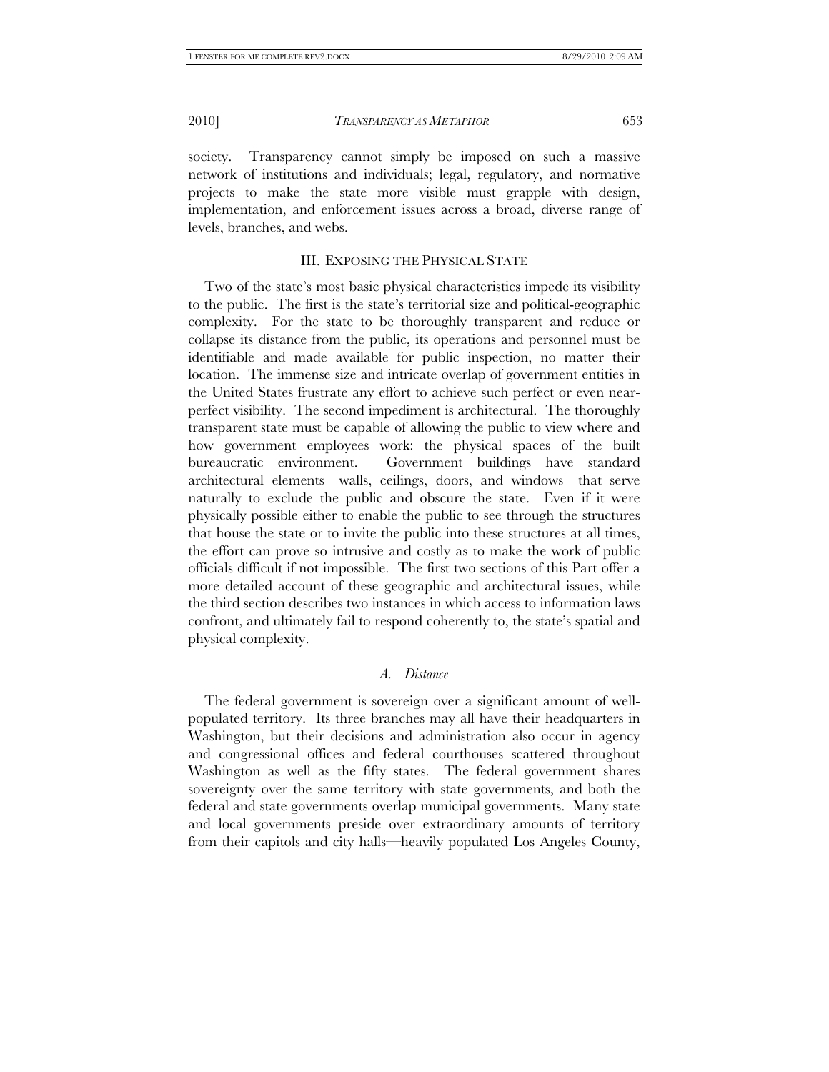society. Transparency cannot simply be imposed on such a massive network of institutions and individuals; legal, regulatory, and normative projects to make the state more visible must grapple with design, implementation, and enforcement issues across a broad, diverse range of levels, branches, and webs.

# III. EXPOSING THE PHYSICAL STATE

Two of the state's most basic physical characteristics impede its visibility to the public. The first is the state's territorial size and political-geographic complexity. For the state to be thoroughly transparent and reduce or collapse its distance from the public, its operations and personnel must be identifiable and made available for public inspection, no matter their location. The immense size and intricate overlap of government entities in the United States frustrate any effort to achieve such perfect or even nearperfect visibility. The second impediment is architectural. The thoroughly transparent state must be capable of allowing the public to view where and how government employees work: the physical spaces of the built bureaucratic environment. Government buildings have standard architectural elements—walls, ceilings, doors, and windows—that serve naturally to exclude the public and obscure the state. Even if it were physically possible either to enable the public to see through the structures that house the state or to invite the public into these structures at all times, the effort can prove so intrusive and costly as to make the work of public officials difficult if not impossible. The first two sections of this Part offer a more detailed account of these geographic and architectural issues, while the third section describes two instances in which access to information laws confront, and ultimately fail to respond coherently to, the state's spatial and physical complexity.

#### *A. Distance*

The federal government is sovereign over a significant amount of wellpopulated territory. Its three branches may all have their headquarters in Washington, but their decisions and administration also occur in agency and congressional offices and federal courthouses scattered throughout Washington as well as the fifty states. The federal government shares sovereignty over the same territory with state governments, and both the federal and state governments overlap municipal governments. Many state and local governments preside over extraordinary amounts of territory from their capitols and city halls—heavily populated Los Angeles County,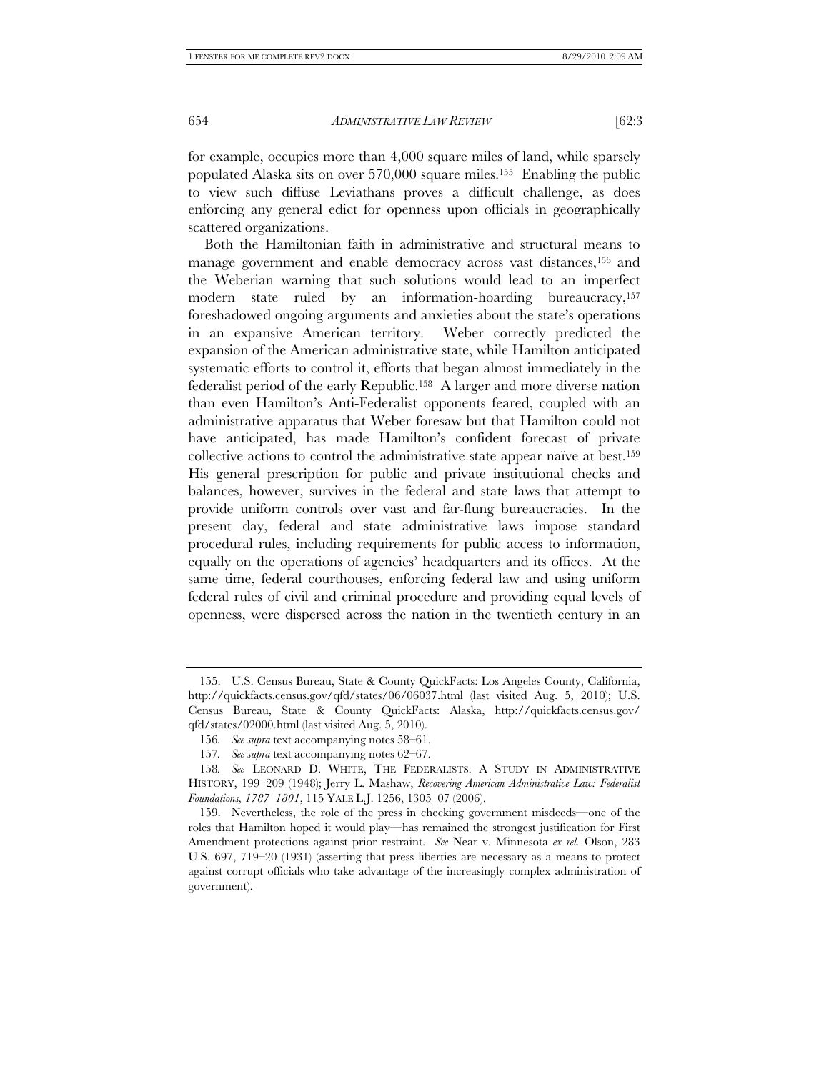for example, occupies more than 4,000 square miles of land, while sparsely populated Alaska sits on over 570,000 square miles.155 Enabling the public to view such diffuse Leviathans proves a difficult challenge, as does enforcing any general edict for openness upon officials in geographically scattered organizations.

Both the Hamiltonian faith in administrative and structural means to manage government and enable democracy across vast distances,<sup>156</sup> and the Weberian warning that such solutions would lead to an imperfect modern state ruled by an information-hoarding bureaucracy,157 foreshadowed ongoing arguments and anxieties about the state's operations in an expansive American territory. Weber correctly predicted the expansion of the American administrative state, while Hamilton anticipated systematic efforts to control it, efforts that began almost immediately in the federalist period of the early Republic.158 A larger and more diverse nation than even Hamilton's Anti-Federalist opponents feared, coupled with an administrative apparatus that Weber foresaw but that Hamilton could not have anticipated, has made Hamilton's confident forecast of private collective actions to control the administrative state appear naïve at best.159 His general prescription for public and private institutional checks and balances, however, survives in the federal and state laws that attempt to provide uniform controls over vast and far-flung bureaucracies. In the present day, federal and state administrative laws impose standard procedural rules, including requirements for public access to information, equally on the operations of agencies' headquarters and its offices. At the same time, federal courthouses, enforcing federal law and using uniform federal rules of civil and criminal procedure and providing equal levels of openness, were dispersed across the nation in the twentieth century in an

 <sup>155.</sup> U.S. Census Bureau, State & County QuickFacts: Los Angeles County, California, http://quickfacts.census.gov/qfd/states/06/06037.html (last visited Aug. 5, 2010); U.S. Census Bureau, State & County QuickFacts: Alaska, http://quickfacts.census.gov/ qfd/states/02000.html (last visited Aug. 5, 2010).

<sup>156</sup>*. See supra* text accompanying notes 58–61.

<sup>157</sup>*. See supra* text accompanying notes 62–67.

<sup>158</sup>*. See* LEONARD D. WHITE, THE FEDERALISTS: A STUDY IN ADMINISTRATIVE HISTORY, 199–209 (1948); Jerry L. Mashaw, *Recovering American Administrative Law: Federalist Foundations, 1787–1801*, 115 YALE L.J. 1256, 1305–07 (2006).

 <sup>159.</sup> Nevertheless, the role of the press in checking government misdeeds—one of the roles that Hamilton hoped it would play—has remained the strongest justification for First Amendment protections against prior restraint. *See* Near v. Minnesota *ex rel.* Olson, 283 U.S. 697, 719–20 (1931) (asserting that press liberties are necessary as a means to protect against corrupt officials who take advantage of the increasingly complex administration of government).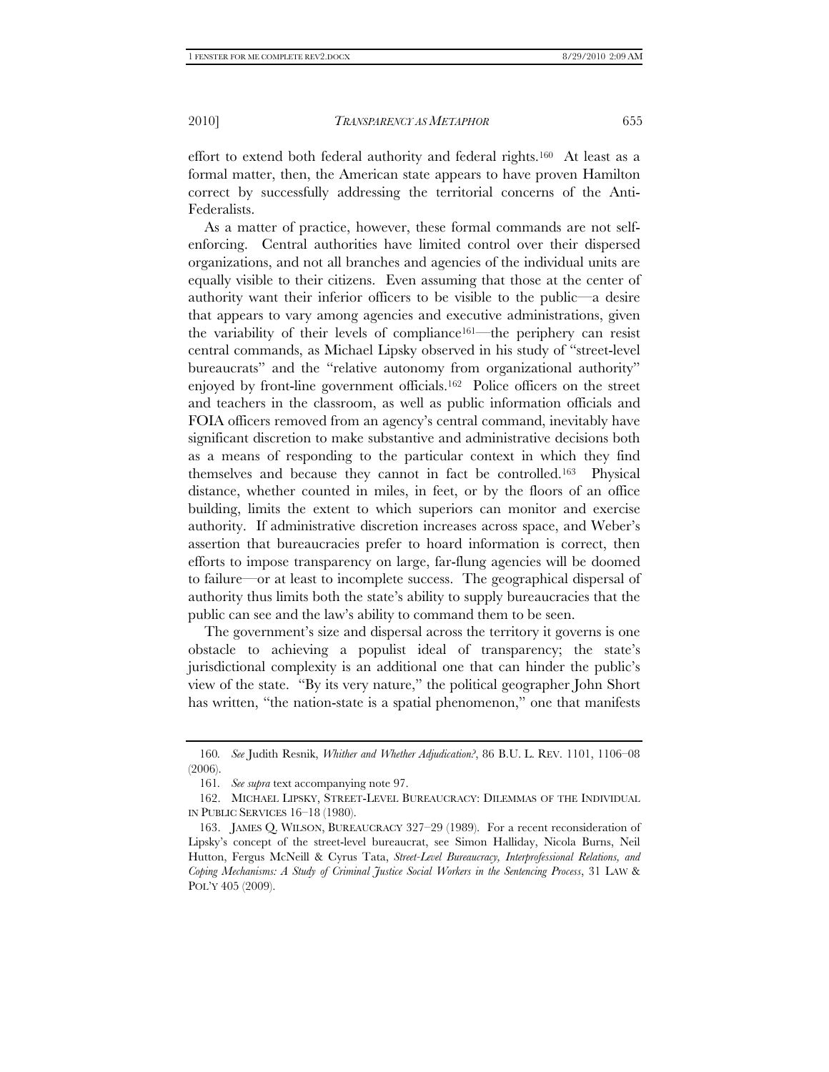effort to extend both federal authority and federal rights.160 At least as a formal matter, then, the American state appears to have proven Hamilton correct by successfully addressing the territorial concerns of the Anti-Federalists.

As a matter of practice, however, these formal commands are not selfenforcing. Central authorities have limited control over their dispersed organizations, and not all branches and agencies of the individual units are equally visible to their citizens. Even assuming that those at the center of authority want their inferior officers to be visible to the public—a desire that appears to vary among agencies and executive administrations, given the variability of their levels of compliance161—the periphery can resist central commands, as Michael Lipsky observed in his study of "street-level bureaucrats" and the "relative autonomy from organizational authority" enjoyed by front-line government officials.162 Police officers on the street and teachers in the classroom, as well as public information officials and FOIA officers removed from an agency's central command, inevitably have significant discretion to make substantive and administrative decisions both as a means of responding to the particular context in which they find themselves and because they cannot in fact be controlled.163 Physical distance, whether counted in miles, in feet, or by the floors of an office building, limits the extent to which superiors can monitor and exercise authority. If administrative discretion increases across space, and Weber's assertion that bureaucracies prefer to hoard information is correct, then efforts to impose transparency on large, far-flung agencies will be doomed to failure—or at least to incomplete success. The geographical dispersal of authority thus limits both the state's ability to supply bureaucracies that the public can see and the law's ability to command them to be seen.

The government's size and dispersal across the territory it governs is one obstacle to achieving a populist ideal of transparency; the state's jurisdictional complexity is an additional one that can hinder the public's view of the state. "By its very nature," the political geographer John Short has written, "the nation-state is a spatial phenomenon," one that manifests

<sup>160</sup>*. See* Judith Resnik, *Whither and Whether Adjudication?*, 86 B.U. L. REV. 1101, 1106–08 (2006).

<sup>161</sup>*. See supra* text accompanying note 97.

 <sup>162.</sup> MICHAEL LIPSKY, STREET-LEVEL BUREAUCRACY: DILEMMAS OF THE INDIVIDUAL IN PUBLIC SERVICES 16–18 (1980).

 <sup>163.</sup> JAMES Q. WILSON, BUREAUCRACY 327–29 (1989). For a recent reconsideration of Lipsky's concept of the street-level bureaucrat, see Simon Halliday, Nicola Burns, Neil Hutton, Fergus McNeill & Cyrus Tata, *Street-Level Bureaucracy, Interprofessional Relations, and Coping Mechanisms: A Study of Criminal Justice Social Workers in the Sentencing Process*, 31 LAW & POL'Y 405 (2009).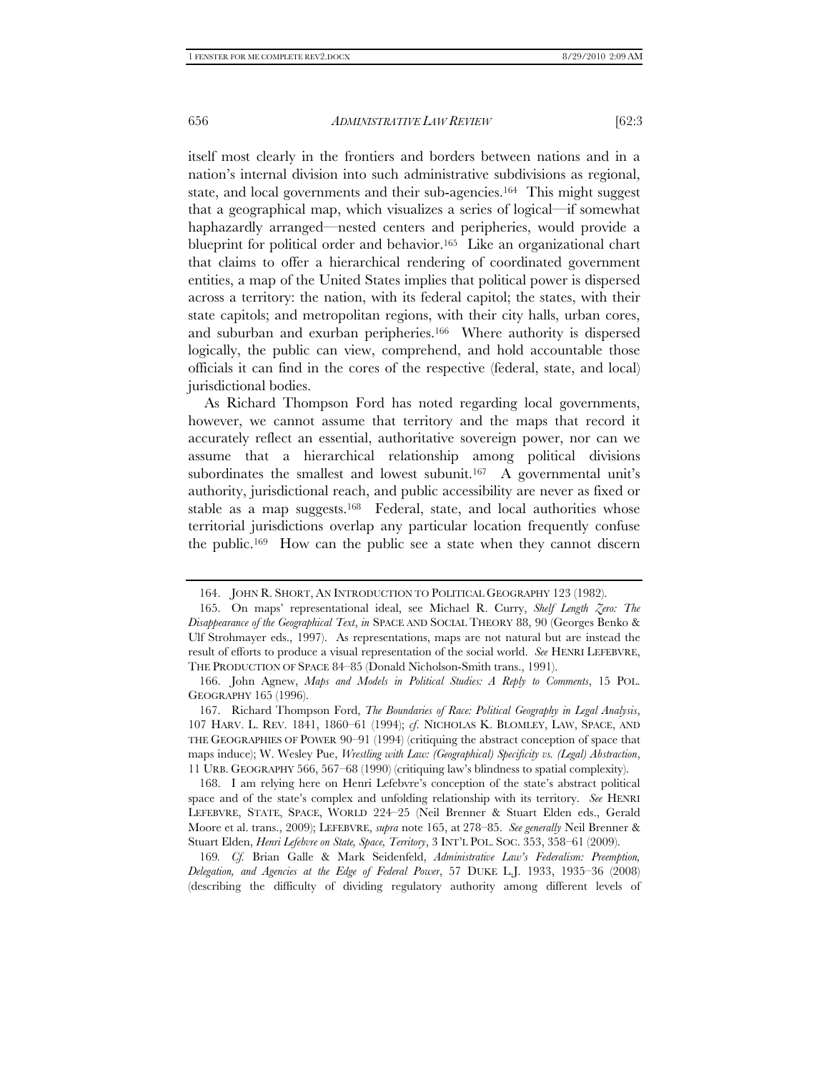itself most clearly in the frontiers and borders between nations and in a nation's internal division into such administrative subdivisions as regional, state, and local governments and their sub-agencies.164 This might suggest that a geographical map, which visualizes a series of logical—if somewhat haphazardly arranged—nested centers and peripheries, would provide a blueprint for political order and behavior.<sup>165</sup> Like an organizational chart that claims to offer a hierarchical rendering of coordinated government entities, a map of the United States implies that political power is dispersed across a territory: the nation, with its federal capitol; the states, with their state capitols; and metropolitan regions, with their city halls, urban cores, and suburban and exurban peripheries.166 Where authority is dispersed logically, the public can view, comprehend, and hold accountable those officials it can find in the cores of the respective (federal, state, and local) jurisdictional bodies.

As Richard Thompson Ford has noted regarding local governments, however, we cannot assume that territory and the maps that record it accurately reflect an essential, authoritative sovereign power, nor can we assume that a hierarchical relationship among political divisions subordinates the smallest and lowest subunit.<sup>167</sup> A governmental unit's authority, jurisdictional reach, and public accessibility are never as fixed or stable as a map suggests.168 Federal, state, and local authorities whose territorial jurisdictions overlap any particular location frequently confuse the public.169 How can the public see a state when they cannot discern

169*. Cf.* Brian Galle & Mark Seidenfeld, *Administrative Law's Federalism: Preemption, Delegation, and Agencies at the Edge of Federal Power*, 57 DUKE L.J. 1933, 1935–36 (2008) (describing the difficulty of dividing regulatory authority among different levels of

 <sup>164.</sup> JOHN R. SHORT, AN INTRODUCTION TO POLITICAL GEOGRAPHY 123 (1982).

 <sup>165.</sup> On maps' representational ideal, see Michael R. Curry, *Shelf Length Zero: The Disappearance of the Geographical Text*, *in* SPACE AND SOCIAL THEORY 88, 90 (Georges Benko & Ulf Strohmayer eds., 1997). As representations, maps are not natural but are instead the result of efforts to produce a visual representation of the social world. *See* HENRI LEFEBVRE, THE PRODUCTION OF SPACE 84–85 (Donald Nicholson-Smith trans., 1991).

 <sup>166.</sup> John Agnew, *Maps and Models in Political Studies: A Reply to Comments*, 15 POL. GEOGRAPHY 165 (1996).

 <sup>167.</sup> Richard Thompson Ford, *The Boundaries of Race: Political Geography in Legal Analysis*, 107 HARV. L. REV. 1841, 1860–61 (1994); *cf*. NICHOLAS K. BLOMLEY, LAW, SPACE, AND THE GEOGRAPHIES OF POWER 90–91 (1994) (critiquing the abstract conception of space that maps induce); W. Wesley Pue, *Wrestling with Law: (Geographical) Specificity vs. (Legal) Abstraction*, 11 URB. GEOGRAPHY 566, 567–68 (1990) (critiquing law's blindness to spatial complexity).

 <sup>168.</sup> I am relying here on Henri Lefebvre's conception of the state's abstract political space and of the state's complex and unfolding relationship with its territory. *See* HENRI LEFEBVRE, STATE, SPACE, WORLD 224–25 (Neil Brenner & Stuart Elden eds., Gerald Moore et al. trans., 2009); LEFEBVRE, *supra* note 165, at 278–85. *See generally* Neil Brenner & Stuart Elden, *Henri Lefebvre on State, Space, Territory*, 3 INT'L POL. SOC. 353, 358–61 (2009).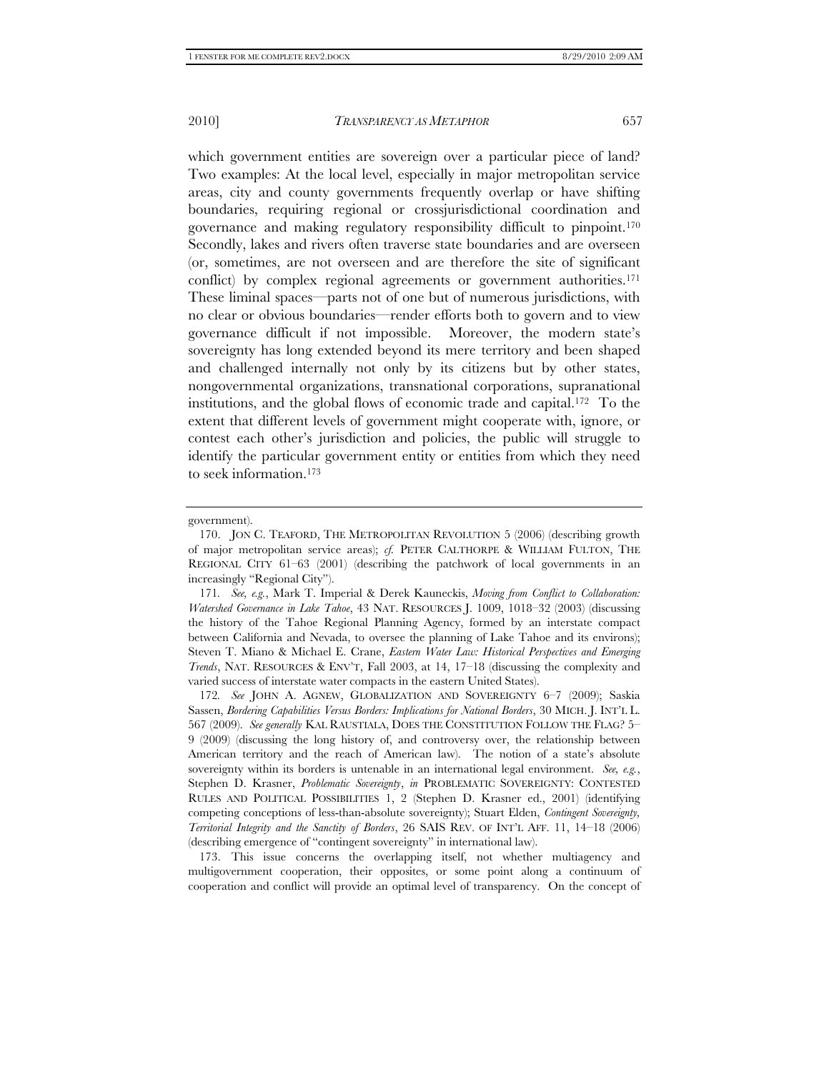which government entities are sovereign over a particular piece of land? Two examples: At the local level, especially in major metropolitan service areas, city and county governments frequently overlap or have shifting boundaries, requiring regional or crossjurisdictional coordination and governance and making regulatory responsibility difficult to pinpoint.170 Secondly, lakes and rivers often traverse state boundaries and are overseen (or, sometimes, are not overseen and are therefore the site of significant conflict) by complex regional agreements or government authorities.<sup>171</sup> These liminal spaces—parts not of one but of numerous jurisdictions, with no clear or obvious boundaries—render efforts both to govern and to view governance difficult if not impossible. Moreover, the modern state's sovereignty has long extended beyond its mere territory and been shaped and challenged internally not only by its citizens but by other states, nongovernmental organizations, transnational corporations, supranational institutions, and the global flows of economic trade and capital.172 To the extent that different levels of government might cooperate with, ignore, or contest each other's jurisdiction and policies, the public will struggle to identify the particular government entity or entities from which they need to seek information.173

 173. This issue concerns the overlapping itself, not whether multiagency and multigovernment cooperation, their opposites, or some point along a continuum of cooperation and conflict will provide an optimal level of transparency. On the concept of

government).

 <sup>170.</sup> JON C. TEAFORD, THE METROPOLITAN REVOLUTION 5 (2006) (describing growth of major metropolitan service areas); *cf.* PETER CALTHORPE & WILLIAM FULTON, THE REGIONAL CITY 61–63 (2001) (describing the patchwork of local governments in an increasingly "Regional City").

<sup>171</sup>*. See, e.g.*, Mark T. Imperial & Derek Kauneckis, *Moving from Conflict to Collaboration: Watershed Governance in Lake Tahoe*, 43 NAT. RESOURCES J. 1009, 1018–32 (2003) (discussing the history of the Tahoe Regional Planning Agency, formed by an interstate compact between California and Nevada, to oversee the planning of Lake Tahoe and its environs); Steven T. Miano & Michael E. Crane, *Eastern Water Law: Historical Perspectives and Emerging Trends*, NAT. RESOURCES & ENV'T, Fall 2003, at 14, 17–18 (discussing the complexity and varied success of interstate water compacts in the eastern United States).

<sup>172</sup>*. See* JOHN A. AGNEW, GLOBALIZATION AND SOVEREIGNTY 6–7 (2009); Saskia Sassen, *Bordering Capabilities Versus Borders: Implications for National Borders*, 30 MICH. J. INT'L L. 567 (2009). *See generally* KAL RAUSTIALA, DOES THE CONSTITUTION FOLLOW THE FLAG? 5– 9 (2009) (discussing the long history of, and controversy over, the relationship between American territory and the reach of American law). The notion of a state's absolute sovereignty within its borders is untenable in an international legal environment. *See, e.g.*, Stephen D. Krasner, *Problematic Sovereignty*, *in* PROBLEMATIC SOVEREIGNTY: CONTESTED RULES AND POLITICAL POSSIBILITIES 1, 2 (Stephen D. Krasner ed., 2001) (identifying competing conceptions of less-than-absolute sovereignty); Stuart Elden, *Contingent Sovereignty, Territorial Integrity and the Sanctity of Borders*, 26 SAIS REV. OF INT'L AFF. 11, 14–18 (2006) (describing emergence of "contingent sovereignty" in international law).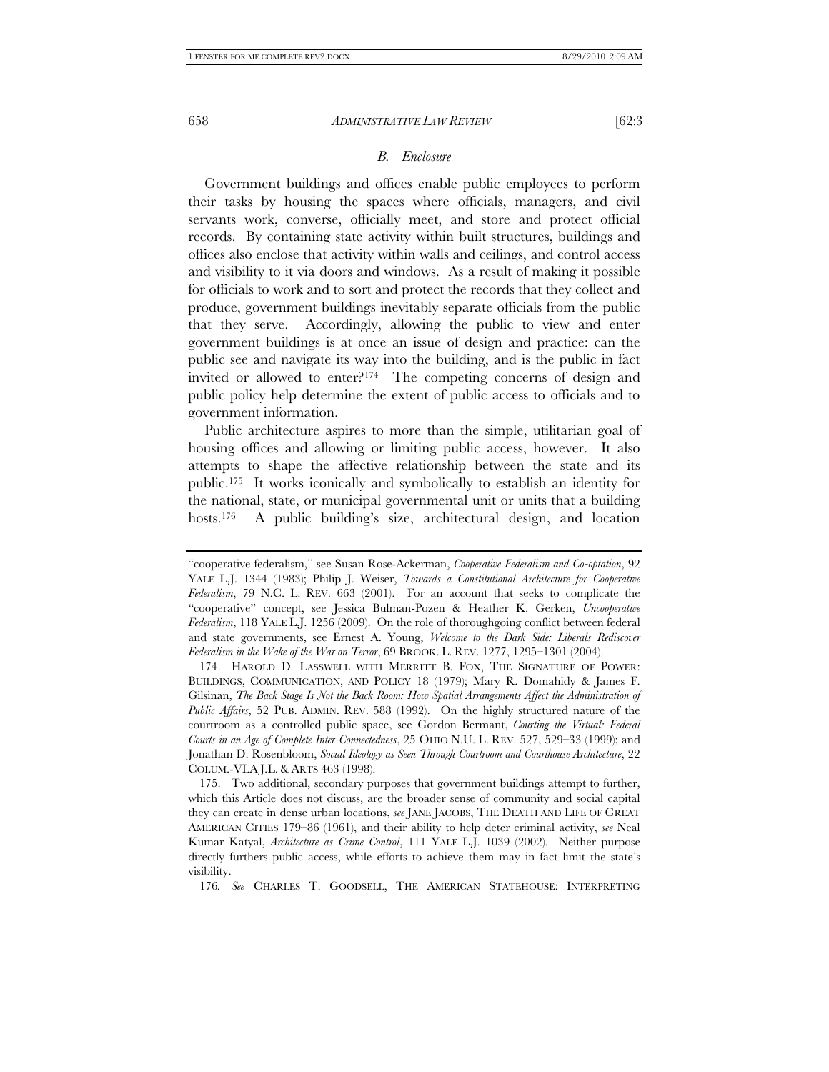#### *B. Enclosure*

Government buildings and offices enable public employees to perform their tasks by housing the spaces where officials, managers, and civil servants work, converse, officially meet, and store and protect official records. By containing state activity within built structures, buildings and offices also enclose that activity within walls and ceilings, and control access and visibility to it via doors and windows. As a result of making it possible for officials to work and to sort and protect the records that they collect and produce, government buildings inevitably separate officials from the public that they serve. Accordingly, allowing the public to view and enter government buildings is at once an issue of design and practice: can the public see and navigate its way into the building, and is the public in fact invited or allowed to enter?174 The competing concerns of design and public policy help determine the extent of public access to officials and to government information.

Public architecture aspires to more than the simple, utilitarian goal of housing offices and allowing or limiting public access, however. It also attempts to shape the affective relationship between the state and its public.175 It works iconically and symbolically to establish an identity for the national, state, or municipal governmental unit or units that a building hosts.<sup>176</sup> A public building's size, architectural design, and location

176*. See* CHARLES T. GOODSELL, THE AMERICAN STATEHOUSE: INTERPRETING

<sup>&</sup>quot;cooperative federalism," see Susan Rose-Ackerman, *Cooperative Federalism and Co-optation*, 92 YALE L.J. 1344 (1983); Philip J. Weiser, *Towards a Constitutional Architecture for Cooperative Federalism*, 79 N.C. L. REV. 663 (2001). For an account that seeks to complicate the "cooperative" concept, see Jessica Bulman-Pozen & Heather K. Gerken, *Uncooperative Federalism*, 118 YALE L.J. 1256 (2009). On the role of thoroughgoing conflict between federal and state governments, see Ernest A. Young, *Welcome to the Dark Side: Liberals Rediscover Federalism in the Wake of the War on Terror*, 69 BROOK. L. REV. 1277, 1295–1301 (2004).

 <sup>174.</sup> HAROLD D. LASSWELL WITH MERRITT B. FOX, THE SIGNATURE OF POWER: BUILDINGS, COMMUNICATION, AND POLICY 18 (1979); Mary R. Domahidy & James F. Gilsinan, *The Back Stage Is Not the Back Room: How Spatial Arrangements Affect the Administration of Public Affairs*, 52 PUB. ADMIN. REV. 588 (1992). On the highly structured nature of the courtroom as a controlled public space, see Gordon Bermant, *Courting the Virtual: Federal Courts in an Age of Complete Inter-Connectedness*, 25 OHIO N.U. L. REV. 527, 529–33 (1999); and Jonathan D. Rosenbloom, *Social Ideology as Seen Through Courtroom and Courthouse Architecture*, 22 COLUM.-VLA J.L. & ARTS 463 (1998).

 <sup>175.</sup> Two additional, secondary purposes that government buildings attempt to further, which this Article does not discuss, are the broader sense of community and social capital they can create in dense urban locations, *see* JANE JACOBS, THE DEATH AND LIFE OF GREAT AMERICAN CITIES 179–86 (1961), and their ability to help deter criminal activity, *see* Neal Kumar Katyal, *Architecture as Crime Control*, 111 YALE L.J. 1039 (2002). Neither purpose directly furthers public access, while efforts to achieve them may in fact limit the state's visibility.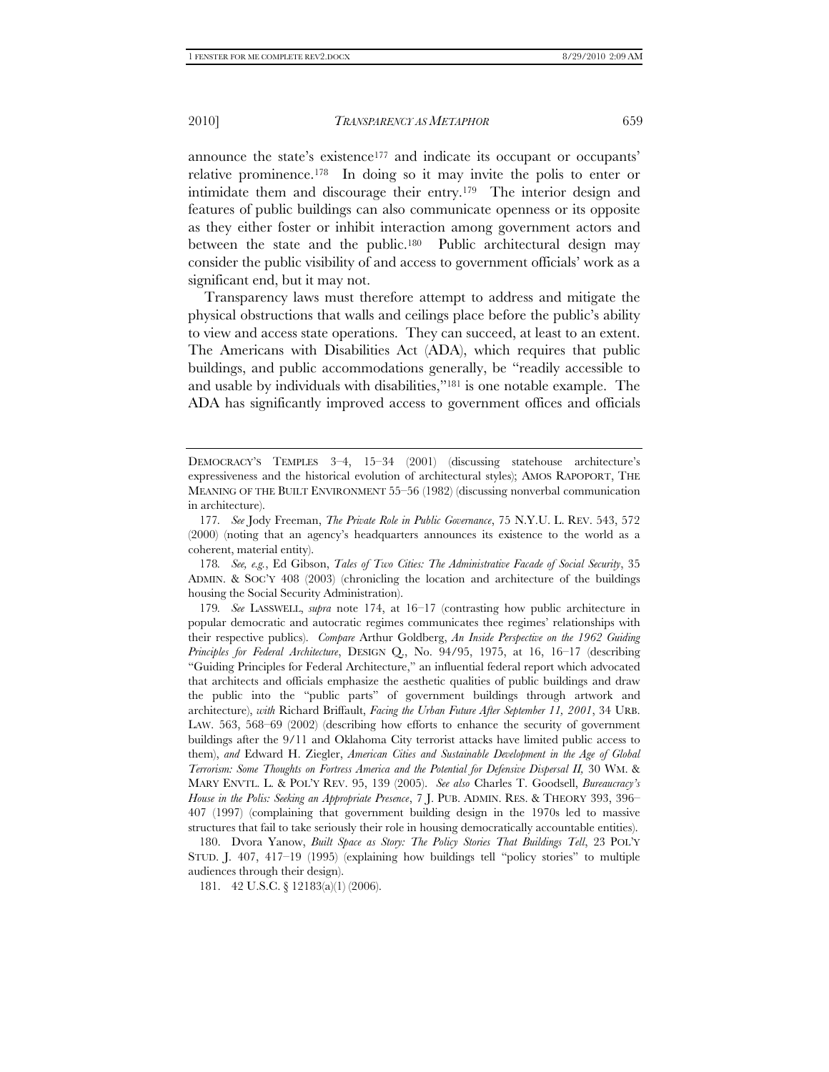announce the state's existence<sup>177</sup> and indicate its occupant or occupants' relative prominence.178 In doing so it may invite the polis to enter or intimidate them and discourage their entry.179 The interior design and features of public buildings can also communicate openness or its opposite as they either foster or inhibit interaction among government actors and between the state and the public.180 Public architectural design may consider the public visibility of and access to government officials' work as a significant end, but it may not.

Transparency laws must therefore attempt to address and mitigate the physical obstructions that walls and ceilings place before the public's ability to view and access state operations. They can succeed, at least to an extent. The Americans with Disabilities Act (ADA), which requires that public buildings, and public accommodations generally, be "readily accessible to and usable by individuals with disabilities,"181 is one notable example. The ADA has significantly improved access to government offices and officials

178*. See, e.g.*, Ed Gibson, *Tales of Two Cities: The Administrative Facade of Social Security*, 35 ADMIN. & SOC'Y 408 (2003) (chronicling the location and architecture of the buildings housing the Social Security Administration).

179*. See* LASSWELL, *supra* note 174, at 16–17 (contrasting how public architecture in popular democratic and autocratic regimes communicates thee regimes' relationships with their respective publics). *Compare* Arthur Goldberg, *An Inside Perspective on the 1962 Guiding Principles for Federal Architecture*, DESIGN Q., No. 94/95, 1975, at 16, 16–17 (describing "Guiding Principles for Federal Architecture," an influential federal report which advocated that architects and officials emphasize the aesthetic qualities of public buildings and draw the public into the "public parts" of government buildings through artwork and architecture), *with* Richard Briffault, *Facing the Urban Future After September 11, 2001*, 34 URB. LAW. 563, 568–69 (2002) (describing how efforts to enhance the security of government buildings after the 9/11 and Oklahoma City terrorist attacks have limited public access to them), *and* Edward H. Ziegler, *American Cities and Sustainable Development in the Age of Global Terrorism: Some Thoughts on Fortress America and the Potential for Defensive Dispersal II,* 30 WM. & MARY ENVTL. L. & POL'Y REV. 95, 139 (2005). *See also* Charles T. Goodsell, *Bureaucracy's House in the Polis: Seeking an Appropriate Presence*, 7 J. PUB. ADMIN. RES. & THEORY 393, 396– 407 (1997) (complaining that government building design in the 1970s led to massive structures that fail to take seriously their role in housing democratically accountable entities).

 180. Dvora Yanow, *Built Space as Story: The Policy Stories That Buildings Tell*, 23 POL'Y STUD. J. 407, 417–19 (1995) (explaining how buildings tell "policy stories" to multiple audiences through their design).

181. 42 U.S.C. § 12183(a)(1) (2006).

DEMOCRACY'S TEMPLES 3–4, 15–34 (2001) (discussing statehouse architecture's expressiveness and the historical evolution of architectural styles); AMOS RAPOPORT, THE MEANING OF THE BUILT ENVIRONMENT 55–56 (1982) (discussing nonverbal communication in architecture).

<sup>177</sup>*. See* Jody Freeman, *The Private Role in Public Governance*, 75 N.Y.U. L. REV. 543, 572 (2000) (noting that an agency's headquarters announces its existence to the world as a coherent, material entity).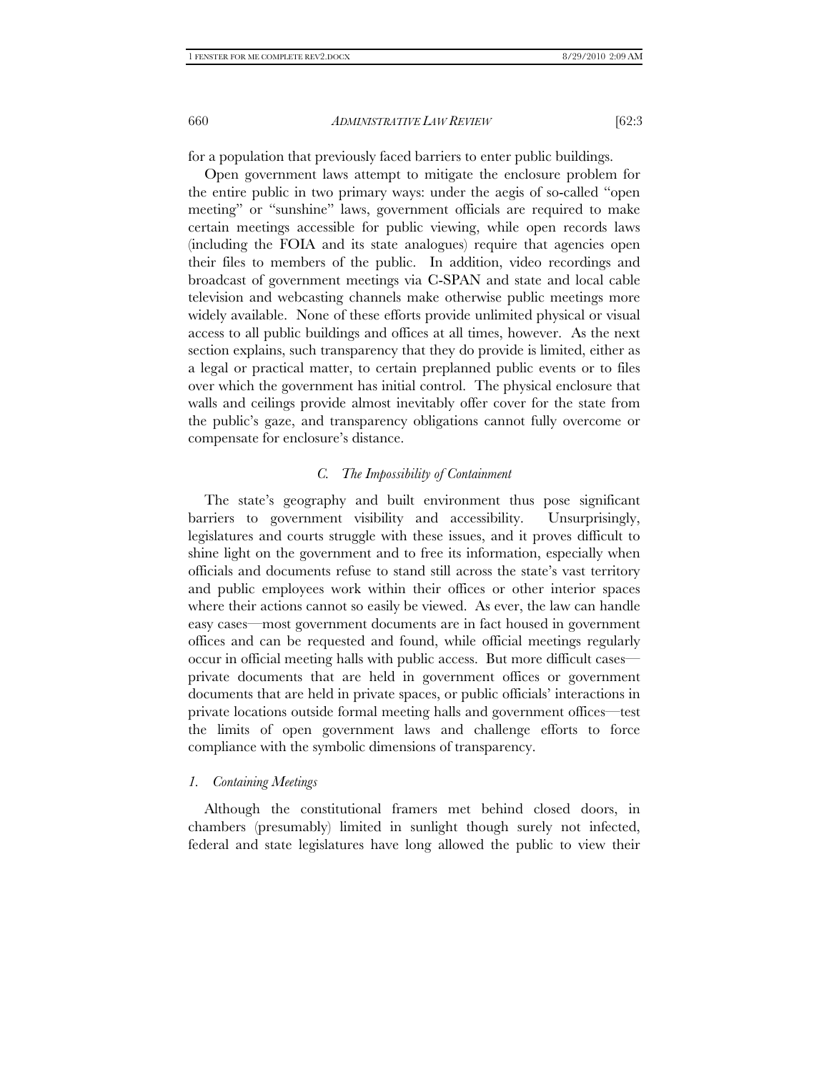for a population that previously faced barriers to enter public buildings.

Open government laws attempt to mitigate the enclosure problem for the entire public in two primary ways: under the aegis of so-called "open meeting" or "sunshine" laws, government officials are required to make certain meetings accessible for public viewing, while open records laws (including the FOIA and its state analogues) require that agencies open their files to members of the public. In addition, video recordings and broadcast of government meetings via C-SPAN and state and local cable television and webcasting channels make otherwise public meetings more widely available. None of these efforts provide unlimited physical or visual access to all public buildings and offices at all times, however. As the next section explains, such transparency that they do provide is limited, either as a legal or practical matter, to certain preplanned public events or to files over which the government has initial control. The physical enclosure that walls and ceilings provide almost inevitably offer cover for the state from the public's gaze, and transparency obligations cannot fully overcome or compensate for enclosure's distance.

#### *C. The Impossibility of Containment*

The state's geography and built environment thus pose significant barriers to government visibility and accessibility. Unsurprisingly, legislatures and courts struggle with these issues, and it proves difficult to shine light on the government and to free its information, especially when officials and documents refuse to stand still across the state's vast territory and public employees work within their offices or other interior spaces where their actions cannot so easily be viewed. As ever, the law can handle easy cases—most government documents are in fact housed in government offices and can be requested and found, while official meetings regularly occur in official meeting halls with public access. But more difficult cases private documents that are held in government offices or government documents that are held in private spaces, or public officials' interactions in private locations outside formal meeting halls and government offices—test the limits of open government laws and challenge efforts to force compliance with the symbolic dimensions of transparency.

#### *1. Containing Meetings*

Although the constitutional framers met behind closed doors, in chambers (presumably) limited in sunlight though surely not infected, federal and state legislatures have long allowed the public to view their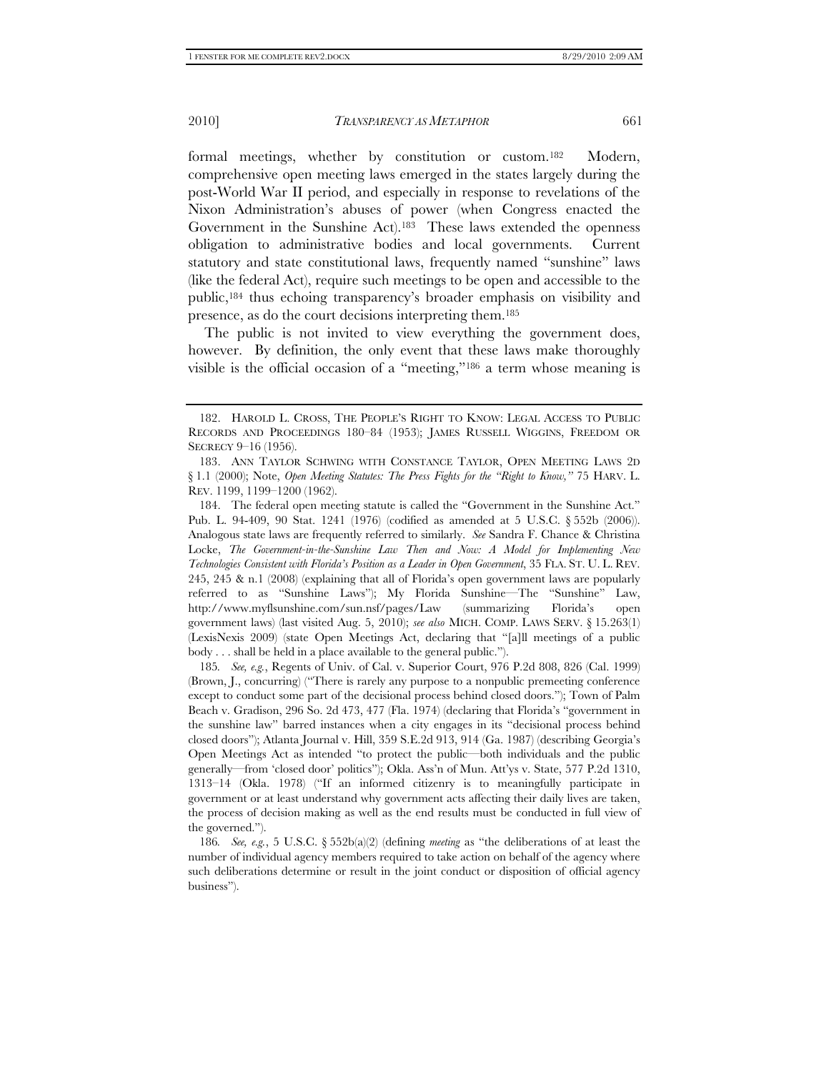formal meetings, whether by constitution or custom.<sup>182</sup> Modern, comprehensive open meeting laws emerged in the states largely during the post-World War II period, and especially in response to revelations of the Nixon Administration's abuses of power (when Congress enacted the Government in the Sunshine Act).183 These laws extended the openness obligation to administrative bodies and local governments. Current statutory and state constitutional laws, frequently named "sunshine" laws (like the federal Act), require such meetings to be open and accessible to the public,184 thus echoing transparency's broader emphasis on visibility and presence, as do the court decisions interpreting them.185

The public is not invited to view everything the government does, however. By definition, the only event that these laws make thoroughly visible is the official occasion of a "meeting,"186 a term whose meaning is

185*. See, e.g.*, Regents of Univ. of Cal. v. Superior Court, 976 P.2d 808, 826 (Cal. 1999) (Brown, J., concurring) ("There is rarely any purpose to a nonpublic premeeting conference except to conduct some part of the decisional process behind closed doors."); Town of Palm Beach v. Gradison, 296 So. 2d 473, 477 (Fla. 1974) (declaring that Florida's "government in the sunshine law" barred instances when a city engages in its "decisional process behind closed doors"); Atlanta Journal v. Hill, 359 S.E.2d 913, 914 (Ga. 1987) (describing Georgia's Open Meetings Act as intended "to protect the public—both individuals and the public generally—from 'closed door' politics"); Okla. Ass'n of Mun. Att'ys v. State, 577 P.2d 1310, 1313–14 (Okla. 1978) ("If an informed citizenry is to meaningfully participate in government or at least understand why government acts affecting their daily lives are taken, the process of decision making as well as the end results must be conducted in full view of the governed.").

186*. See, e.g.*, 5 U.S.C. § 552b(a)(2) (defining *meeting* as "the deliberations of at least the number of individual agency members required to take action on behalf of the agency where such deliberations determine or result in the joint conduct or disposition of official agency business").

 <sup>182.</sup> HAROLD L. CROSS, THE PEOPLE'S RIGHT TO KNOW: LEGAL ACCESS TO PUBLIC RECORDS AND PROCEEDINGS 180–84 (1953); JAMES RUSSELL WIGGINS, FREEDOM OR SECRECY 9–16 (1956).

 <sup>183.</sup> ANN TAYLOR SCHWING WITH CONSTANCE TAYLOR, OPEN MEETING LAWS 2D § 1.1 (2000); Note, *Open Meeting Statutes: The Press Fights for the "Right to Know,"* 75 HARV. L. REV. 1199, 1199–1200 (1962).

 <sup>184.</sup> The federal open meeting statute is called the "Government in the Sunshine Act." Pub. L. 94-409, 90 Stat. 1241 (1976) (codified as amended at 5 U.S.C. § 552b (2006)). Analogous state laws are frequently referred to similarly. *See* Sandra F. Chance & Christina Locke, *The Government-in-the-Sunshine Law Then and Now: A Model for Implementing New Technologies Consistent with Florida's Position as a Leader in Open Government*, 35 FLA. ST. U. L. REV. 245, 245 & n.1 (2008) (explaining that all of Florida's open government laws are popularly referred to as "Sunshine Laws"); My Florida Sunshine—The "Sunshine" Law, http://www.myflsunshine.com/sun.nsf/pages/Law (summarizing Florida's open government laws) (last visited Aug. 5, 2010); *see also* MICH. COMP. LAWS SERV. § 15.263(1) (LexisNexis 2009) (state Open Meetings Act, declaring that "[a]ll meetings of a public body . . . shall be held in a place available to the general public.").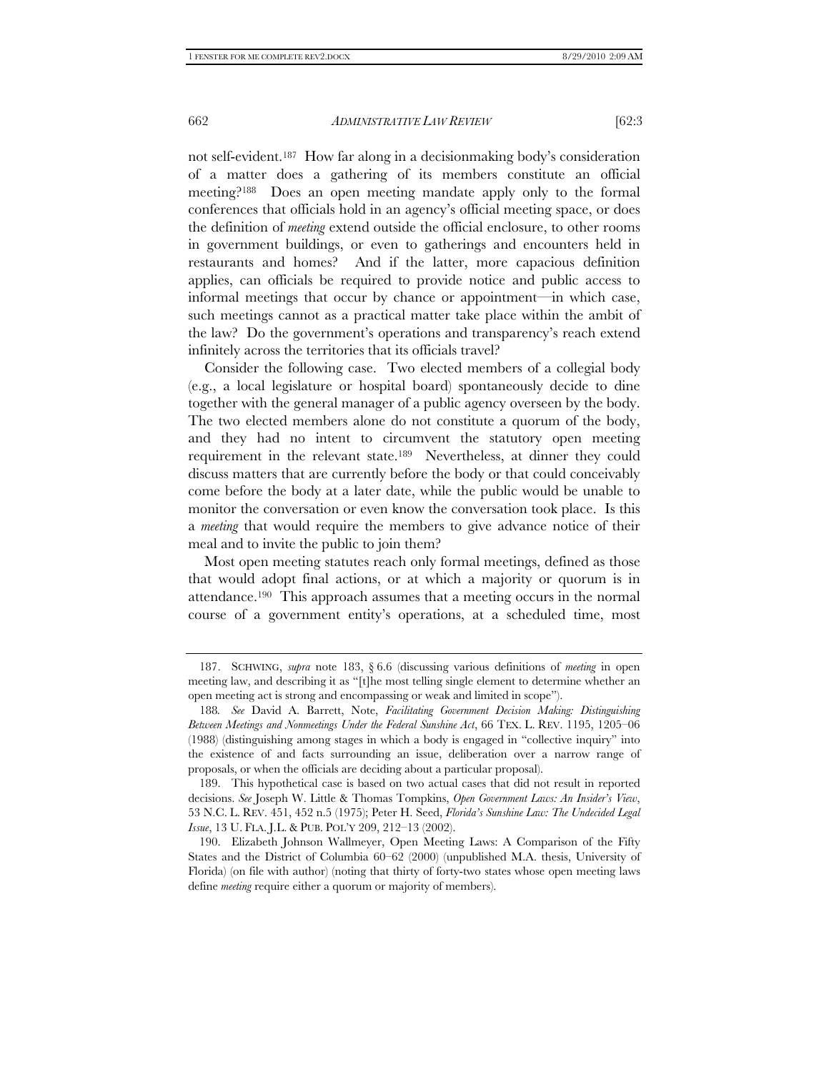not self-evident.187 How far along in a decisionmaking body's consideration of a matter does a gathering of its members constitute an official meeting?188 Does an open meeting mandate apply only to the formal conferences that officials hold in an agency's official meeting space, or does the definition of *meeting* extend outside the official enclosure, to other rooms in government buildings, or even to gatherings and encounters held in restaurants and homes? And if the latter, more capacious definition applies, can officials be required to provide notice and public access to informal meetings that occur by chance or appointment—in which case, such meetings cannot as a practical matter take place within the ambit of the law? Do the government's operations and transparency's reach extend infinitely across the territories that its officials travel?

Consider the following case. Two elected members of a collegial body (e.g., a local legislature or hospital board) spontaneously decide to dine together with the general manager of a public agency overseen by the body. The two elected members alone do not constitute a quorum of the body, and they had no intent to circumvent the statutory open meeting requirement in the relevant state.189 Nevertheless, at dinner they could discuss matters that are currently before the body or that could conceivably come before the body at a later date, while the public would be unable to monitor the conversation or even know the conversation took place. Is this a *meeting* that would require the members to give advance notice of their meal and to invite the public to join them?

Most open meeting statutes reach only formal meetings, defined as those that would adopt final actions, or at which a majority or quorum is in attendance.190 This approach assumes that a meeting occurs in the normal course of a government entity's operations, at a scheduled time, most

 <sup>187.</sup> SCHWING, *supra* note 183, § 6.6 (discussing various definitions of *meeting* in open meeting law, and describing it as "[t]he most telling single element to determine whether an open meeting act is strong and encompassing or weak and limited in scope").

<sup>188</sup>*. See* David A. Barrett, Note, *Facilitating Government Decision Making: Distinguishing Between Meetings and Nonmeetings Under the Federal Sunshine Act*, 66 TEX. L. REV. 1195, 1205–06 (1988) (distinguishing among stages in which a body is engaged in "collective inquiry" into the existence of and facts surrounding an issue, deliberation over a narrow range of proposals, or when the officials are deciding about a particular proposal).

 <sup>189.</sup> This hypothetical case is based on two actual cases that did not result in reported decisions. *See* Joseph W. Little & Thomas Tompkins, *Open Government Laws: An Insider's View*, 53 N.C. L. REV. 451, 452 n.5 (1975); Peter H. Seed, *Florida's Sunshine Law: The Undecided Legal Issue*, 13 U. FLA. J.L. & PUB. POL'Y 209, 212–13 (2002).

 <sup>190.</sup> Elizabeth Johnson Wallmeyer, Open Meeting Laws: A Comparison of the Fifty States and the District of Columbia 60–62 (2000) (unpublished M.A. thesis, University of Florida) (on file with author) (noting that thirty of forty-two states whose open meeting laws define *meeting* require either a quorum or majority of members).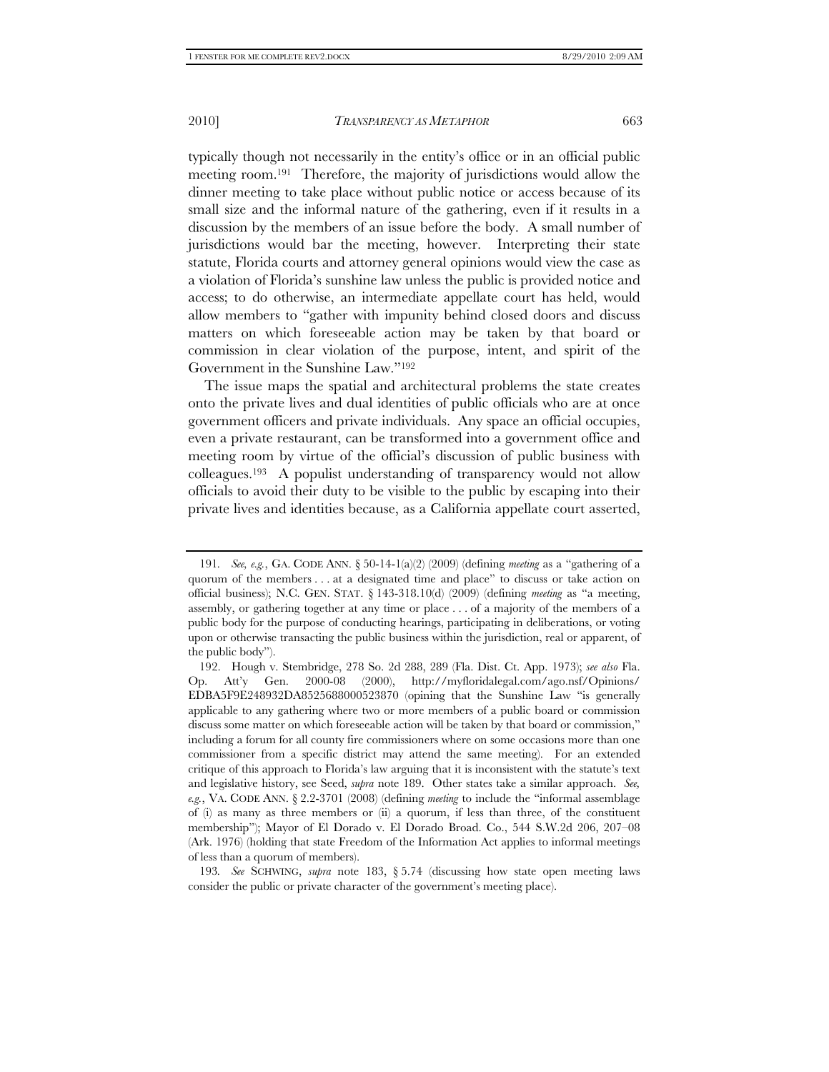typically though not necessarily in the entity's office or in an official public meeting room.191 Therefore, the majority of jurisdictions would allow the dinner meeting to take place without public notice or access because of its small size and the informal nature of the gathering, even if it results in a discussion by the members of an issue before the body. A small number of jurisdictions would bar the meeting, however. Interpreting their state statute, Florida courts and attorney general opinions would view the case as a violation of Florida's sunshine law unless the public is provided notice and access; to do otherwise, an intermediate appellate court has held, would allow members to "gather with impunity behind closed doors and discuss matters on which foreseeable action may be taken by that board or commission in clear violation of the purpose, intent, and spirit of the Government in the Sunshine Law."192

The issue maps the spatial and architectural problems the state creates onto the private lives and dual identities of public officials who are at once government officers and private individuals. Any space an official occupies, even a private restaurant, can be transformed into a government office and meeting room by virtue of the official's discussion of public business with colleagues.193 A populist understanding of transparency would not allow officials to avoid their duty to be visible to the public by escaping into their private lives and identities because, as a California appellate court asserted,

193*. See* SCHWING, *supra* note 183, § 5.74 (discussing how state open meeting laws consider the public or private character of the government's meeting place).

<sup>191</sup>*. See, e.g.*, GA. CODE ANN. § 50-14-1(a)(2) (2009) (defining *meeting* as a "gathering of a quorum of the members . . . at a designated time and place" to discuss or take action on official business); N.C. GEN. STAT. § 143-318.10(d) (2009) (defining *meeting* as "a meeting, assembly, or gathering together at any time or place . . . of a majority of the members of a public body for the purpose of conducting hearings, participating in deliberations, or voting upon or otherwise transacting the public business within the jurisdiction, real or apparent, of the public body").

 <sup>192.</sup> Hough v. Stembridge, 278 So. 2d 288, 289 (Fla. Dist. Ct. App. 1973); *see also* Fla. Op. Att'y Gen. 2000-08 (2000), http://myfloridalegal.com/ago.nsf/Opinions/ EDBA5F9E248932DA8525688000523870 (opining that the Sunshine Law "is generally applicable to any gathering where two or more members of a public board or commission discuss some matter on which foreseeable action will be taken by that board or commission," including a forum for all county fire commissioners where on some occasions more than one commissioner from a specific district may attend the same meeting). For an extended critique of this approach to Florida's law arguing that it is inconsistent with the statute's text and legislative history, see Seed, *supra* note 189. Other states take a similar approach. *See, e.g.*, VA. CODE ANN. § 2.2-3701 (2008) (defining *meeting* to include the "informal assemblage of (i) as many as three members or (ii) a quorum, if less than three, of the constituent membership"); Mayor of El Dorado v. El Dorado Broad. Co., 544 S.W.2d 206, 207–08 (Ark. 1976) (holding that state Freedom of the Information Act applies to informal meetings of less than a quorum of members).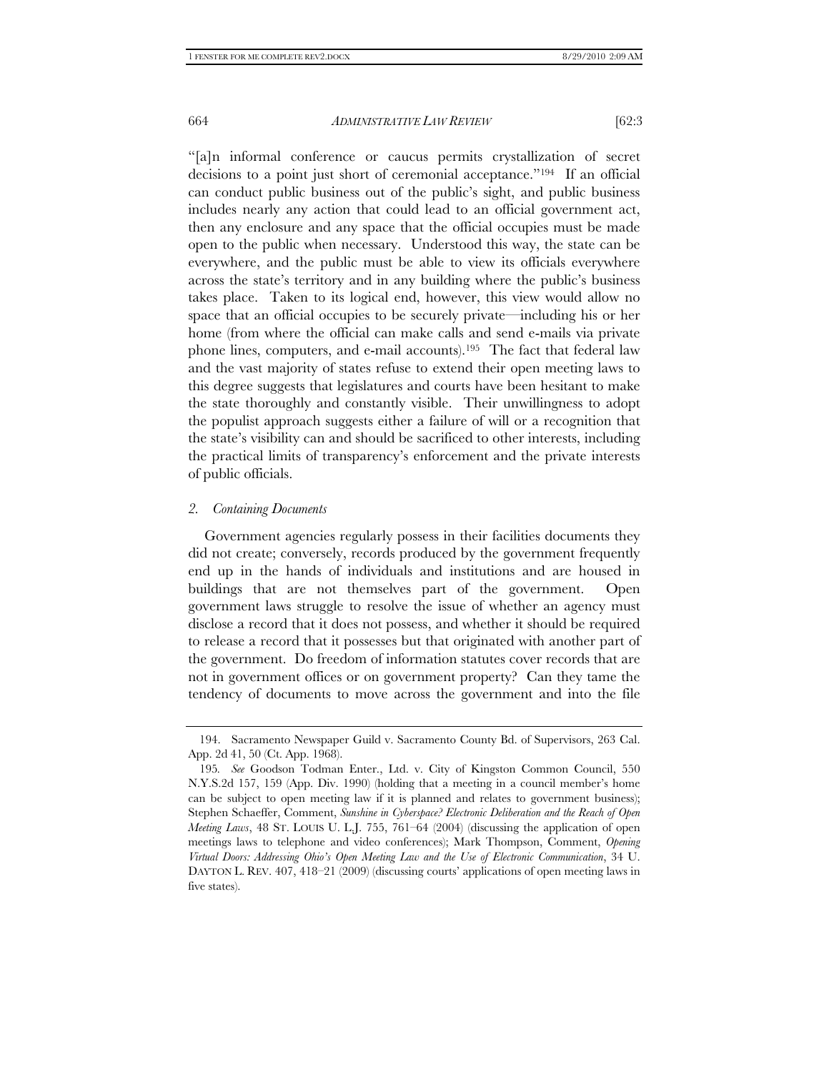"[a]n informal conference or caucus permits crystallization of secret decisions to a point just short of ceremonial acceptance."194 If an official can conduct public business out of the public's sight, and public business includes nearly any action that could lead to an official government act, then any enclosure and any space that the official occupies must be made open to the public when necessary. Understood this way, the state can be everywhere, and the public must be able to view its officials everywhere across the state's territory and in any building where the public's business takes place. Taken to its logical end, however, this view would allow no space that an official occupies to be securely private—including his or her home (from where the official can make calls and send e-mails via private phone lines, computers, and e-mail accounts).195 The fact that federal law and the vast majority of states refuse to extend their open meeting laws to this degree suggests that legislatures and courts have been hesitant to make the state thoroughly and constantly visible. Their unwillingness to adopt the populist approach suggests either a failure of will or a recognition that the state's visibility can and should be sacrificed to other interests, including the practical limits of transparency's enforcement and the private interests of public officials.

#### *2. Containing Documents*

Government agencies regularly possess in their facilities documents they did not create; conversely, records produced by the government frequently end up in the hands of individuals and institutions and are housed in buildings that are not themselves part of the government. Open government laws struggle to resolve the issue of whether an agency must disclose a record that it does not possess, and whether it should be required to release a record that it possesses but that originated with another part of the government. Do freedom of information statutes cover records that are not in government offices or on government property? Can they tame the tendency of documents to move across the government and into the file

 <sup>194.</sup> Sacramento Newspaper Guild v. Sacramento County Bd. of Supervisors, 263 Cal. App. 2d 41, 50 (Ct. App. 1968).

<sup>195</sup>*. See* Goodson Todman Enter., Ltd. v. City of Kingston Common Council, 550 N.Y.S.2d 157, 159 (App. Div. 1990) (holding that a meeting in a council member's home can be subject to open meeting law if it is planned and relates to government business); Stephen Schaeffer, Comment, *Sunshine in Cyberspace? Electronic Deliberation and the Reach of Open Meeting Laws*, 48 ST. LOUIS U. L.J. 755, 761–64 (2004) (discussing the application of open meetings laws to telephone and video conferences); Mark Thompson, Comment, *Opening Virtual Doors: Addressing Ohio's Open Meeting Law and the Use of Electronic Communication*, 34 U. DAYTON L. REV. 407, 418–21 (2009) (discussing courts' applications of open meeting laws in five states).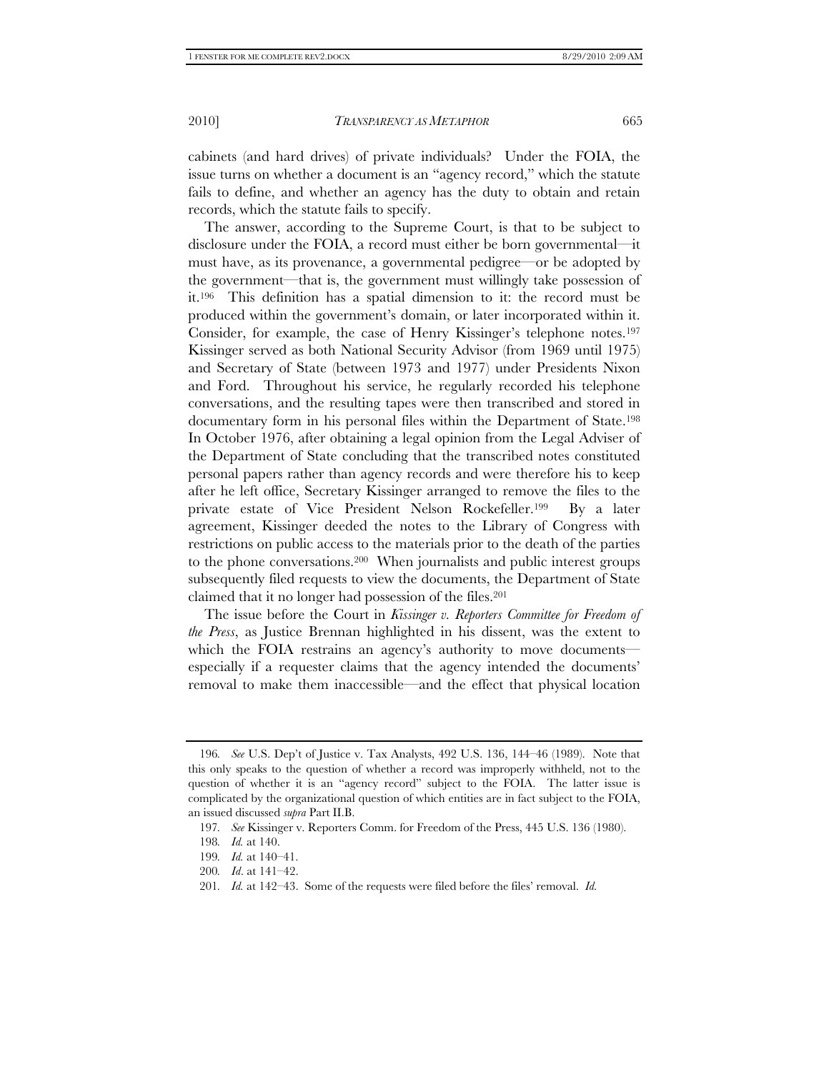cabinets (and hard drives) of private individuals? Under the FOIA, the issue turns on whether a document is an "agency record," which the statute fails to define, and whether an agency has the duty to obtain and retain records, which the statute fails to specify.

The answer, according to the Supreme Court, is that to be subject to disclosure under the FOIA, a record must either be born governmental—it must have, as its provenance, a governmental pedigree—or be adopted by the government—that is, the government must willingly take possession of it.196 This definition has a spatial dimension to it: the record must be produced within the government's domain, or later incorporated within it. Consider, for example, the case of Henry Kissinger's telephone notes.197 Kissinger served as both National Security Advisor (from 1969 until 1975) and Secretary of State (between 1973 and 1977) under Presidents Nixon and Ford. Throughout his service, he regularly recorded his telephone conversations, and the resulting tapes were then transcribed and stored in documentary form in his personal files within the Department of State.198 In October 1976, after obtaining a legal opinion from the Legal Adviser of the Department of State concluding that the transcribed notes constituted personal papers rather than agency records and were therefore his to keep after he left office, Secretary Kissinger arranged to remove the files to the private estate of Vice President Nelson Rockefeller.199 By a later agreement, Kissinger deeded the notes to the Library of Congress with restrictions on public access to the materials prior to the death of the parties to the phone conversations.200 When journalists and public interest groups subsequently filed requests to view the documents, the Department of State claimed that it no longer had possession of the files.201

The issue before the Court in *Kissinger v. Reporters Committee for Freedom of the Press*, as Justice Brennan highlighted in his dissent, was the extent to which the FOIA restrains an agency's authority to move documents especially if a requester claims that the agency intended the documents' removal to make them inaccessible—and the effect that physical location

<sup>196</sup>*. See* U.S. Dep't of Justice v. Tax Analysts, 492 U.S. 136, 144–46 (1989). Note that this only speaks to the question of whether a record was improperly withheld, not to the question of whether it is an "agency record" subject to the FOIA. The latter issue is complicated by the organizational question of which entities are in fact subject to the FOIA, an issued discussed *supra* Part II.B.

<sup>197</sup>*. See* Kissinger v. Reporters Comm. for Freedom of the Press, 445 U.S. 136 (1980).

<sup>198</sup>*. Id.* at 140.

<sup>199</sup>*. Id.* at 140–41.

<sup>200</sup>*. Id*. at 141–42.

<sup>201</sup>*. Id.* at 142–43. Some of the requests were filed before the files' removal. *Id.*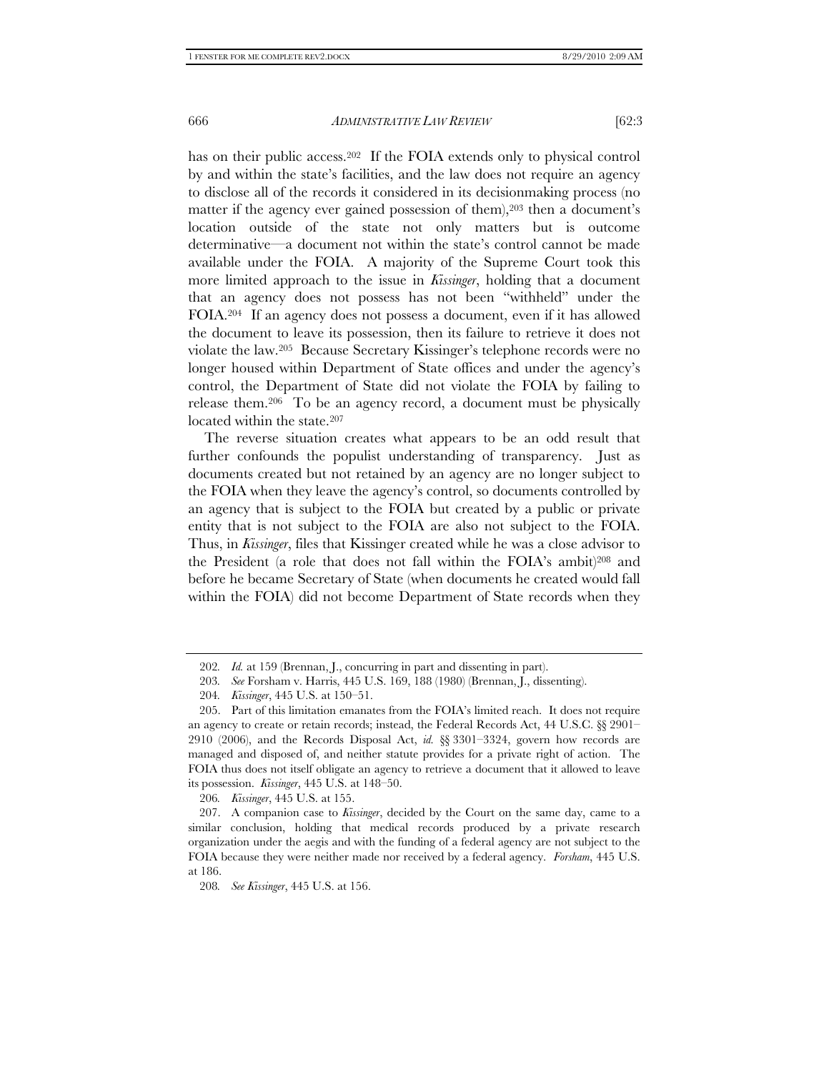has on their public access.<sup>202</sup> If the FOIA extends only to physical control by and within the state's facilities, and the law does not require an agency to disclose all of the records it considered in its decisionmaking process (no matter if the agency ever gained possession of them),  $203$  then a document's location outside of the state not only matters but is outcome determinative—a document not within the state's control cannot be made available under the FOIA. A majority of the Supreme Court took this more limited approach to the issue in *Kissinger*, holding that a document that an agency does not possess has not been "withheld" under the FOIA.204 If an agency does not possess a document, even if it has allowed the document to leave its possession, then its failure to retrieve it does not violate the law.205 Because Secretary Kissinger's telephone records were no longer housed within Department of State offices and under the agency's control, the Department of State did not violate the FOIA by failing to release them.206 To be an agency record, a document must be physically located within the state.<sup>207</sup>

The reverse situation creates what appears to be an odd result that further confounds the populist understanding of transparency. Just as documents created but not retained by an agency are no longer subject to the FOIA when they leave the agency's control, so documents controlled by an agency that is subject to the FOIA but created by a public or private entity that is not subject to the FOIA are also not subject to the FOIA. Thus, in *Kissinger*, files that Kissinger created while he was a close advisor to the President (a role that does not fall within the FOIA's ambit)208 and before he became Secretary of State (when documents he created would fall within the FOIA) did not become Department of State records when they

<sup>202</sup>*. Id.* at 159 (Brennan, J., concurring in part and dissenting in part).

<sup>203</sup>*. See* Forsham v. Harris, 445 U.S. 169, 188 (1980) (Brennan, J., dissenting).

<sup>204</sup>*. Kissinger*, 445 U.S. at 150–51.

 <sup>205.</sup> Part of this limitation emanates from the FOIA's limited reach. It does not require an agency to create or retain records; instead, the Federal Records Act, 44 U.S.C. §§ 2901– 2910 (2006), and the Records Disposal Act, *id.* §§ 3301–3324, govern how records are managed and disposed of, and neither statute provides for a private right of action. The FOIA thus does not itself obligate an agency to retrieve a document that it allowed to leave its possession. *Kissinger*, 445 U.S. at 148–50.

<sup>206</sup>*. Kissinger*, 445 U.S. at 155.

 <sup>207.</sup> A companion case to *Kissinger*, decided by the Court on the same day, came to a similar conclusion, holding that medical records produced by a private research organization under the aegis and with the funding of a federal agency are not subject to the FOIA because they were neither made nor received by a federal agency. *Forsham*, 445 U.S. at 186.

<sup>208</sup>*. See Kissinger*, 445 U.S. at 156.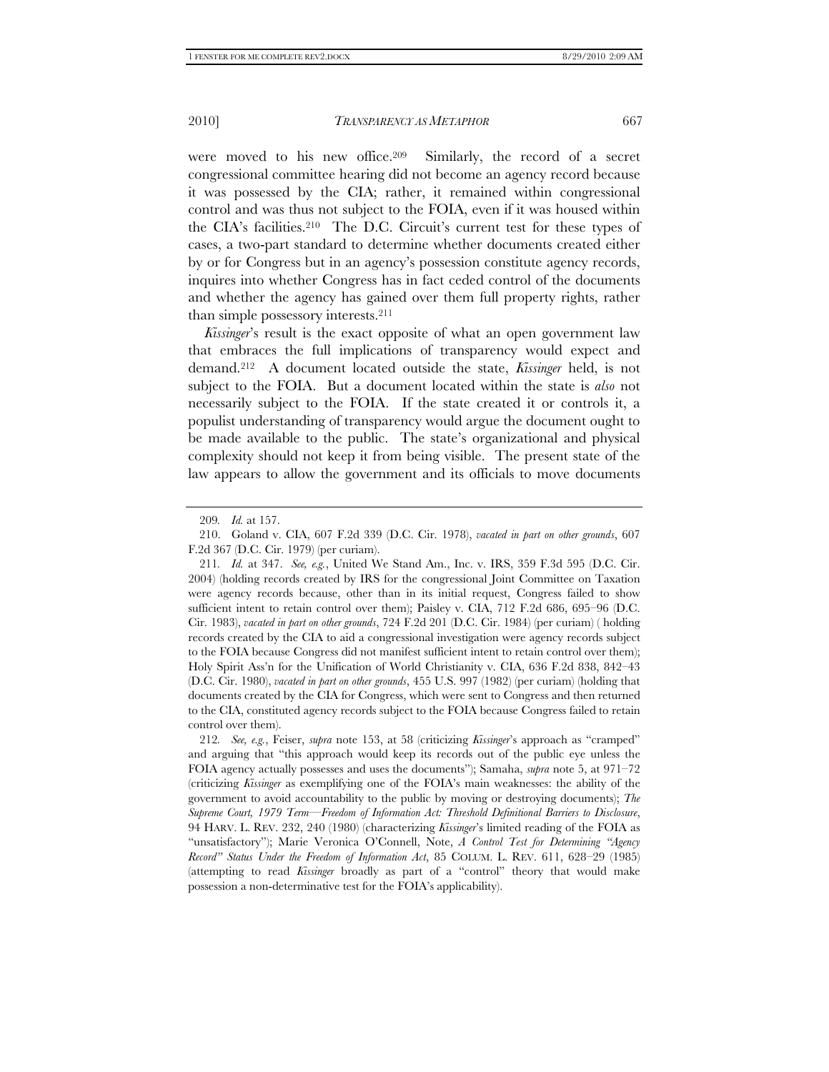were moved to his new office.209 Similarly, the record of a secret congressional committee hearing did not become an agency record because it was possessed by the CIA; rather, it remained within congressional control and was thus not subject to the FOIA, even if it was housed within the CIA's facilities.210 The D.C. Circuit's current test for these types of cases, a two-part standard to determine whether documents created either by or for Congress but in an agency's possession constitute agency records, inquires into whether Congress has in fact ceded control of the documents and whether the agency has gained over them full property rights, rather than simple possessory interests.211

*Kissinger*'s result is the exact opposite of what an open government law that embraces the full implications of transparency would expect and demand.212 A document located outside the state, *Kissinger* held, is not subject to the FOIA. But a document located within the state is *also* not necessarily subject to the FOIA. If the state created it or controls it, a populist understanding of transparency would argue the document ought to be made available to the public. The state's organizational and physical complexity should not keep it from being visible. The present state of the law appears to allow the government and its officials to move documents

<sup>209</sup>*. Id.* at 157.

 <sup>210.</sup> Goland v. CIA, 607 F.2d 339 (D.C. Cir. 1978), *vacated in part on other grounds*, 607 F.2d 367 (D.C. Cir. 1979) (per curiam).

<sup>211</sup>*. Id.* at 347. *See, e.g.*, United We Stand Am., Inc. v. IRS, 359 F.3d 595 (D.C. Cir. 2004) (holding records created by IRS for the congressional Joint Committee on Taxation were agency records because, other than in its initial request, Congress failed to show sufficient intent to retain control over them); Paisley v. CIA, 712 F.2d 686, 695–96 (D.C. Cir. 1983), *vacated in part on other grounds*, 724 F.2d 201 (D.C. Cir. 1984) (per curiam) ( holding records created by the CIA to aid a congressional investigation were agency records subject to the FOIA because Congress did not manifest sufficient intent to retain control over them); Holy Spirit Ass'n for the Unification of World Christianity v. CIA, 636 F.2d 838, 842–43 (D.C. Cir. 1980), *vacated in part on other grounds*, 455 U.S. 997 (1982) (per curiam) (holding that documents created by the CIA for Congress, which were sent to Congress and then returned to the CIA, constituted agency records subject to the FOIA because Congress failed to retain control over them).

<sup>212</sup>*. See, e.g.*, Feiser, *supra* note 153, at 58 (criticizing *Kissinger*'s approach as "cramped" and arguing that "this approach would keep its records out of the public eye unless the FOIA agency actually possesses and uses the documents"); Samaha, *supra* note 5, at 971–72 (criticizing *Kissinger* as exemplifying one of the FOIA's main weaknesses: the ability of the government to avoid accountability to the public by moving or destroying documents); *The Supreme Court, 1979 Term—Freedom of Information Act: Threshold Definitional Barriers to Disclosure*, 94 HARV. L. REV. 232, 240 (1980) (characterizing *Kissinger*'s limited reading of the FOIA as "unsatisfactory"); Marie Veronica O'Connell, Note, *A Control Test for Determining "Agency Record" Status Under the Freedom of Information Act*, 85 COLUM. L. REV. 611, 628–29 (1985) (attempting to read *Kissinger* broadly as part of a "control" theory that would make possession a non-determinative test for the FOIA's applicability).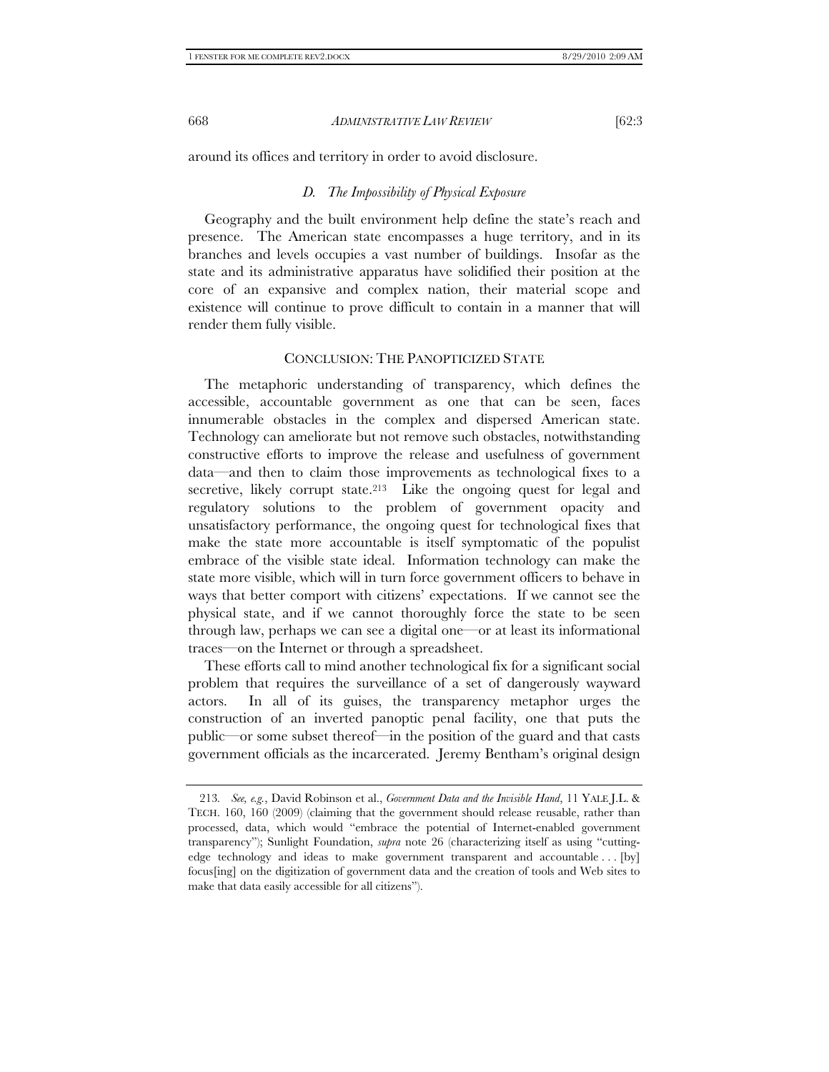around its offices and territory in order to avoid disclosure.

#### *D. The Impossibility of Physical Exposure*

Geography and the built environment help define the state's reach and presence. The American state encompasses a huge territory, and in its branches and levels occupies a vast number of buildings. Insofar as the state and its administrative apparatus have solidified their position at the core of an expansive and complex nation, their material scope and existence will continue to prove difficult to contain in a manner that will render them fully visible.

### CONCLUSION: THE PANOPTICIZED STATE

The metaphoric understanding of transparency, which defines the accessible, accountable government as one that can be seen, faces innumerable obstacles in the complex and dispersed American state. Technology can ameliorate but not remove such obstacles, notwithstanding constructive efforts to improve the release and usefulness of government data—and then to claim those improvements as technological fixes to a secretive, likely corrupt state.<sup>213</sup> Like the ongoing quest for legal and regulatory solutions to the problem of government opacity and unsatisfactory performance, the ongoing quest for technological fixes that make the state more accountable is itself symptomatic of the populist embrace of the visible state ideal. Information technology can make the state more visible, which will in turn force government officers to behave in ways that better comport with citizens' expectations. If we cannot see the physical state, and if we cannot thoroughly force the state to be seen through law, perhaps we can see a digital one—or at least its informational traces—on the Internet or through a spreadsheet.

These efforts call to mind another technological fix for a significant social problem that requires the surveillance of a set of dangerously wayward actors. In all of its guises, the transparency metaphor urges the construction of an inverted panoptic penal facility, one that puts the public—or some subset thereof—in the position of the guard and that casts government officials as the incarcerated. Jeremy Bentham's original design

<sup>213</sup>*. See, e.g.*, David Robinson et al., *Government Data and the Invisible Hand*, 11 YALE J.L. & TECH. 160, 160 (2009) (claiming that the government should release reusable, rather than processed, data, which would "embrace the potential of Internet-enabled government transparency"); Sunlight Foundation, *supra* note 26 (characterizing itself as using "cuttingedge technology and ideas to make government transparent and accountable . . . [by] focus[ing] on the digitization of government data and the creation of tools and Web sites to make that data easily accessible for all citizens").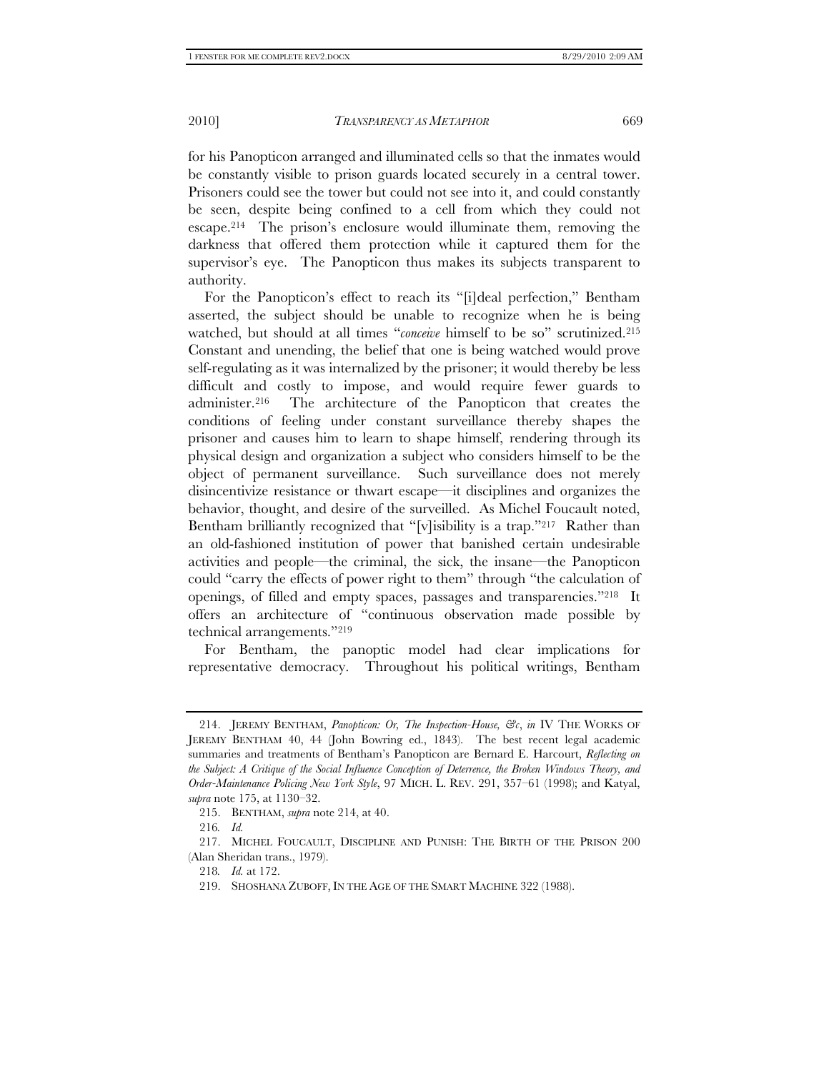for his Panopticon arranged and illuminated cells so that the inmates would be constantly visible to prison guards located securely in a central tower. Prisoners could see the tower but could not see into it, and could constantly be seen, despite being confined to a cell from which they could not escape.214 The prison's enclosure would illuminate them, removing the darkness that offered them protection while it captured them for the supervisor's eye. The Panopticon thus makes its subjects transparent to authority.

For the Panopticon's effect to reach its "[i]deal perfection," Bentham asserted, the subject should be unable to recognize when he is being watched, but should at all times "*conceive* himself to be so" scrutinized.215 Constant and unending, the belief that one is being watched would prove self-regulating as it was internalized by the prisoner; it would thereby be less difficult and costly to impose, and would require fewer guards to administer.216 The architecture of the Panopticon that creates the conditions of feeling under constant surveillance thereby shapes the prisoner and causes him to learn to shape himself, rendering through its physical design and organization a subject who considers himself to be the object of permanent surveillance. Such surveillance does not merely disincentivize resistance or thwart escape—it disciplines and organizes the behavior, thought, and desire of the surveilled. As Michel Foucault noted, Bentham brilliantly recognized that "[v]isibility is a trap."<sup>217</sup> Rather than an old-fashioned institution of power that banished certain undesirable activities and people—the criminal, the sick, the insane—the Panopticon could "carry the effects of power right to them" through "the calculation of openings, of filled and empty spaces, passages and transparencies."218 It offers an architecture of "continuous observation made possible by technical arrangements."219

For Bentham, the panoptic model had clear implications for representative democracy. Throughout his political writings, Bentham

 <sup>214.</sup> JEREMY BENTHAM, *Panopticon: Or, The Inspection-House, &c*, *in* IV THE WORKS OF JEREMY BENTHAM 40, 44 (John Bowring ed., 1843). The best recent legal academic summaries and treatments of Bentham's Panopticon are Bernard E. Harcourt, *Reflecting on the Subject: A Critique of the Social Influence Conception of Deterrence, the Broken Windows Theory, and Order-Maintenance Policing New York Style*, 97 MICH. L. REV. 291, 357–61 (1998); and Katyal, *supra* note 175, at 1130–32.

 <sup>215.</sup> BENTHAM, *supra* note 214, at 40.

<sup>216</sup>*. Id.*

 <sup>217.</sup> MICHEL FOUCAULT, DISCIPLINE AND PUNISH: THE BIRTH OF THE PRISON 200 (Alan Sheridan trans., 1979).

<sup>218</sup>*. Id.* at 172.

 <sup>219.</sup> SHOSHANA ZUBOFF, IN THE AGE OF THE SMART MACHINE 322 (1988).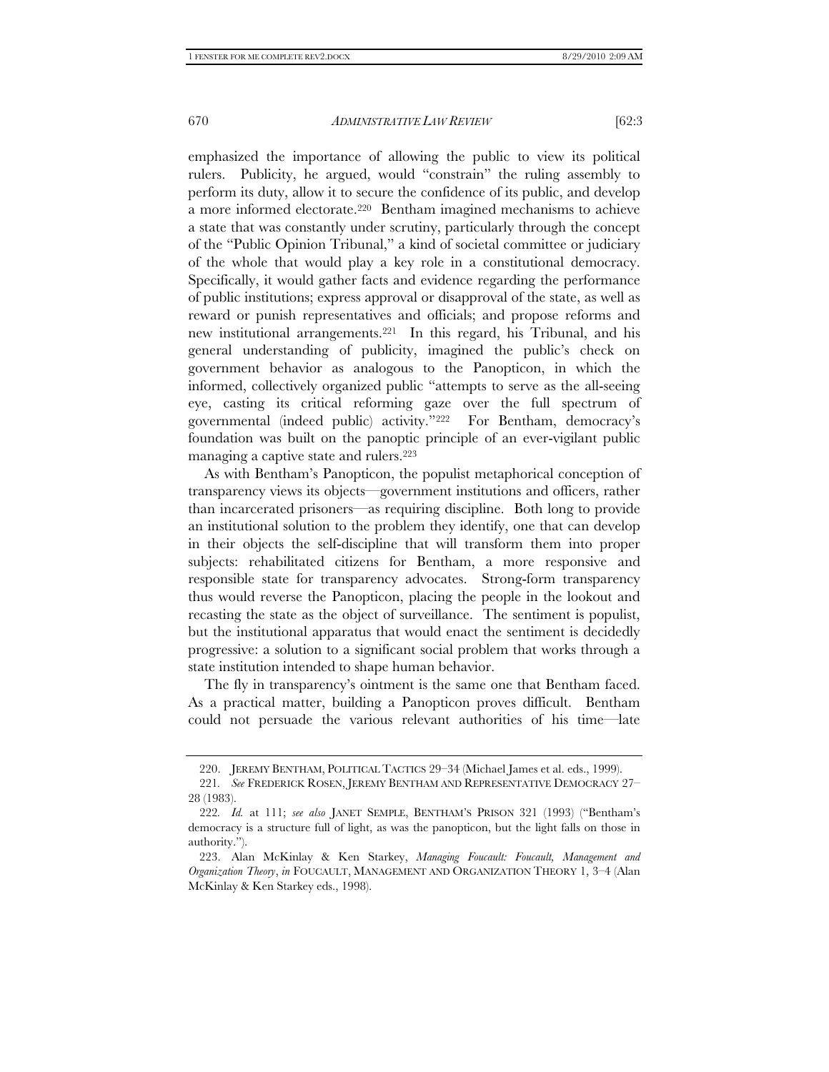emphasized the importance of allowing the public to view its political rulers. Publicity, he argued, would "constrain" the ruling assembly to perform its duty, allow it to secure the confidence of its public, and develop a more informed electorate.220 Bentham imagined mechanisms to achieve a state that was constantly under scrutiny, particularly through the concept of the "Public Opinion Tribunal," a kind of societal committee or judiciary of the whole that would play a key role in a constitutional democracy. Specifically, it would gather facts and evidence regarding the performance of public institutions; express approval or disapproval of the state, as well as reward or punish representatives and officials; and propose reforms and new institutional arrangements.221 In this regard, his Tribunal, and his general understanding of publicity, imagined the public's check on government behavior as analogous to the Panopticon, in which the informed, collectively organized public "attempts to serve as the all-seeing eye, casting its critical reforming gaze over the full spectrum of governmental (indeed public) activity."222 For Bentham, democracy's foundation was built on the panoptic principle of an ever-vigilant public managing a captive state and rulers.223

As with Bentham's Panopticon, the populist metaphorical conception of transparency views its objects—government institutions and officers, rather than incarcerated prisoners—as requiring discipline. Both long to provide an institutional solution to the problem they identify, one that can develop in their objects the self-discipline that will transform them into proper subjects: rehabilitated citizens for Bentham, a more responsive and responsible state for transparency advocates. Strong-form transparency thus would reverse the Panopticon, placing the people in the lookout and recasting the state as the object of surveillance. The sentiment is populist, but the institutional apparatus that would enact the sentiment is decidedly progressive: a solution to a significant social problem that works through a state institution intended to shape human behavior.

The fly in transparency's ointment is the same one that Bentham faced. As a practical matter, building a Panopticon proves difficult. Bentham could not persuade the various relevant authorities of his time—late

 <sup>220.</sup> JEREMY BENTHAM, POLITICAL TACTICS 29–34 (Michael James et al. eds., 1999).

<sup>221</sup>*. See* FREDERICK ROSEN, JEREMY BENTHAM AND REPRESENTATIVE DEMOCRACY 27– 28 (1983).

<sup>222</sup>*. Id.* at 111; *see also* JANET SEMPLE, BENTHAM'S PRISON 321 (1993) ("Bentham's democracy is a structure full of light, as was the panopticon, but the light falls on those in authority.").

 <sup>223.</sup> Alan McKinlay & Ken Starkey, *Managing Foucault: Foucault, Management and Organization Theory*, *in* FOUCAULT, MANAGEMENT AND ORGANIZATION THEORY 1, 3–4 (Alan McKinlay & Ken Starkey eds., 1998).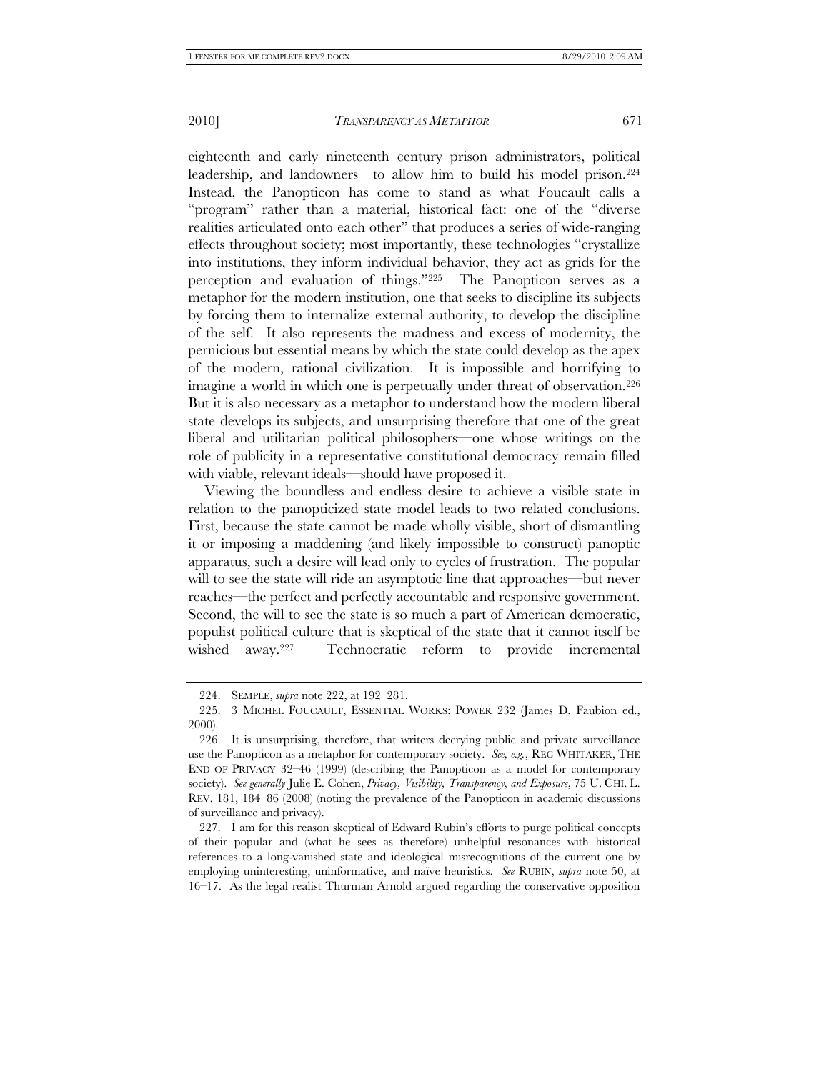eighteenth and early nineteenth century prison administrators, political leadership, and landowners—to allow him to build his model prison.224 Instead, the Panopticon has come to stand as what Foucault calls a "program" rather than a material, historical fact: one of the "diverse realities articulated onto each other" that produces a series of wide-ranging effects throughout society; most importantly, these technologies "crystallize into institutions, they inform individual behavior, they act as grids for the perception and evaluation of things."225 The Panopticon serves as a metaphor for the modern institution, one that seeks to discipline its subjects by forcing them to internalize external authority, to develop the discipline of the self. It also represents the madness and excess of modernity, the pernicious but essential means by which the state could develop as the apex of the modern, rational civilization. It is impossible and horrifying to imagine a world in which one is perpetually under threat of observation.226 But it is also necessary as a metaphor to understand how the modern liberal state develops its subjects, and unsurprising therefore that one of the great liberal and utilitarian political philosophers—one whose writings on the role of publicity in a representative constitutional democracy remain filled with viable, relevant ideals—should have proposed it.

Viewing the boundless and endless desire to achieve a visible state in relation to the panopticized state model leads to two related conclusions. First, because the state cannot be made wholly visible, short of dismantling it or imposing a maddening (and likely impossible to construct) panoptic apparatus, such a desire will lead only to cycles of frustration. The popular will to see the state will ride an asymptotic line that approaches—but never reaches—the perfect and perfectly accountable and responsive government. Second, the will to see the state is so much a part of American democratic, populist political culture that is skeptical of the state that it cannot itself be wished away.227 Technocratic reform to provide incremental

 <sup>224.</sup> SEMPLE, *supra* note 222, at 192–281.

 <sup>225. 3</sup> MICHEL FOUCAULT, ESSENTIAL WORKS: POWER 232 (James D. Faubion ed., 2000).

 <sup>226.</sup> It is unsurprising, therefore, that writers decrying public and private surveillance use the Panopticon as a metaphor for contemporary society. *See, e.g.*, REG WHITAKER, THE END OF PRIVACY 32–46 (1999) (describing the Panopticon as a model for contemporary society). *See generally* Julie E. Cohen, *Privacy, Visibility, Transparency, and Exposure*, 75 U. CHI. L. REV. 181, 184–86 (2008) (noting the prevalence of the Panopticon in academic discussions of surveillance and privacy).

 <sup>227.</sup> I am for this reason skeptical of Edward Rubin's efforts to purge political concepts of their popular and (what he sees as therefore) unhelpful resonances with historical references to a long-vanished state and ideological misrecognitions of the current one by employing uninteresting, uninformative, and naïve heuristics. *See* RUBIN, *supra* note 50, at 16–17. As the legal realist Thurman Arnold argued regarding the conservative opposition